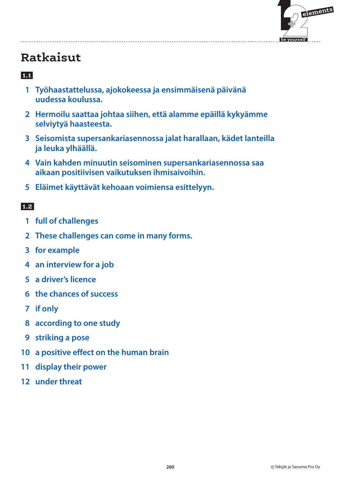

### **1.1**

- **1 Työhaastattelussa, ajokokeessa ja ensimmäisenä päivänä uudessa koulussa.**
- **2 Hermoilu saattaa johtaa siihen, että alamme epäillä kykyämme selviytyä haasteesta.**
- **3 Seisomista supersankariasennossa jalat harallaan, kädet lanteilla ja leuka ylhäällä.**
- **4 Vain kahden minuutin seisominen supersankariasennossa saa aikaan positiivisen vaikutuksen ihmisaivoihin.**
- **5 Eläimet käyttävät kehoaan voimiensa esittelyyn.**

- **1 full of challenges**
- **2 These challenges can come in many forms.**
- **3 for example**
- **4 an interview for a job**
- **5 a driver's licence**
- **6 the chances of success**
- **7 if only**
- **8 according to one study**
- **9 striking a pose**
- **10 a positive effect on the human brain**
- **11 display their power**
- **12 under threat**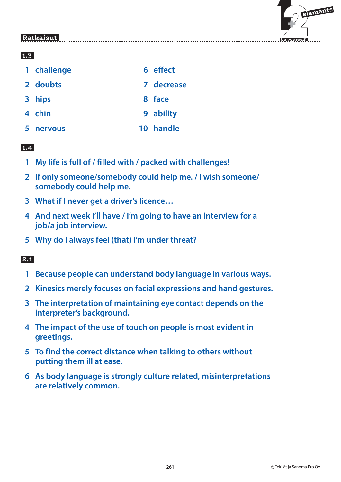

### **1.3**

|   | 1 challenge | 6 effect   |
|---|-------------|------------|
|   | 2 doubts    | 7 decrease |
|   | 3 hips      | 8 face     |
|   | 4 chin      | 9 ability  |
| 5 | nervous     | 10 handle  |

### **1.4**

- **1 My life is full of / filled with / packed with challenges!**
- **2 If only someone/somebody could help me. / I wish someone/ somebody could help me.**
- **3 What if I never get a driver's licence…**
- **4 And next week I'll have / I'm going to have an interview for a job/a job interview.**
- **5 Why do I always feel (that) I'm under threat?**

- **1 Because people can understand body language in various ways.**
- **2 Kinesics merely focuses on facial expressions and hand gestures.**
- **3 The interpretation of maintaining eye contact depends on the interpreter's background.**
- **4 The impact of the use of touch on people is most evident in greetings.**
- **5 To find the correct distance when talking to others without putting them ill at ease.**
- **6 As body language is strongly culture related, misinterpretations are relatively common.**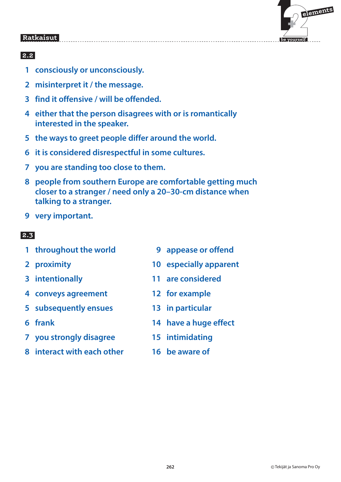

### **2.2**

- **1 consciously or unconsciously.**
- **2 misinterpret it / the message.**
- **3 find it offensive / will be offended.**
- **4 either that the person disagrees with or is romantically interested in the speaker.**
- **5 the ways to greet people differ around the world.**
- **6 it is considered disrespectful in some cultures.**
- **7 you are standing too close to them.**
- **8 people from southern Europe are comfortable getting much closer to a stranger / need only a 20–30-cm distance when talking to a stranger.**
- **9 very important.**

- **1 throughout the world 9 appease or offend**
- 
- 
- **4 conveys agreement 12 for example**
- **5 subsequently ensues 13 in particular**
- 
- **7 you strongly disagree 15 intimidating**
- **8 interact with each other 16 be aware of**
- 
- **2 proximity 10 especially apparent**
- **3 intentionally 11 are considered**
	-
	-
- **6 frank 14 have a huge effect**
	-
	-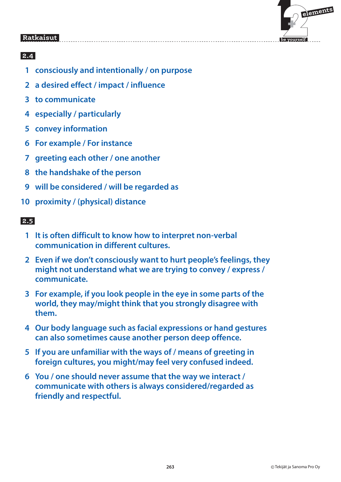

### **2.4**

- **1 consciously and intentionally / on purpose**
- **2 a desired effect / impact / influence**
- **3 to communicate**
- **4 especially / particularly**
- **5 convey information**
- **6 For example / For instance**
- **7 greeting each other / one another**
- **8 the handshake of the person**
- **9 will be considered / will be regarded as**
- **10 proximity / (physical) distance**

- **1 It is often difficult to know how to interpret non-verbal communication in different cultures.**
- **2 Even if we don't consciously want to hurt people's feelings, they might not understand what we are trying to convey / express / communicate.**
- **3 For example, if you look people in the eye in some parts of the world, they may/might think that you strongly disagree with them.**
- **4 Our body language such as facial expressions or hand gestures can also sometimes cause another person deep offence.**
- **5 If you are unfamiliar with the ways of / means of greeting in foreign cultures, you might/may feel very confused indeed.**
- **6 You / one should never assume that the way we interact / communicate with others is always considered/regarded as friendly and respectful.**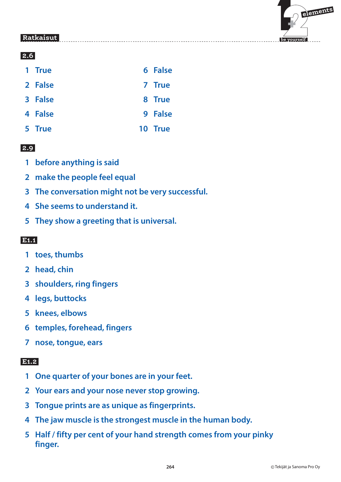

### **2.6**

| 1 True |  | <b>6 False</b> |
|--------|--|----------------|
|        |  |                |

- **2 False 7 True**
- **3 False** 8 True
- **4 False** 9 False
- **5 True 10 True**

### **2.9**

- **1 before anything is said**
- **2 make the people feel equal**
- **3 The conversation might not be very successful.**
- **4 She seems to understand it.**
- **5 They show a greeting that is universal.**

### **E1.1**

- **1 toes, thumbs**
- **2 head, chin**
- **3 shoulders, ring fingers**
- **4 legs, buttocks**
- **5 knees, elbows**
- **6 temples, forehead, fingers**
- **7 nose, tongue, ears**

### **E1.2**

- **1 One quarter of your bones are in your feet.**
- **2 Your ears and your nose never stop growing.**
- **3 Tongue prints are as unique as fingerprints.**
- **4 The jaw muscle is the strongest muscle in the human body.**
- **5 Half / fifty per cent of your hand strength comes from your pinky finger.**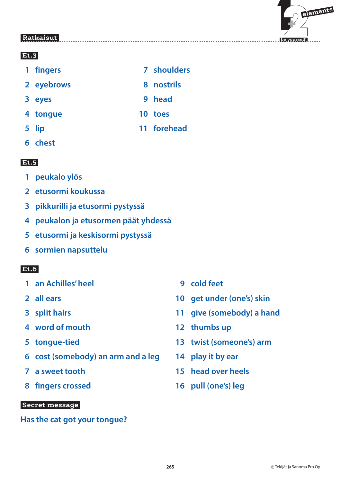### **E1.3**

- 1 fingers 7 shoulders
- **2 eyebrows** 8 nostrils
- **3 eyes 9 head**
- **4 tongue 10 toes**
- **5 lip 11 forehead**
- **6 chest**

#### E<sub>1.5</sub>  **E1.5**

- **1 peukalo ylös**
- **2 etusormi koukussa**
- **3 pikkurilli ja etusormi pystyssä**
- **4 peukalon ja etusormen päät yhdessä**
- **5 etusormi ja keskisormi pystyssä**
- **6 sormien napsuttelu**

# **E1.6**

- **1 an Achilles' heel 1 and 9 cold feet**
- 
- 
- **4 word of mouth 12 thumbs up**
- 
- **6 cost (somebody) an arm and a leg 14 play it by ear**
- 
- **8 fingers crossed 16 pull (one's) leg**

### **Secret message**

### **Has the cat got your tongue?**

- 
- **2 all ears 10 get under (one's) skin**
- **3 split hairs 11 give (somebody) a hand**
	-
- **5 tongue-tied 13 twist (someone's) arm**
	-
- **7 a sweet tooth 15 head over heels**
	-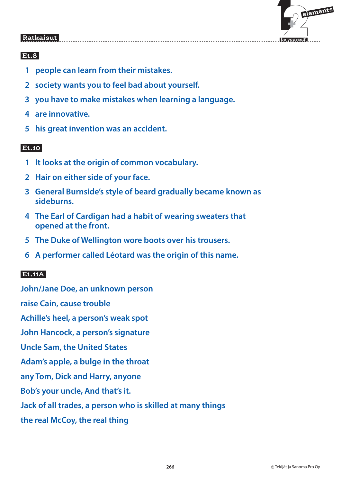

# **E1.8**

- **1 people can learn from their mistakes.**
- **2 society wants you to feel bad about yourself.**
- **3 you have to make mistakes when learning a language.**
- **4 are innovative.**
- **5 his great invention was an accident.**

### **E1.10**

- **1 It looks at the origin of common vocabulary.**
- **2 Hair on either side of your face.**
- **3 General Burnside's style of beard gradually became known as sideburns.**
- **4 The Earl of Cardigan had a habit of wearing sweaters that opened at the front.**
- **5 The Duke of Wellington wore boots over his trousers.**
- **6 A performer called Léotard was the origin of this name.**

# **E1.11A**

**John/Jane Doe, an unknown person raise Cain, cause trouble Achille's heel, a person's weak spot John Hancock, a person's signature Uncle Sam, the United States Adam's apple, a bulge in the throat any Tom, Dick and Harry, anyone Bob's your uncle, And that's it. Jack of all trades, a person who is skilled at many things**

**the real McCoy, the real thing**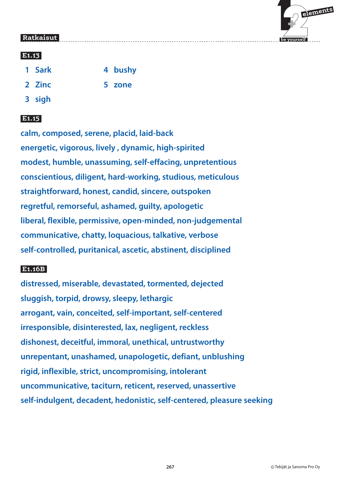

### **E1.13**

- 1 Sark **4 bushy**
- **2 Zinc 5 zone**

 **3 sigh**

# **E1.15**

**calm, composed, serene, placid, laid-back energetic, vigorous, lively , dynamic, high-spirited modest, humble, unassuming, self-effacing, unpretentious conscientious, diligent, hard-working, studious, meticulous straightforward, honest, candid, sincere, outspoken regretful, remorseful, ashamed, guilty, apologetic liberal, flexible, permissive, open-minded, non-judgemental communicative, chatty, loquacious, talkative, verbose self-controlled, puritanical, ascetic, abstinent, disciplined**

### **E1.16B**

**distressed, miserable, devastated, tormented, dejected sluggish, torpid, drowsy, sleepy, lethargic arrogant, vain, conceited, self-important, self-centered irresponsible, disinterested, lax, negligent, reckless dishonest, deceitful, immoral, unethical, untrustworthy unrepentant, unashamed, unapologetic, defiant, unblushing rigid, inflexible, strict, uncompromising, intolerant uncommunicative, taciturn, reticent, reserved, unassertive self-indulgent, decadent, hedonistic, self-centered, pleasure seeking**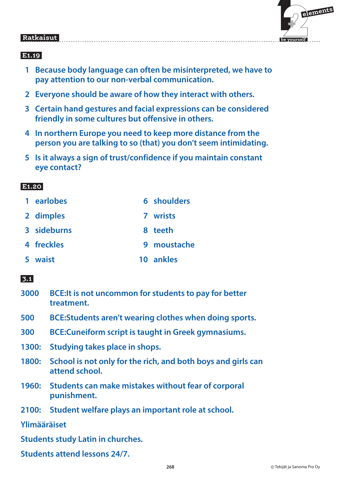# $\mathbf{F}$  **elements be yourself**

#### Ratkaisut  **Ratkaisut**

# **E1.19**

- **1 Because body language can often be misinterpreted, we have to pay attention to our non-verbal communication.**
- **2 Everyone should be aware of how they interact with others.**
- **3 Certain hand gestures and facial expressions can be considered friendly in some cultures but offensive in others.**
- **4 In northern Europe you need to keep more distance from the person you are talking to so (that) you don't seem intimidating.**
- **5 Is it always a sign of trust/confidence if you maintain constant eye contact?**

# **E1.20**

| 1 earlobes  | 6 shoulders |
|-------------|-------------|
| 2 dimples   | 7 wrists    |
| 3 sideburns | 8 teeth     |
| 4 freckles  | 9 moustache |
| 5 waist     | 10 ankles   |

# **3.1**

| 3000 BCE: It is not uncommon for students to pay for better |
|-------------------------------------------------------------|
| treatment.                                                  |

- **500 BCE: Students aren't wearing clothes when doing sports.**
- **300 BCE: Cuneiform script is taught in Greek gymnasiums.**
- **1300: Studying takes place in shops.**
- **1800: School is not only for the rich, and both boys and girls can attend school.**
- **1960: Students can make mistakes without fear of corporal punishment.**
- **2100: Student welfare plays an important role at school.**

**Ylimääräiset**

**Students study Latin in churches.**

**Students attend lessons 24/7.**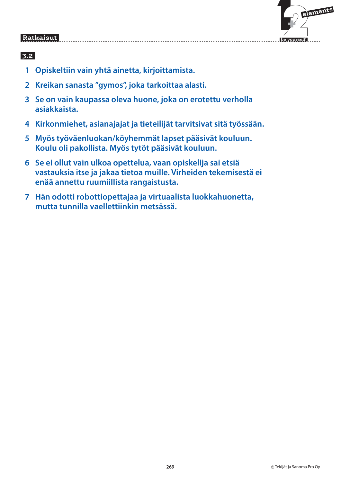

- **1 Opiskeltiin vain yhtä ainetta, kirjoittamista.**
- **2 Kreikan sanasta "gymos", joka tarkoittaa alasti.**
- **3 Se on vain kaupassa oleva huone, joka on erotettu verholla asiakkaista.**
- **4 Kirkonmiehet, asianajajat ja tieteilijät tarvitsivat sitä työssään.**
- **5 Myös työväenluokan/köyhemmät lapset pääsivät kouluun. Koulu oli pakollista. Myös tytöt pääsivät kouluun.**
- **6 Se ei ollut vain ulkoa opettelua, vaan opiskelija sai etsiä vastauksia itse ja jakaa tietoa muille. Virheiden tekemisestä ei enää annettu ruumiillista rangaistusta.**
- **7 Hän odotti robottiopettajaa ja virtuaalista luokkahuonetta, mutta tunnilla vaellettiinkin metsässä.**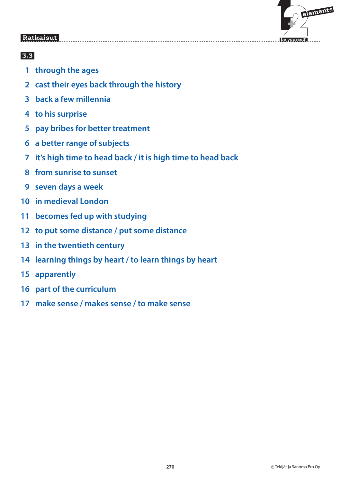

- **1 through the ages**
- **2 cast their eyes back through the history**
- **3 back a few millennia**
- **4 to his surprise**
- **5 pay bribes for better treatment**
- **6 a better range of subjects**
- **7 it's high time to head back / it is high time to head back**
- **8 from sunrise to sunset**
- **9 seven days a week**
- **10 in medieval London**
- **11 becomes fed up with studying**
- **12 to put some distance / put some distance**
- **13 in the twentieth century**
- **14 learning things by heart / to learn things by heart**
- **15 apparently**
- **16 part of the curriculum**
- **17 make sense / makes sense / to make sense**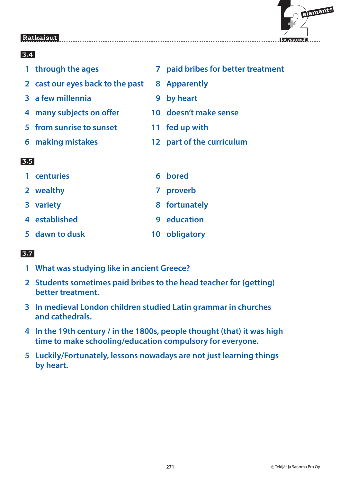

### $3.4$  **3.4**  1 through the ages **7** paid bribes for better treatment  **2 cast our eyes back to the past 8 Apparently 3 a few millennia 19 a 9 by heart 4 many subjects on offer 10 doesn't make sense 5 from sunrise to sunset 11 fed up with 6 making mistakes 12 part of the curriculum 3.5 1 centuries 6 bored 2 wealthy 7 proverb**

- **3 variety 8 fortunately**
- **4 established 9 education**
- 
- 
- 
- **5 dawn to dusk 10 obligatory**

- **1 What was studying like in ancient Greece?**
- **2 Students sometimes paid bribes to the head teacher for (getting) better treatment.**
- **3 In medieval London children studied Latin grammar in churches and cathedrals.**
- **4 In the 19th century / in the 1800s, people thought (that) it was high time to make schooling/education compulsory for everyone.**
- **5 Luckily/Fortunately, lessons nowadays are not just learning things by heart.**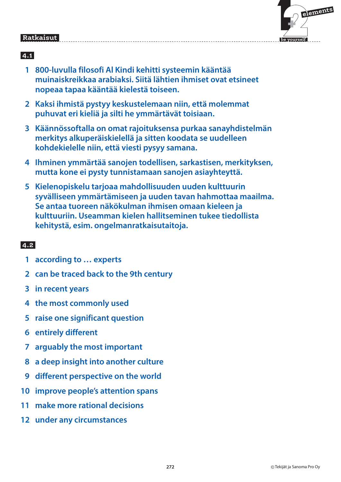|      | elements |
|------|----------|
| rsel |          |

 **be yourself**

#### Ratkaisut  **Ratkaisut**

## **4.1**

- **1 800-luvulla filosofi Al Kindi kehitti systeemin kääntää muinaiskreikkaa arabiaksi. Siitä lähtien ihmiset ovat etsineet nopeaa tapaa kääntää kielestä toiseen.**
- **2 Kaksi ihmistä pystyy keskustelemaan niin, että molemmat puhuvat eri kieliä ja silti he ymmärtävät toisiaan.**
- **3 Käännössoftalla on omat rajoituksensa purkaa sanayhdistelmän merkitys alkuperäiskielellä ja sitten koodata se uudelleen kohdekielelle niin, että viesti pysyy samana.**
- **4 Ihminen ymmärtää sanojen todellisen, sarkastisen, merkityksen, mutta kone ei pysty tunnistamaan sanojen asiayhteyttä.**
- **5 Kielenopiskelu tarjoaa mahdollisuuden uuden kulttuurin syvälliseen ymmärtämiseen ja uuden tavan hahmottaa maailma. Se antaa tuoreen näkökulman ihmisen omaan kieleen ja kulttuuriin. Useamman kielen hallitseminen tukee tiedollista kehitystä, esim. ongelmanratkaisutaitoja.**

- **1 according to … experts**
- **2 can be traced back to the 9th century**
- **3 in recent years**
- **4 the most commonly used**
- **5 raise one significant question**
- **6 entirely different**
- **7 arguably the most important**
- **8 a deep insight into another culture**
- **9 different perspective on the world**
- **10 improve people's attention spans**
- **11 make more rational decisions**
- **12 under any circumstances**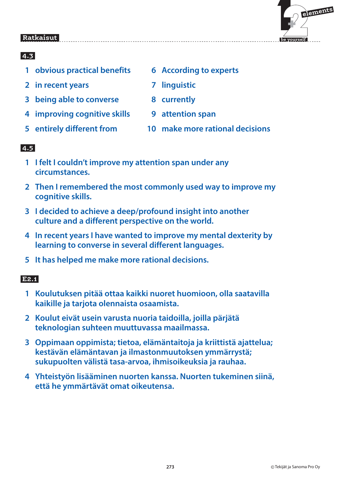

### **4.3**

- **1 obvious practical benefits 6 According to experts**
- **2** in recent years **7 7** linguistic
- **3** being able to converse **8** currently
- **4 improving cognitive skills 9 attention span**
- 
- 
- 
- 
- 
- **5 entirely different from 10 make more rational decisions**

# **4.5**

- **1 I felt I couldn't improve my attention span under any circumstances.**
- **2 Then I remembered the most commonly used way to improve my cognitive skills.**
- **3 I decided to achieve a deep/profound insight into another culture and a different perspective on the world.**
- **4 In recent years I have wanted to improve my mental dexterity by learning to converse in several different languages.**
- **5 It has helped me make more rational decisions.**

### **E2.1**

- **1 Koulutuksen pitää ottaa kaikki nuoret huomioon, olla saatavilla kaikille ja tarjota olennaista osaamista.**
- **2 Koulut eivät usein varusta nuoria taidoilla, joilla pärjätä teknologian suhteen muuttuvassa maailmassa.**
- **3 Oppimaan oppimista; tietoa, elämäntaitoja ja kriittistä ajattelua; kestävän elämäntavan ja ilmastonmuutoksen ymmärrystä; sukupuolten välistä tasa-arvoa, ihmisoikeuksia ja rauhaa.**
- **4 Yhteistyön lisääminen nuorten kanssa. Nuorten tukeminen siinä, että he ymmärtävät omat oikeutensa.**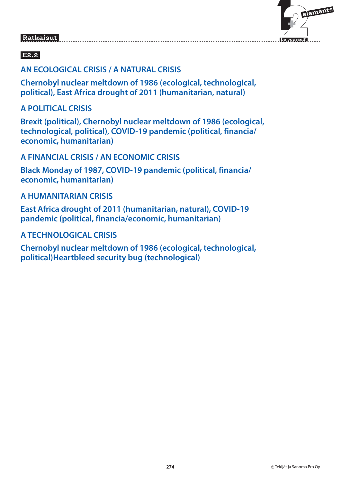# $\mathbf{F}$  **elements**

 **be yourself**

# **Ratkaisut**

# **E2.2**

### **AN ECOLOGICAL CRISIS / A NATURAL CRISIS**

**Chernobyl nuclear meltdown of 1986 (ecological, technological, political), East Africa drought of 2011 (humanitarian, natural)**

### **A POLITICAL CRISIS**

**Brexit (political), Chernobyl nuclear meltdown of 1986 (ecological, technological, political), COVID-19 pandemic (political, financia/ economic, humanitarian)**

### **A FINANCIAL CRISIS / AN ECONOMIC CRISIS**

**Black Monday of 1987, COVID-19 pandemic (political, financia/ economic, humanitarian)**

### **A HUMANITARIAN CRISIS**

**East Africa drought of 2011 (humanitarian, natural), COVID-19 pandemic (political, financia/economic, humanitarian)**

### **A TECHNOLOGICAL CRISIS**

**Chernobyl nuclear meltdown of 1986 (ecological, technological, political)Heartbleed security bug (technological)**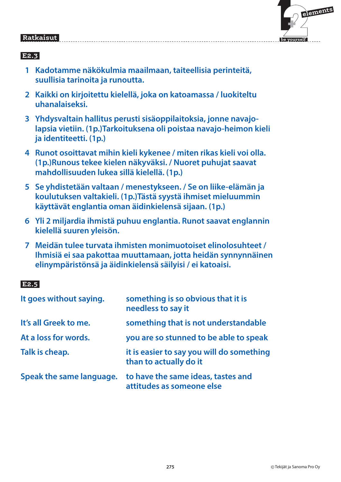# $\mathbf{F}$  **elements**

 **be yourself**

#### Ratkaisut  **Ratkaisut**

# **E2.3**

- **1 Kadotamme näkökulmia maailmaan, taiteellisia perinteitä, suullisia tarinoita ja runoutta.**
- **2 Kaikki on kirjoitettu kielellä, joka on katoamassa / luokiteltu uhanalaiseksi.**
- **3 Yhdysvaltain hallitus perusti sisäoppilaitoksia, jonne navajolapsia vietiin. (1p.)Tarkoituksena oli poistaa navajo-heimon kieli ja identiteetti. (1p.)**
- **4 Runot osoittavat mihin kieli kykenee / miten rikas kieli voi olla. (1p.)Runous tekee kielen näkyväksi. / Nuoret puhujat saavat mahdollisuuden lukea sillä kielellä. (1p.)**
- **5 Se yhdistetään valtaan / menestykseen. / Se on liike-elämän ja koulutuksen valtakieli. (1p.)Tästä syystä ihmiset mieluummin käyttävät englantia oman äidinkielensä sijaan. (1p.)**
- **6 Yli 2 miljardia ihmistä puhuu englantia. Runot saavat englannin kielellä suuren yleisön.**
- **7 Meidän tulee turvata ihmisten monimuotoiset elinolosuhteet / Ihmisiä ei saa pakottaa muuttamaan, jotta heidän synnynnäinen elinympäristönsä ja äidinkielensä säilyisi / ei katoaisi.**

# **E2.5**

| It goes without saying.  | something is so obvious that it is<br>needless to say it            |
|--------------------------|---------------------------------------------------------------------|
| It's all Greek to me.    | something that is not understandable                                |
| At a loss for words.     | you are so stunned to be able to speak                              |
| Talk is cheap.           | it is easier to say you will do something<br>than to actually do it |
| Speak the same language. | to have the same ideas, tastes and<br>attitudes as someone else     |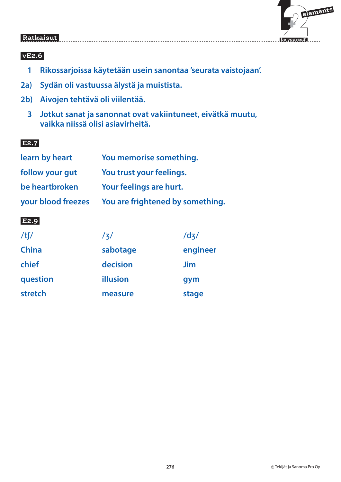

#### **vE2.6**

 **1 Rikossarjoissa käytetään usein sanontaa 'seurata vaistojaan'.**

- **2a) Sydän oli vastuussa älystä ja muistista.**
- **2b) Aivojen tehtävä oli viilentää.**
	- **3 Jotkut sanat ja sanonnat ovat vakiintuneet, eivätkä muutu, vaikka niissä olisi asiavirheitä.**

### **E2.7**

| learn by heart     | You memorise something.          |  |  |
|--------------------|----------------------------------|--|--|
| follow your gut    | You trust your feelings.         |  |  |
| be heartbroken     | Your feelings are hurt.          |  |  |
| your blood freezes | You are frightened by something. |  |  |

### **E2.9**

| $/t$ $/$     | /ʒ/      | /dz/     |
|--------------|----------|----------|
| <b>China</b> | sabotage | engineer |
| chief        | decision | Jim      |
| question     | illusion | gym      |
| stretch      | measure  | stage    |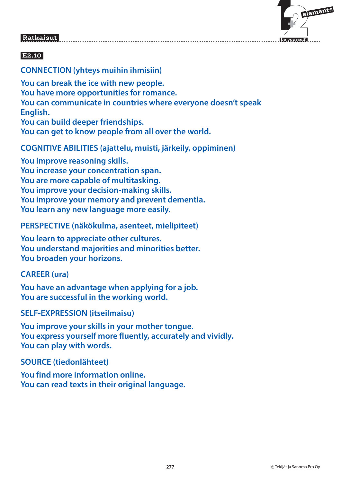

# **E2.10**

### **CONNECTION (yhteys muihin ihmisiin)**

**You can break the ice with new people. You have more opportunities for romance. You can communicate in countries where everyone doesn't speak English. You can build deeper friendships.** 

**You can get to know people from all over the world.**

### **COGNITIVE ABILITIES (ajattelu, muisti, järkeily, oppiminen)**

**You improve reasoning skills. You increase your concentration span. You are more capable of multitasking. You improve your decision-making skills. You improve your memory and prevent dementia. You learn any new language more easily.**

**PERSPECTIVE (näkökulma, asenteet, mielipiteet)**

**You learn to appreciate other cultures. You understand majorities and minorities better. You broaden your horizons.**

#### **CAREER (ura)**

**You have an advantage when applying for a job. You are successful in the working world.**

### **SELF-EXPRESSION (itseilmaisu)**

**You improve your skills in your mother tongue. You express yourself more fluently, accurately and vividly. You can play with words.**

#### **SOURCE (tiedonlähteet)**

**You find more information online. You can read texts in their original language.**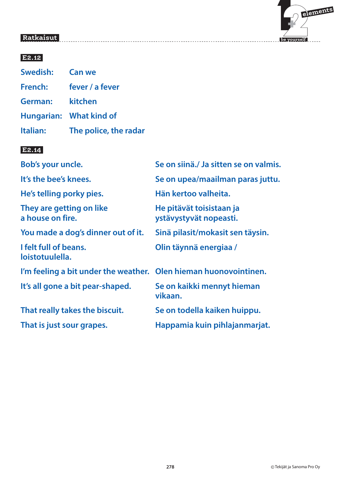

### **E2.12**

| Swedish: Can we |                         |
|-----------------|-------------------------|
| French:         | fever / a fever         |
| German:         | kitchen                 |
|                 | Hungarian: What kind of |
| Italian:        | The police, the radar   |

### **E2.14**

| Bob's your uncle.                                                | Se on siinä./ Ja sitten se on valmis.              |
|------------------------------------------------------------------|----------------------------------------------------|
| It's the bee's knees.                                            | Se on upea/maailman paras juttu.                   |
| He's telling porky pies.                                         | Hän kertoo valheita.                               |
| They are getting on like<br>a house on fire.                     | He pitävät toisistaan ja<br>ystävystyvät nopeasti. |
| You made a dog's dinner out of it.                               | Sinä pilasit/mokasit sen täysin.                   |
| I felt full of beans.<br>loistotuulella.                         | Olin täynnä energiaa /                             |
| I'm feeling a bit under the weather. Olen hieman huonovointinen. |                                                    |
| It's all gone a bit pear-shaped.                                 | Se on kaikki mennyt hieman<br>vikaan.              |
| That really takes the biscuit.                                   | Se on todella kaiken huippu.                       |
| That is just sour grapes.                                        | Happamia kuin pihlajanmarjat.                      |
|                                                                  |                                                    |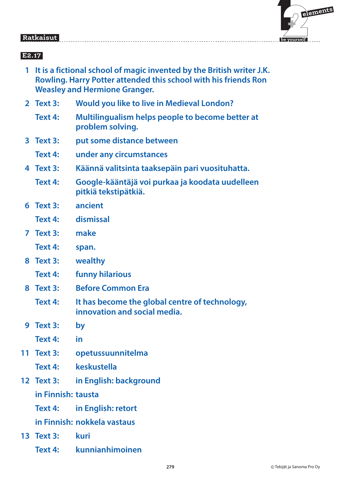

## **E2.17**

- **1 It is a fictional school of magic invented by the British writer J.K. Rowling. Harry Potter attended this school with his friends Ron Weasley and Hermione Granger.**
- **2 Text 3: Would you like to live in Medieval London?**
	- **Text 4: Multilingualism helps people to become better at problem solving.**
- **3 Text 3: put some distance between**
	- **Text 4: under any circumstances**
- **4 Text 3: Käännä valitsinta taaksepäin pari vuosituhatta.**
	- **Text 4: Google-kääntäjä voi purkaa ja koodata uudelleen pitkiä tekstipätkiä.**
- **6 Text 3: ancient**
	- **Text 4: dismissal**
- **7 Text 3: make**
	- **Text 4: span.**
- **8 Text 3: wealthy**
	- **Text 4: funny hilarious**
- **8 Text 3: Before Common Era**
	- **Text 4: It has become the global centre of technology, innovation and social media.**
- **9 Text 3: by**
	- **Text 4: in**
- **11 Text 3: opetussuunnitelma**
	- **Text 4: keskustella**
- **12 Text 3: in English: background**

### **in Finnish: tausta**

- **Text 4: in English: retort**
- **in Finnish: nokkela vastaus**
- **13 Text 3: kuri**
	- **Text 4: kunnianhimoinen**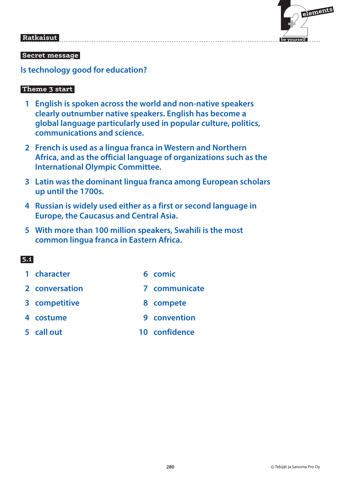# $\mathbf{F}$  **elements**

 **be yourself**

#### Ratkaisut  **Ratkaisut**

#### **Secret message**

**Is technology good for education?**

#### **Theme 3 start**

- **1 English is spoken across the world and non-native speakers clearly outnumber native speakers. English has become a global language particularly used in popular culture, politics, communications and science.**
- **2 French is used as a lingua franca in Western and Northern Africa, and as the official language of organizations such as the International OIympic Committee.**
- **3 Latin was the dominant lingua franca among European scholars up until the 1700s.**
- **4 Russian is widely used either as a first or second language in Europe, the Caucasus and Central Asia.**
- **5 With more than 100 million speakers, Swahili is the most common lingua franca in Eastern Africa.**

- **1 character 6 comic**
- **2 conversation 7 communicate**
- **8 competitive 8 compete**
- **4 costume 12 and 14 costume 12 and 14 and 14 and 14 and 14 and 14 and 14 and 14 and 14 and 14 and 14 and 14 and 14 and 14 and 14 and 14 and 14 and 14 and 14 and 14 and 14 and 14 and 14 and 14 and 14 and 14 and 14 and 14 a**
- **5 call out 10 confidence**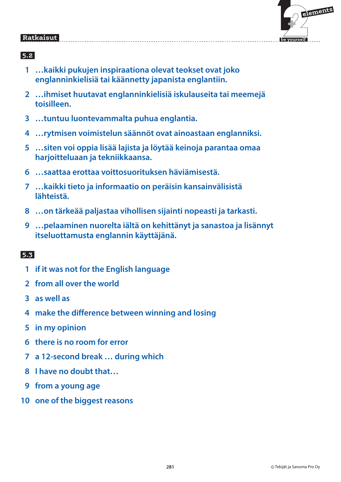

### **5.2**

- **1 …kaikki pukujen inspiraationa olevat teokset ovat joko englanninkielisiä tai käännetty japanista englantiin.**
- **2 …ihmiset huutavat englanninkielisiä iskulauseita tai meemejä toisilleen.**
- **3 …tuntuu luontevammalta puhua englantia.**
- **4 …rytmisen voimistelun säännöt ovat ainoastaan englanniksi.**
- **5 …siten voi oppia lisää lajista ja löytää keinoja parantaa omaa harjoitteluaan ja tekniikkaansa.**
- **6 …saattaa erottaa voittosuorituksen häviämisestä.**
- **7 …kaikki tieto ja informaatio on peräisin kansainvälisistä lähteistä.**
- **8 …on tärkeää paljastaa vihollisen sijainti nopeasti ja tarkasti.**
- **9 …pelaaminen nuorelta iältä on kehittänyt ja sanastoa ja lisännyt itseluottamusta englannin käyttäjänä.**

- **1 if it was not for the English language**
- **2 from all over the world**
- **3 as well as**
- **4 make the difference between winning and losing**
- **5 in my opinion**
- **6 there is no room for error**
- **7 a 12-second break … during which**
- **8 I have no doubt that…**
- **9 from a young age**
- **10 one of the biggest reasons**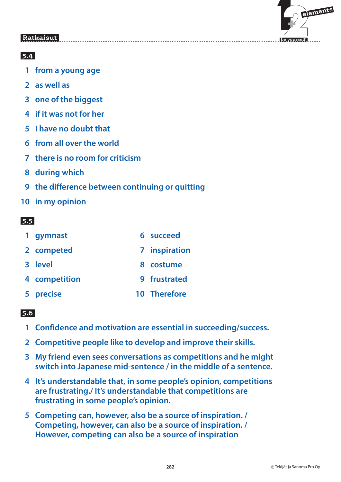

### **5.4**

- **1 from a young age**
- **2 as well as**
- **3 one of the biggest**
- **4 if it was not for her**
- **5 I have no doubt that**
- **6 from all over the world**
- **7 there is no room for criticism**
- **8 during which**
- **9 the difference between continuing or quitting**
- **10 in my opinion**

### **5.5**

| 1 gymnast     | 6 succeed     |
|---------------|---------------|
| 2 competed    | 7 inspiration |
| 3 level       | 8 costume     |
| 4 competition | 9 frustrated  |
| 5 precise     | 10 Therefore  |

- **1 Confidence and motivation are essential in succeeding/success.**
- **2 Competitive people like to develop and improve their skills.**
- **3 My friend even sees conversations as competitions and he might switch into Japanese mid-sentence / in the middle of a sentence.**
- **4 It's understandable that, in some people's opinion, competitions are frustrating./ It's understandable that competitions are frustrating in some people's opinion.**
- **5 Competing can, however, also be a source of inspiration. / Competing, however, can also be a source of inspiration. / However, competing can also be a source of inspiration**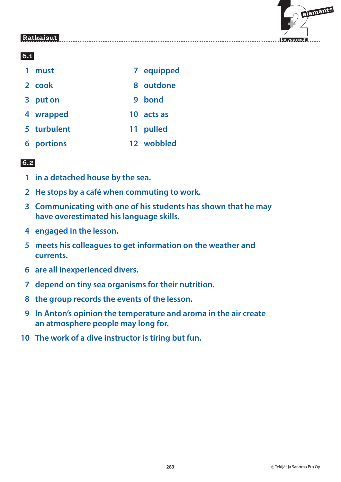

### **6.1**

| must              |    | 7 equipped |
|-------------------|----|------------|
| 2 cook            |    | 8 outdone  |
| 3 put on          |    | 9 bond     |
| 4 wrapped         | 10 | acts as    |
| 5 turbulent       |    | 11 pulled  |
| <b>6</b> portions |    | 12 wobbled |

- **1 in a detached house by the sea.**
- **2 He stops by a café when commuting to work.**
- **3 Communicating with one of his students has shown that he may have overestimated his language skills.**
- **4 engaged in the lesson.**
- **5 meets his colleagues to get information on the weather and currents.**
- **6 are all inexperienced divers.**
- **7 depend on tiny sea organisms for their nutrition.**
- **8 the group records the events of the lesson.**
- **9 In Anton's opinion the temperature and aroma in the air create an atmosphere people may long for.**
- **10 The work of a dive instructor is tiring but fun.**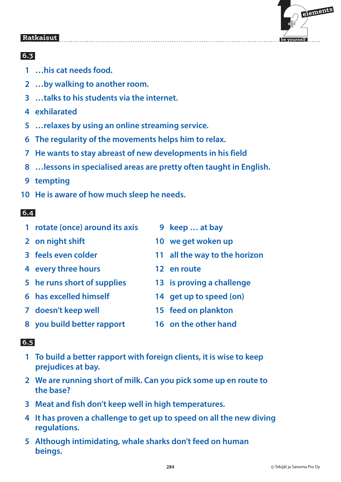

### **6.3**

- **1 …his cat needs food.**
- **2 …by walking to another room.**
- **3 …talks to his students via the internet.**
- **4 exhilarated**
- **5 …relaxes by using an online streaming service.**
- **6 The regularity of the movements helps him to relax.**
- **7 He wants to stay abreast of new developments in his field**
- **8 …lessons in specialised areas are pretty often taught in English.**
- **9 tempting**
- **10 He is aware of how much sleep he needs.**

# **6.4**

- **1 rotate (once) around its axis 9 keep … at bay**
- 
- 
- **4 every three hours 12 en route**
- 
- 
- 
- **8 you build better rapport 16 on the other hand**
- 
- **2 on night shift 10 we get woken up**
- **3 feels even colder 11 all the way to the horizon**
	-
- **5 he runs short of supplies 13 is proving a challenge**
- **6 has excelled himself 14 get up to speed (on)**
- **7 doesn't keep well 15 feed on plankton**
	-

#### $\overline{6.5}$  **6.5**

- **1 To build a better rapport with foreign clients, it is wise to keep prejudices at bay.**
- **2 We are running short of milk. Can you pick some up en route to the base?**
- **3 Meat and fish don't keep well in high temperatures.**
- **4 It has proven a challenge to get up to speed on all the new diving regulations.**
- **5 Although intimidating, whale sharks don't feed on human beings.**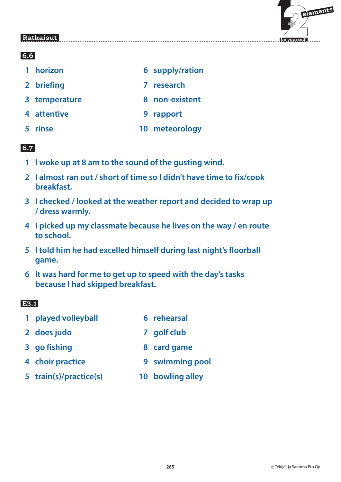

### **6.6**

- **1 horizon** 6 supply/ration
- **2 briefing 7 research**
- **8 temperature 8 non-existent**
- 
- **4 attentive 9 rapport**
- **5 rinse 10 meteorology**

# **6.7**

- **1 I woke up at 8 am to the sound of the gusting wind.**
- **2 I almost ran out / short of time so I didn't have time to fix/cook breakfast.**
- **3 I checked / looked at the weather report and decided to wrap up / dress warmly.**
- **4 I picked up my classmate because he lives on the way / en route to school.**
- **5 I told him he had excelled himself during last night's floorball game.**
- **6 It was hard for me to get up to speed with the day's tasks because I had skipped breakfast.**

### **E3.1**

- **1 played volleyball 6 rehearsal**
- **2 does judo 7 golf club**
- **3 go fishing the COV COVE SECONDENSISY SECONDENSISY SECONDENSISY SECONDENSISY SECONDENSISY SECONDENSISY SECONDENSISY SECONDENSISY SECONDENSISY SECONDENSISY SECONDENSISY SECONDENSISY SECONDENSISY SECONDENSISY SECONDENSISY**
- 
- **4 choir practice 9 swimming pool**
- **5 train(s)/practice(s) 10 bowling alley**
-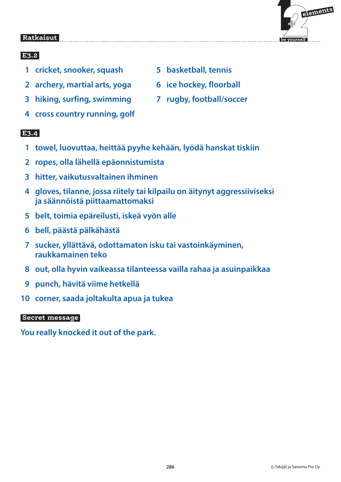

### **E3.2**

- **1 cricket, snooker, squash 5 basketball, tennis**
- **2 archery, martial arts, yoga 6 ice hockey, floorball**
- **3 hiking, surfing, swimming 7 rugby, football/soccer**
- **4 cross country running, golf**

 **E3.4** 

- **1 towel, luovuttaa, heittää pyyhe kehään, lyödä hanskat tiskiin**
- **2 ropes, olla lähellä epäonnistumista**
- **3 hitter, vaikutusvaltainen ihminen**
- **4 gloves, tilanne, jossa riitely tai kilpailu on äitynyt aggressiiviseksi ja säännöistä piittaamattomaksi**
- **5 belt, toimia epäreilusti, iskeä vyön alle**
- **6 bell, päästä pälkähästä**
- **7 sucker, yllättävä, odottamaton isku tai vastoinkäyminen, raukkamainen teko**
- **8 out, olla hyvin vaikeassa tilanteessa vailla rahaa ja asuinpaikkaa**
- **9 punch, hävitä viime hetkellä**
- **10 corner, saada joltakulta apua ja tukea**

### **Secret message**

**You really knocked it out of the park.**

- 
- 
-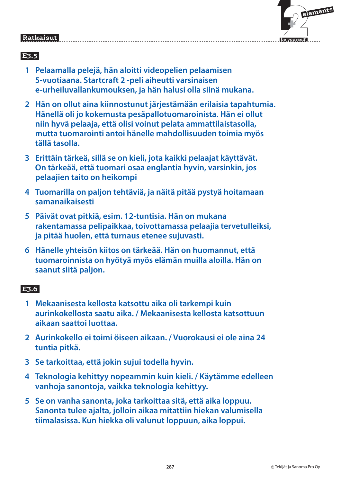# $\mathbf{F}$  **elements**

 **be yourself**

#### Ratkaisut  **Ratkaisut**

# **E3.5**

- **1 Pelaamalla pelejä, hän aloitti videopelien pelaamisen 5-vuotiaana. Startcraft 2 -peli aiheutti varsinaisen e-urheiluvallankumouksen, ja hän halusi olla siinä mukana.**
- **2 Hän on ollut aina kiinnostunut järjestämään erilaisia tapahtumia. Hänellä oli jo kokemusta pesäpallotuomaroinista. Hän ei ollut niin hyvä pelaaja, että olisi voinut pelata ammattilaistasolla, mutta tuomarointi antoi hänelle mahdollisuuden toimia myös tällä tasolla.**
- **3 Erittäin tärkeä, sillä se on kieli, jota kaikki pelaajat käyttävät. On tärkeää, että tuomari osaa englantia hyvin, varsinkin, jos pelaajien taito on heikompi**
- **4 Tuomarilla on paljon tehtäviä, ja näitä pitää pystyä hoitamaan samanaikaisesti**
- **5 Päivät ovat pitkiä, esim. 12-tuntisia. Hän on mukana rakentamassa pelipaikkaa, toivottamassa pelaajia tervetulleiksi, ja pitää huolen, että turnaus etenee sujuvasti.**
- **6 Hänelle yhteisön kiitos on tärkeää. Hän on huomannut, että tuomaroinnista on hyötyä myös elämän muilla aloilla. Hän on saanut siitä paljon.**

# **E3.6**

- **1 Mekaanisesta kellosta katsottu aika oli tarkempi kuin aurinkokellosta saatu aika. / Mekaanisesta kellosta katsottuun aikaan saattoi luottaa.**
- **2 Aurinkokello ei toimi öiseen aikaan. / Vuorokausi ei ole aina 24 tuntia pitkä.**
- **3 Se tarkoittaa, että jokin sujui todella hyvin.**
- **4 Teknologia kehittyy nopeammin kuin kieli. / Käytämme edelleen vanhoja sanontoja, vaikka teknologia kehittyy.**
- **5 Se on vanha sanonta, joka tarkoittaa sitä, että aika loppuu. Sanonta tulee ajalta, jolloin aikaa mitattiin hiekan valumisella tiimalasissa. Kun hiekka oli valunut loppuun, aika loppui.**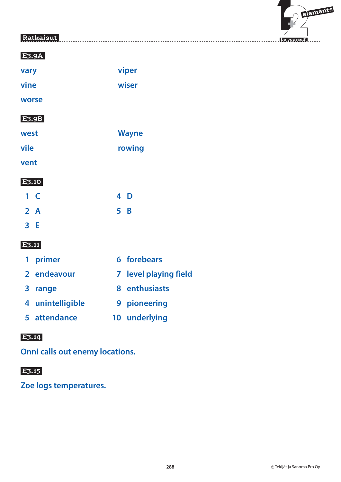

| vary         | viper        |
|--------------|--------------|
| vine         | wiser        |
| worse        |              |
| <b>E3.9B</b> |              |
| west         | <b>Wayne</b> |
| vile         | rowing       |
| vent         |              |
|              |              |

#### **E3.10**

| $1 \, C$ | 4 D |
|----------|-----|
| 2 A      | 5B  |
| 3 E      |     |

### **E3.11**

| 1 primer         | 6 forebears           |
|------------------|-----------------------|
| 2 endeavour      | 7 level playing field |
| 3 range          | 8 enthusiasts         |
| 4 unintelligible | 9 pioneering          |
| 5 attendance     | 10 underlying         |

### **E3.14**

**Onni calls out enemy locations.**

### **E3.15**

**Zoe logs temperatures.**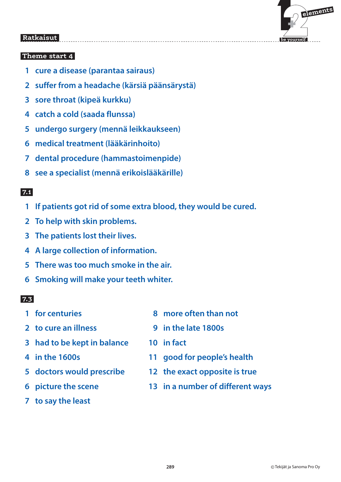

### **Theme start 4**

- **1 cure a disease (parantaa sairaus)**
- **2 suffer from a headache (kärsiä päänsärystä)**
- **3 sore throat (kipeä kurkku)**
- **4 catch a cold (saada flunssa)**
- **5 undergo surgery (mennä leikkaukseen)**
- **6 medical treatment (lääkärinhoito)**
- **7 dental procedure (hammastoimenpide)**
- **8 see a specialist (mennä erikoislääkärille)**

### **7.1**

- **1 If patients got rid of some extra blood, they would be cured.**
- **2 To help with skin problems.**
- **3 The patients lost their lives.**
- **4 A large collection of information.**
- **5 There was too much smoke in the air.**
- **6 Smoking will make your teeth whiter.**

- 
- 
- **3 had to be kept in balance 10 in fact**
- 
- 
- 
- **7 to say the least**
- **1 for centuries 1 more often than not**
- **2 to cure an illness 9 in the late 1800s**
	-
- **4 in the 1600s 11 good for people's health**
- **5 doctors would prescribe 12 the exact opposite is true**
- **6 picture the scene 13 in a number of different ways**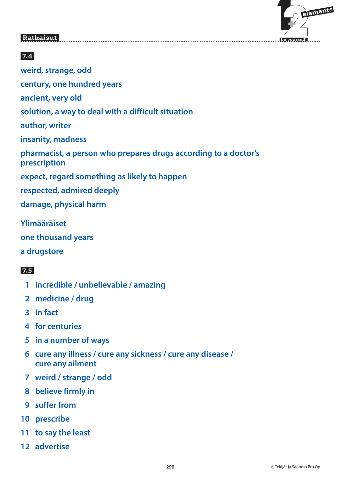

### **7.4**

**weird, strange, odd century, one hundred years ancient, very old solution, a way to deal with a difficult situation author, writer insanity, madness pharmacist, a person who prepares drugs according to a doctor's prescription expect, regard something as likely to happen respected, admired deeply damage, physical harm**

**Ylimääräiset one thousand years a drugstore**

- **1 incredible / unbelievable / amazing**
- **2 medicine / drug**
- **3 In fact**
- **4 for centuries**
- **5 in a number of ways**
- **6 cure any illness / cure any sickness / cure any disease / cure any ailment**
- **7 weird / strange / odd**
- **8 believe firmly in**
- **9 suffer from**
- **10 prescribe**
- **11 to say the least**
- **12 advertise**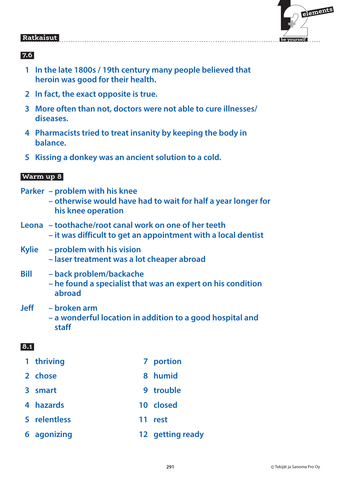

### **7.6**

- **1 In the late 1800s / 19th century many people believed that heroin was good for their health.**
- **2 In fact, the exact opposite is true.**
- **3 More often than not, doctors were not able to cure illnesses/ diseases.**
- **4 Pharmacists tried to treat insanity by keeping the body in balance.**
- **5 Kissing a donkey was an ancient solution to a cold.**

#### **Warm up 8**

- **Parker problem with his knee**
	- **otherwise would have had to wait for half a year longer for his knee operation**
- **Leona toothache/root canal work on one of her teeth – it was difficult to get an appointment with a local dentist**
- **Kylie problem with his vision – laser treatment was a lot cheaper abroad**
- **Bill back problem/backache – he found a specialist that was an expert on his condition abroad**
- **Jeff broken arm – a wonderful location in addition to a good hospital and staff**

- 1 thriving **7 portion**
- **2 chose 8 humid**
- **3 smart** 9 trouble
- **4 hazards 10 closed**
- **5 relentless 11 rest**
- **6 agonizing 12 getting ready**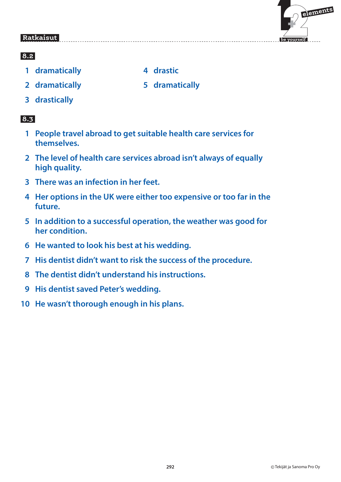

### **8.2**

- **1 dramatically 4 drastic**
- 
- 
- **2 dramatically 5 dramatically**
- **3 drastically**

- **1 People travel abroad to get suitable health care services for themselves.**
- **2 The level of health care services abroad isn't always of equally high quality.**
- **3 There was an infection in her feet.**
- **4 Her options in the UK were either too expensive or too far in the future.**
- **5 In addition to a successful operation, the weather was good for her condition.**
- **6 He wanted to look his best at his wedding.**
- **7 His dentist didn't want to risk the success of the procedure.**
- **8 The dentist didn't understand his instructions.**
- **9 His dentist saved Peter's wedding.**
- **10 He wasn't thorough enough in his plans.**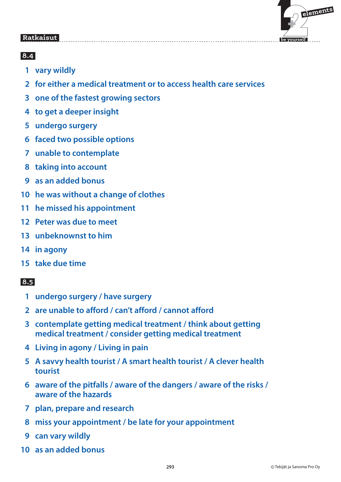

### **8.4**

- **1 vary wildly**
- **2 for either a medical treatment or to access health care services**
- **3 one of the fastest growing sectors**
- **4 to get a deeper insight**
- **5 undergo surgery**
- **6 faced two possible options**
- **7 unable to contemplate**
- **8 taking into account**
- **9 as an added bonus**
- **10 he was without a change of clothes**
- **11 he missed his appointment**
- **12 Peter was due to meet**
- **13 unbeknownst to him**
- **14 in agony**
- **15 take due time**

- **1 undergo surgery / have surgery**
- **2 are unable to afford / can't afford / cannot afford**
- **3 contemplate getting medical treatment / think about getting medical treatment / consider getting medical treatment**
- **4 Living in agony / Living in pain**
- **5 A savvy health tourist / A smart health tourist / A clever health tourist**
- **6 aware of the pitfalls / aware of the dangers / aware of the risks / aware of the hazards**
- **7 plan, prepare and research**
- **8 miss your appointment / be late for your appointment**
- **9 can vary wildly**
- **10 as an added bonus**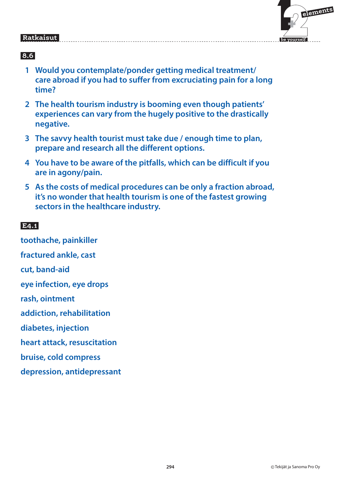

# **8.6**

- **1 Would you contemplate/ponder getting medical treatment/ care abroad if you had to suffer from excruciating pain for a long time?**
- **2 The health tourism industry is booming even though patients' experiences can vary from the hugely positive to the drastically negative.**
- **3 The savvy health tourist must take due / enough time to plan, prepare and research all the different options.**
- **4 You have to be aware of the pitfalls, which can be difficult if you are in agony/pain.**
- **5 As the costs of medical procedures can be only a fraction abroad, it's no wonder that health tourism is one of the fastest growing sectors in the healthcare industry.**

#### $E4.1$  **E4.1**

**toothache, painkiller fractured ankle, cast cut, band-aid eye infection, eye drops rash, ointment addiction, rehabilitation diabetes, injection heart attack, resuscitation bruise, cold compress depression, antidepressant**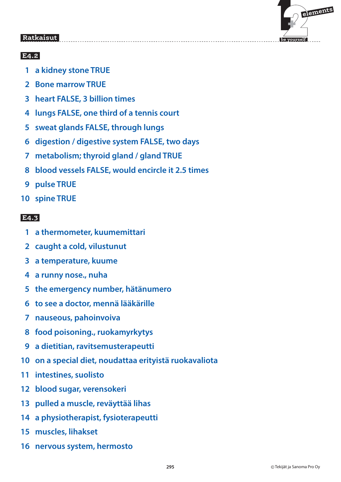

# **E4.2**

- **1 a kidney stone TRUE**
- **2 Bone marrow TRUE**
- **3 heart FALSE, 3 billion times**
- **4 lungs FALSE, one third of a tennis court**
- **5 sweat glands FALSE, through lungs**
- **6 digestion / digestive system FALSE, two days**
- **7 metabolism; thyroid gland / gland TRUE**
- **8 blood vessels FALSE, would encircle it 2.5 times**
- **9 pulse TRUE**
- **10 spine TRUE**

### **E4.3**

- **1 a thermometer, kuumemittari**
- **2 caught a cold, vilustunut**
- **3 a temperature, kuume**
- **4 a runny nose., nuha**
- **5 the emergency number, hätänumero**
- **6 to see a doctor, mennä lääkärille**
- **7 nauseous, pahoinvoiva**
- **8 food poisoning., ruokamyrkytys**
- **9 a dietitian, ravitsemusterapeutti**
- **10 on a special diet, noudattaa erityistä ruokavaliota**
- **11 intestines, suolisto**
- **12 blood sugar, verensokeri**
- **13 pulled a muscle, reväyttää lihas**
- **14 a physiotherapist, fysioterapeutti**
- **15 muscles, lihakset**
- **16 nervous system, hermosto**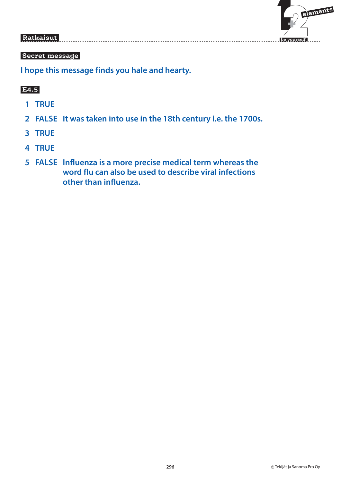

### **Secret message**

**I hope this message finds you hale and hearty.**

### **E4.5**

- **1 TRUE**
- **2 FALSE It was taken into use in the 18th century i.e. the 1700s.**
- **3 TRUE**
- **4 TRUE**
- **5 FALSE Influenza is a more precise medical term whereas the word flu can also be used to describe viral infections other than influenza.**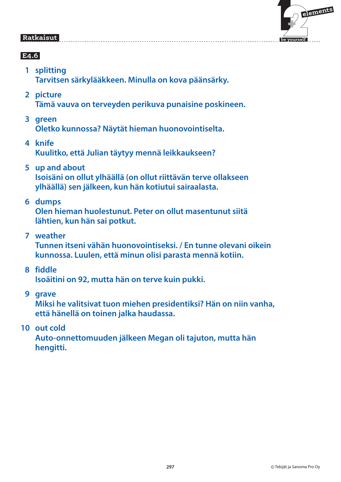

# **E4.6**

- **1 splitting Tarvitsen särkylääkkeen. Minulla on kova päänsärky.**
- **2 picture Tämä vauva on terveyden perikuva punaisine poskineen.**
- **3 green** 
	- **Oletko kunnossa? Näytät hieman huonovointiselta.**
- **4 knife Kuulitko, että Julian täytyy mennä leikkaukseen?**
- **5 up and about Isoisäni on ollut ylhäällä (on ollut riittävän terve ollakseen ylhäällä) sen jälkeen, kun hän kotiutui sairaalasta.**
- **6 dumps**

**Olen hieman huolestunut. Peter on ollut masentunut siitä lähtien, kun hän sai potkut.**

 **7 weather** 

**Tunnen itseni vähän huonovointiseksi. / En tunne olevani oikein kunnossa. Luulen, että minun olisi parasta mennä kotiin.**

 **8 fiddle** 

**Isoäitini on 92, mutta hän on terve kuin pukki.**

 **9 grave** 

**Miksi he valitsivat tuon miehen presidentiksi? Hän on niin vanha, että hänellä on toinen jalka haudassa.**

 **10 out cold** 

**Auto-onnettomuuden jälkeen Megan oli tajuton, mutta hän hengitti.**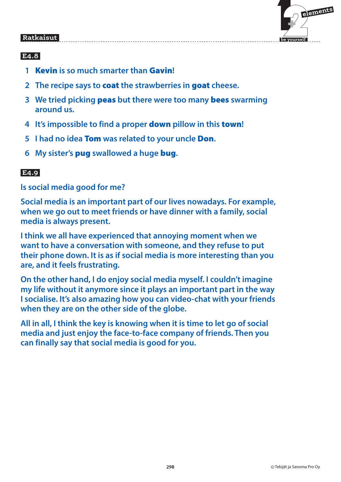

# **E4.8**

- **1** Kevin **is so much smarter than** Gavin**!**
- **2 The recipe says to** coat **the strawberries in** goat **cheese.**
- **3 We tried picking** peas **but there were too many** bees **swarming around us.**
- **4 It's impossible to find a proper** down **pillow in this** town**!**
- **5 I had no idea** Tom **was related to your uncle** Don**.**
- **6 My sister's** pug **swallowed a huge** bug**.**

# **E4.9**

**Is social media good for me?**

**Social media is an important part of our lives nowadays. For example, when we go out to meet friends or have dinner with a family, social media is always present.**

**I think we all have experienced that annoying moment when we want to have a conversation with someone, and they refuse to put their phone down. It is as if social media is more interesting than you are, and it feels frustrating.**

**On the other hand, I do enjoy social media myself. I couldn't imagine my life without it anymore since it plays an important part in the way I socialise. It's also amazing how you can video-chat with your friends when they are on the other side of the globe.**

**All in all, I think the key is knowing when it is time to let go of social media and just enjoy the face-to-face company of friends. Then you can finally say that social media is good for you.**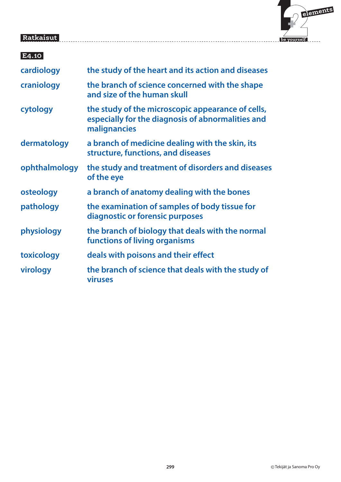

| E4.10         |                                                                                                                        |
|---------------|------------------------------------------------------------------------------------------------------------------------|
| cardiology    | the study of the heart and its action and diseases                                                                     |
| craniology    | the branch of science concerned with the shape<br>and size of the human skull                                          |
| cytology      | the study of the microscopic appearance of cells,<br>especially for the diagnosis of abnormalities and<br>malignancies |
| dermatology   | a branch of medicine dealing with the skin, its<br>structure, functions, and diseases                                  |
| ophthalmology | the study and treatment of disorders and diseases<br>of the eye                                                        |
| osteology     | a branch of anatomy dealing with the bones                                                                             |
| pathology     | the examination of samples of body tissue for<br>diagnostic or forensic purposes                                       |
| physiology    | the branch of biology that deals with the normal<br>functions of living organisms                                      |
| toxicology    | deals with poisons and their effect                                                                                    |
| virology      | the branch of science that deals with the study of<br><b>viruses</b>                                                   |
|               |                                                                                                                        |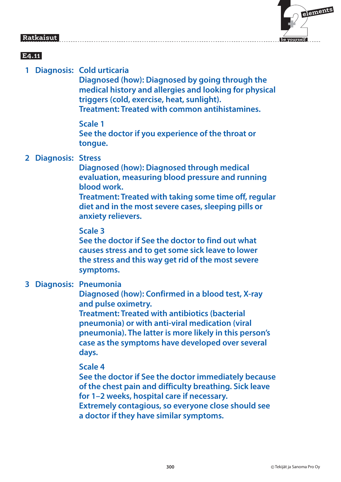# $\mathbf{F}$  **elements**

 **be yourself**

#### Ratkaisut  **Ratkaisut**

# **E4.11**

 **1 Diagnosis: Cold urticaria** 

**Diagnosed (how): Diagnosed by going through the medical history and allergies and looking for physical triggers (cold, exercise, heat, sunlight). Treatment: Treated with common antihistamines.**

 **Scale 1 See the doctor if you experience of the throat or tongue.**

### **2 Diagnosis: Stress**

**Diagnosed (how): Diagnosed through medical evaluation, measuring blood pressure and running blood work.** 

**Treatment: Treated with taking some time off, regular diet and in the most severe cases, sleeping pills or anxiety relievers.**

### **Scale 3**

**See the doctor if See the doctor to find out what causes stress and to get some sick leave to lower the stress and this way get rid of the most severe symptoms.**

### **3 Diagnosis: Pneumonia**

**Diagnosed (how): Confirmed in a blood test, X-ray and pulse oximetry.** 

**Treatment: Treated with antibiotics (bacterial pneumonia) or with anti-viral medication (viral pneumonia). The latter is more likely in this person's case as the symptoms have developed over several days.**

### **Scale 4**

**See the doctor if See the doctor immediately because of the chest pain and difficulty breathing. Sick leave for 1–2 weeks, hospital care if necessary. Extremely contagious, so everyone close should see a doctor if they have similar symptoms.**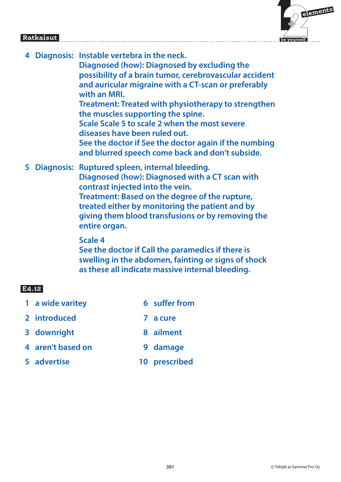

| 4 | Diagnosis: Instable vertebra in the neck.<br>Diagnosed (how): Diagnosed by excluding the<br>possibility of a brain tumor, cerebrovascular accident<br>and auricular migraine with a CT-scan or preferably<br>with an MRI.<br><b>Treatment: Treated with physiotherapy to strengthen</b><br>the muscles supporting the spine.<br>Scale Scale 5 to scale 2 when the most severe<br>diseases have been ruled out.<br>See the doctor if See the doctor again if the numbing<br>and blurred speech come back and don't subside. |
|---|----------------------------------------------------------------------------------------------------------------------------------------------------------------------------------------------------------------------------------------------------------------------------------------------------------------------------------------------------------------------------------------------------------------------------------------------------------------------------------------------------------------------------|
|   | 5 Diagnosis: Ruptured spleen, internal bleeding.<br>Diagnosed (how): Diagnosed with a CT scan with<br>contrast injected into the vein.<br>Treatment: Based on the degree of the rupture,<br>treated either by monitoring the patient and by<br>giving them blood transfusions or by removing the                                                                                                                                                                                                                           |

### **Scale 4**

**entire organ.**

**See the doctor if Call the paramedics if there is swelling in the abdomen, fainting or signs of shock as these all indicate massive internal bleeding.**

### **E4.12**

- **1 a wide varitey 6 suffer from**
- **2 introduced 7 a cure**
- **3 downright 8 ailment**
- **4 aren't based on 9 damage**
- **5 advertise 10 prescribed**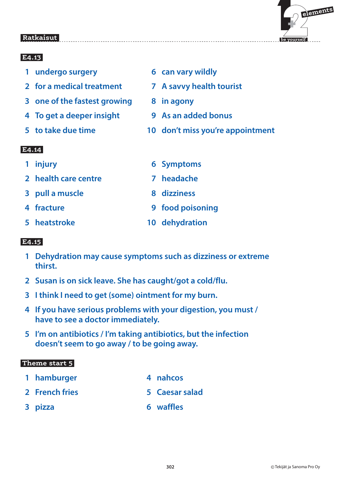

# **E4.13**

- **1 undergo surgery 6 can vary wildly**
- **2 for a medical treatment 7 A savvy health tourist**
- **3 one of the fastest growing 8 in agony**
- **4 To get a deeper insight 9 As an added bonus**
- 
- 
- 
- 
- 
- **5 to take due time 10 don't miss you're appointment**

# **E4.14**

- 
- **2 health care centre 7 headache**
- **3 pull a muscle 8 dizziness**
- 
- 
- **1 injury 6 Symptoms**
	-
	-
- **4 fracture 19 and 19 food poisoning**
- **5 heatstroke 10 dehydration**

# **E4.15**

- **1 Dehydration may cause symptoms such as dizziness or extreme thirst.**
- **2 Susan is on sick leave. She has caught/got a cold/flu.**
- **3 I think I need to get (some) ointment for my burn.**
- **4 If you have serious problems with your digestion, you must / have to see a doctor immediately.**
- **5 I'm on antibiotics / I'm taking antibiotics, but the infection doesn't seem to go away / to be going away.**

### **Theme start 5**

- **1 hamburger 1 amburger 1 4 nahcos**
- 
- 
- 
- **2 French fries 5 Caesar salad**
- **3 pizza 6 waffles**
-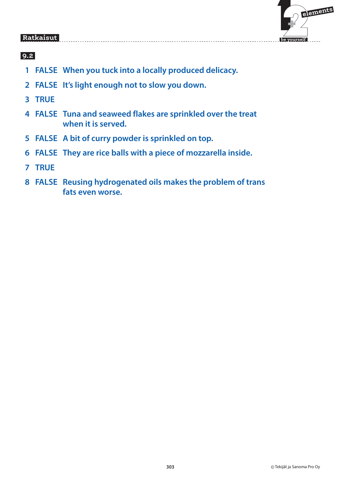

- **1 FALSE When you tuck into a locally produced delicacy.**
- **2 FALSE It's light enough not to slow you down.**
- **3 TRUE**
- **4 FALSE Tuna and seaweed flakes are sprinkled over the treat when it is served.**
- **5 FALSE A bit of curry powder is sprinkled on top.**
- **6 FALSE They are rice balls with a piece of mozzarella inside.**
- **7 TRUE**
- **8 FALSE Reusing hydrogenated oils makes the problem of trans fats even worse.**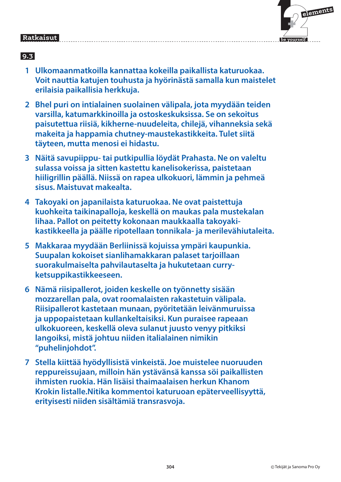| elements    |
|-------------|
| be yourself |

- **1 Ulkomaanmatkoilla kannattaa kokeilla paikallista katuruokaa. Voit nauttia katujen touhusta ja hyörinästä samalla kun maistelet erilaisia paikallisia herkkuja.**
- **2 Bhel puri on intialainen suolainen välipala, jota myydään teiden varsilla, katumarkkinoilla ja ostoskeskuksissa. Se on sekoitus paisutettua riisiä, kikherne-nuudeleita, chilejä, vihanneksia sekä makeita ja happamia chutney-maustekastikkeita. Tulet siitä täyteen, mutta menosi ei hidastu.**
- **3 Näitä savupiippu- tai putkipullia löydät Prahasta. Ne on valeltu sulassa voissa ja sitten kastettu kanelisokerissa, paistetaan hiiligrillin päällä. Niissä on rapea ulkokuori, lämmin ja pehmeä sisus. Maistuvat makealta.**
- **4 Takoyaki on japanilaista katuruokaa. Ne ovat paistettuja kuohkeita taikinapalloja, keskellä on maukas pala mustekalan lihaa. Pallot on peitetty kokonaan maukkaalla takoyakikastikkeella ja päälle ripotellaan tonnikala- ja merilevähiutaleita.**
- **5 Makkaraa myydään Berliinissä kojuissa ympäri kaupunkia. Suupalan kokoiset sianlihamakkaran palaset tarjoillaan suorakulmaiselta pahvilautaselta ja hukutetaan curryketsuppikastikkeeseen.**
- **6 Nämä riisipallerot, joiden keskelle on työnnetty sisään mozzarellan pala, ovat roomalaisten rakastetuin välipala. Riisipallerot kastetaan munaan, pyöritetään leivänmuruissa ja uppopaistetaan kullankeltaisiksi. Kun puraisee rapeaan ulkokuoreen, keskellä oleva sulanut juusto venyy pitkiksi langoiksi, mistä johtuu niiden italialainen nimikin "puhelinjohdot".**
- **7 Stella kiittää hyödyllisistä vinkeistä. Joe muistelee nuoruuden reppureissujaan, milloin hän ystävänsä kanssa söi paikallisten ihmisten ruokia. Hän lisäisi thaimaalaisen herkun Khanom Krokin listalle.Nitika kommentoi katuruoan epäterveellisyyttä, erityisesti niiden sisältämiä transrasvoja.**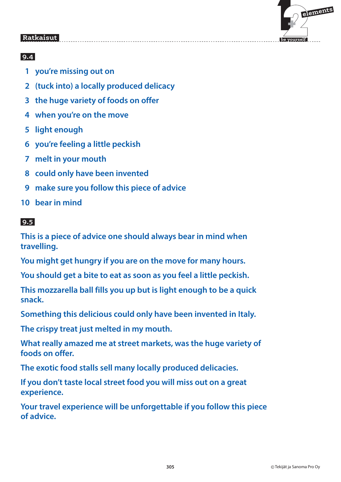

# **9.4**

- **1 you're missing out on**
- **2 (tuck into) a locally produced delicacy**
- **3 the huge variety of foods on offer**
- **4 when you're on the move**
- **5 light enough**
- **6 you're feeling a little peckish**
- **7 melt in your mouth**
- **8 could only have been invented**
- **9 make sure you follow this piece of advice**
- **10 bear in mind**

### **9.5**

**This is a piece of advice one should always bear in mind when travelling.**

**You might get hungry if you are on the move for many hours.**

**You should get a bite to eat as soon as you feel a little peckish.**

**This mozzarella ball fills you up but is light enough to be a quick snack.**

**Something this delicious could only have been invented in Italy.**

**The crispy treat just melted in my mouth.**

**What really amazed me at street markets, was the huge variety of foods on offer.**

**The exotic food stalls sell many locally produced delicacies.**

**If you don't taste local street food you will miss out on a great experience.**

**Your travel experience will be unforgettable if you follow this piece of advice.**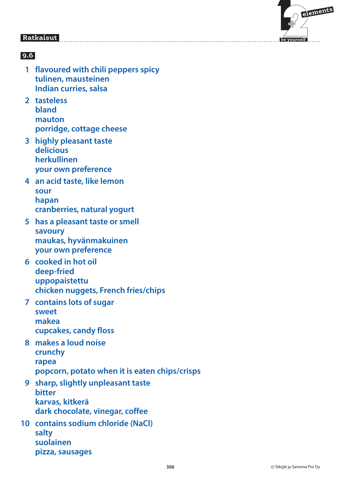

- **1 flavoured with chili peppers spicy tulinen, mausteinen Indian curries, salsa**
- **2 tasteless bland mauton porridge, cottage cheese**
- **3 highly pleasant taste delicious herkullinen your own preference**
- **4 an acid taste, like lemon sour hapan cranberries, natural yogurt**
- **5 has a pleasant taste or smell savoury maukas, hyvänmakuinen your own preference**
- **6 cooked in hot oil deep-fried uppopaistettu chicken nuggets, French fries/chips**
- **7 contains lots of sugar sweet makea cupcakes, candy floss**
- **8 makes a loud noise crunchy rapea popcorn, potato when it is eaten chips/crisps**
- **9 sharp, slightly unpleasant taste bitter karvas, kitkerä dark chocolate, vinegar, coffee**
- **10 contains sodium chloride (NaCl) salty suolainen pizza, sausages**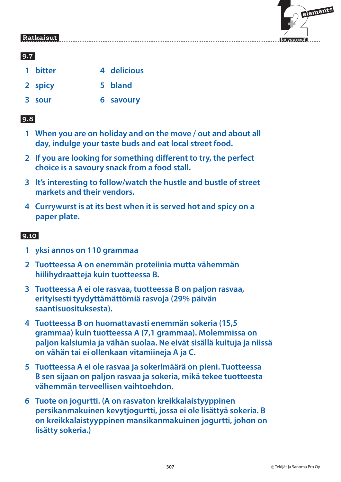

### **9.7**

- 1 bitter **4 delicious**
- **2 spicy 5 bland**
- **3 sour 6 savoury**

## **9.8**

- **1 When you are on holiday and on the move / out and about all day, indulge your taste buds and eat local street food.**
- **2 If you are looking for something different to try, the perfect choice is a savoury snack from a food stall.**
- **3 It's interesting to follow/watch the hustle and bustle of street markets and their vendors.**
- **4 Currywurst is at its best when it is served hot and spicy on a paper plate.**

- **1 yksi annos on 110 grammaa**
- **2 Tuotteessa A on enemmän proteiinia mutta vähemmän hiilihydraatteja kuin tuotteessa B.**
- **3 Tuotteessa A ei ole rasvaa, tuotteessa B on paljon rasvaa, erityisesti tyydyttämättömiä rasvoja (29% päivän saantisuosituksesta).**
- **4 Tuotteessa B on huomattavasti enemmän sokeria (15,5 grammaa) kuin tuotteessa A (7,1 grammaa). Molemmissa on paljon kalsiumia ja vähän suolaa. Ne eivät sisällä kuituja ja niissä on vähän tai ei ollenkaan vitamiineja A ja C.**
- **5 Tuotteessa A ei ole rasvaa ja sokerimäärä on pieni. Tuotteessa B sen sijaan on paljon rasvaa ja sokeria, mikä tekee tuotteesta vähemmän terveellisen vaihtoehdon.**
- **6 Tuote on jogurtti. (A on rasvaton kreikkalaistyyppinen persikanmakuinen kevytjogurtti, jossa ei ole lisättyä sokeria. B on kreikkalaistyyppinen mansikanmakuinen jogurtti, johon on lisätty sokeria.)**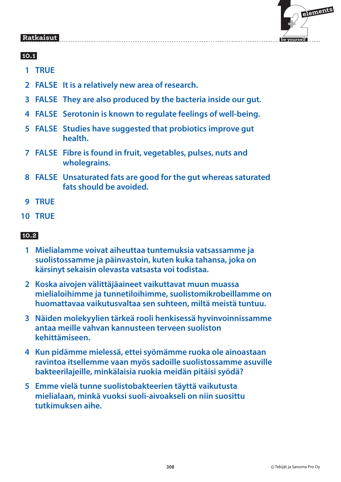

### **10.1**

- **1 TRUE**
- **2 FALSE It is a relatively new area of research.**
- **3 FALSE They are also produced by the bacteria inside our gut.**
- **4 FALSE Serotonin is known to regulate feelings of well-being.**
- **5 FALSE Studies have suggested that probiotics improve gut health.**
- **7 FALSE Fibre is found in fruit, vegetables, pulses, nuts and wholegrains.**
- **8 FALSE Unsaturated fats are good for the gut whereas saturated fats should be avoided.**
- **9 TRUE**
- **10 TRUE**

- **1 Mielialamme voivat aiheuttaa tuntemuksia vatsassamme ja suolistossamme ja päinvastoin, kuten kuka tahansa, joka on kärsinyt sekaisin olevasta vatsasta voi todistaa.**
- **2 Koska aivojen välittäjäaineet vaikuttavat muun muassa mielialoihimme ja tunnetiloihimme, suolistomikrobeillamme on huomattavaa vaikutusvaltaa sen suhteen, miltä meistä tuntuu.**
- **3 Näiden molekyylien tärkeä rooli henkisessä hyvinvoinnissamme antaa meille vahvan kannusteen terveen suoliston kehittämiseen.**
- **4 Kun pidämme mielessä, ettei syömämme ruoka ole ainoastaan ravintoa itsellemme vaan myös sadoille suolistossamme asuville bakteerilajeille, minkälaisia ruokia meidän pitäisi syödä?**
- **5 Emme vielä tunne suolistobakteerien täyttä vaikutusta mielialaan, minkä vuoksi suoli-aivoakseli on niin suosittu tutkimuksen aihe.**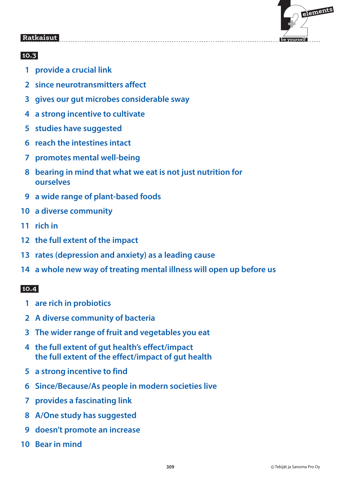

### **10.3**

- **1 provide a crucial link**
- **2 since neurotransmitters affect**
- **3 gives our gut microbes considerable sway**
- **4 a strong incentive to cultivate**
- **5 studies have suggested**
- **6 reach the intestines intact**
- **7 promotes mental well-being**
- **8 bearing in mind that what we eat is not just nutrition for ourselves**
- **9 a wide range of plant-based foods**
- **10 a diverse community**
- **11 rich in**
- **12 the full extent of the impact**
- **13 rates (depression and anxiety) as a leading cause**
- **14 a whole new way of treating mental illness will open up before us**

#### $10.4$  **10.4**

- **1 are rich in probiotics**
- **2 A diverse community of bacteria**
- **3 The wider range of fruit and vegetables you eat**
- **4 the full extent of gut health's effect/impact the full extent of the effect/impact of gut health**
- **5 a strong incentive to find**
- **6 Since/Because/As people in modern societies live**
- **7 provides a fascinating link**
- **8 A/One study has suggested**
- **9 doesn't promote an increase**
- **10 Bear in mind**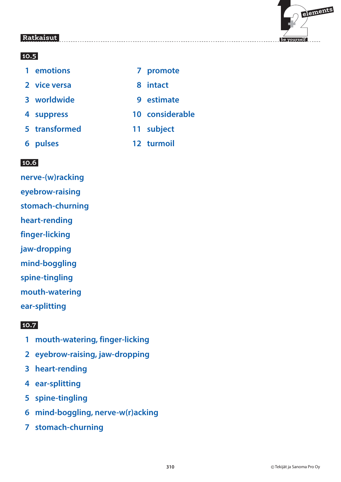

### **10.5**

| 1 emotions    |   | 7 promote       |
|---------------|---|-----------------|
| 2 vice versa  | 8 | intact          |
| 3 worldwide   |   | 9 estimate      |
| 4 suppress    |   | 10 considerable |
| 5 transformed |   | 11 subject      |
| 6 pulses      |   | 12 turmoil      |

# **10.6**

**nerve-(w)racking eyebrow-raising stomach-churning heart-rending finger-licking jaw-dropping mind-boggling spine-tingling mouth-watering ear-splitting**

- **1 mouth-watering, finger-licking**
- **2 eyebrow-raising, jaw-dropping**
- **3 heart-rending**
- **4 ear-splitting**
- **5 spine-tingling**
- **6 mind-boggling, nerve-w(r)acking**
- **7 stomach-churning**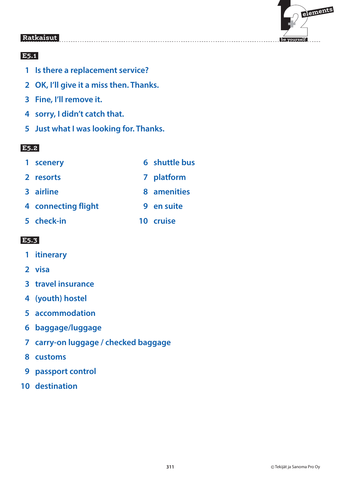

# **E5.1**

- **1 Is there a replacement service?**
- **2 OK, I'll give it a miss then. Thanks.**
- **3 Fine, I'll remove it.**
- **4 sorry, I didn't catch that.**
- **5 Just what I was looking for. Thanks.**

### **E5.2**

- **1 scenery 6 shuttle bus**
	-
- **2 resorts 7 platform**
- **3 airline 8 amenities**
- **4 connecting flight 9 en suite**
- **5 check-in 10 cruise**

- **1 itinerary**
- **2 visa**
- **3 travel insurance**
- **4 (youth) hostel**
- **5 accommodation**
- **6 baggage/luggage**
- **7 carry-on luggage / checked baggage**
- **8 customs**
- **9 passport control**
- **10 destination**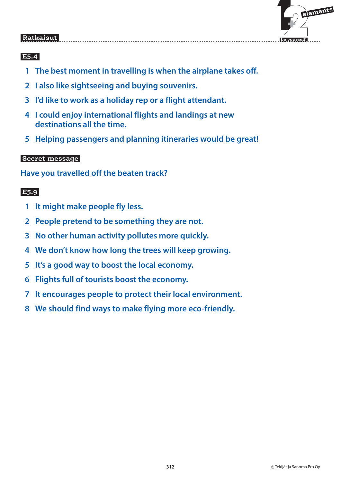

### **E5.4**

- **1 The best moment in travelling is when the airplane takes off.**
- **2 I also like sightseeing and buying souvenirs.**
- **3 I'd like to work as a holiday rep or a flight attendant.**
- **4 I could enjoy international flights and landings at new destinations all the time.**
- **5 Helping passengers and planning itineraries would be great!**

### **Secret message**

**Have you travelled off the beaten track?**

- **1 It might make people fly less.**
- **2 People pretend to be something they are not.**
- **3 No other human activity pollutes more quickly.**
- **4 We don't know how long the trees will keep growing.**
- **5 It's a good way to boost the local economy.**
- **6 Flights full of tourists boost the economy.**
- **7 It encourages people to protect their local environment.**
- **8 We should find ways to make flying more eco-friendly.**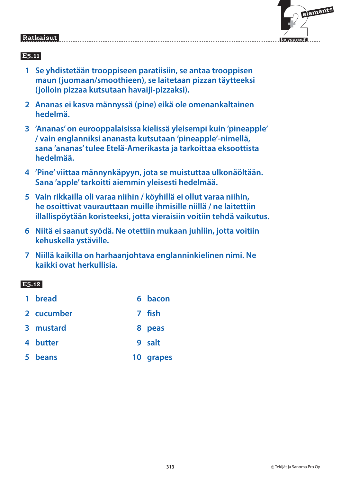

### **E5.11**

- **1 Se yhdistetään trooppiseen paratiisiin, se antaa trooppisen maun (juomaan/smoothieen), se laitetaan pizzan täytteeksi (jolloin pizzaa kutsutaan havaiji-pizzaksi).**
- **2 Ananas ei kasva männyssä (pine) eikä ole omenankaltainen hedelmä.**
- **3 'Ananas' on eurooppalaisissa kielissä yleisempi kuin 'pineapple' / vain englanniksi ananasta kutsutaan 'pineapple'-nimellä, sana 'ananas' tulee Etelä-Amerikasta ja tarkoittaa eksoottista hedelmää.**
- **4 'Pine' viittaa männynkäpyyn, jota se muistuttaa ulkonäöltään. Sana 'apple' tarkoitti aiemmin yleisesti hedelmää.**
- **5 Vain rikkailla oli varaa niihin / köyhillä ei ollut varaa niihin, he osoittivat vaurauttaan muille ihmisille niillä / ne laitettiin illallispöytään koristeeksi, jotta vieraisiin voitiin tehdä vaikutus.**
- **6 Niitä ei saanut syödä. Ne otettiin mukaan juhliin, jotta voitiin kehuskella ystäville.**
- **7 Niillä kaikilla on harhaanjohtava englanninkielinen nimi. Ne kaikki ovat herkullisia.**

| 1 bread    | 6 bacon   |
|------------|-----------|
| 2 cucumber | 7 fish    |
| 3 mustard  | 8 peas    |
| 4 butter   | 9 salt    |
| 5 beans    | 10 grapes |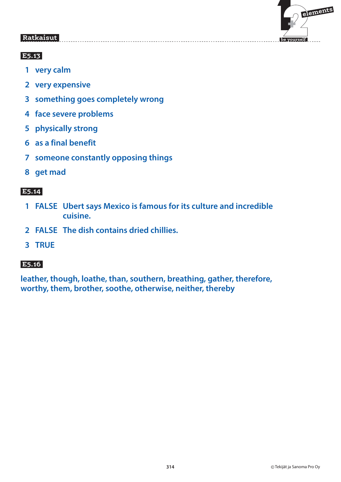

### **E5.13**

- **1 very calm**
- **2 very expensive**
- **3 something goes completely wrong**
- **4 face severe problems**
- **5 physically strong**
- **6 as a final benefit**
- **7 someone constantly opposing things**
- **8 get mad**

# **E5.14**

- **1 FALSE Ubert says Mexico is famous for its culture and incredible cuisine.**
- **2 FALSE The dish contains dried chillies.**
- **3 TRUE**

# **E5.16**

**leather, though, loathe, than, southern, breathing, gather, therefore, worthy, them, brother, soothe, otherwise, neither, thereby**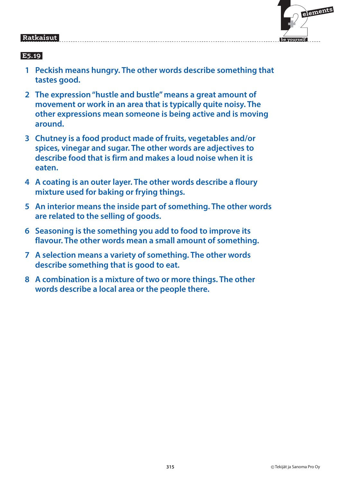### **elements**  $\mathbf{F}$ e vourself

 **be yourself**

#### Ratkaisut  **Ratkaisut**

- **1 Peckish means hungry. The other words describe something that tastes good.**
- **2 The expression "hustle and bustle" means a great amount of movement or work in an area that is typically quite noisy. The other expressions mean someone is being active and is moving around.**
- **3 Chutney is a food product made of fruits, vegetables and/or spices, vinegar and sugar. The other words are adjectives to describe food that is firm and makes a loud noise when it is eaten.**
- **4 A coating is an outer layer. The other words describe a floury mixture used for baking or frying things.**
- **5 An interior means the inside part of something. The other words are related to the selling of goods.**
- **6 Seasoning is the something you add to food to improve its flavour. The other words mean a small amount of something.**
- **7 A selection means a variety of something. The other words describe something that is good to eat.**
- **8 A combination is a mixture of two or more things. The other words describe a local area or the people there.**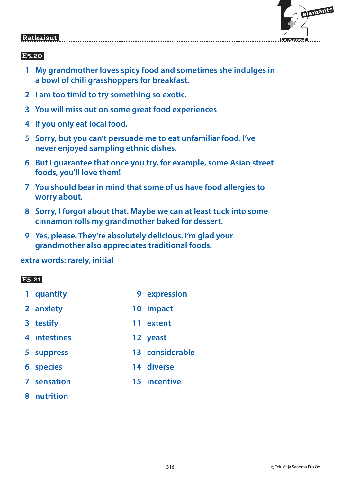

# **E5.20**

- **1 My grandmother loves spicy food and sometimes she indulges in a bowl of chili grasshoppers for breakfast.**
- **2 I am too timid to try something so exotic.**
- **3 You will miss out on some great food experiences**
- **4 if you only eat local food.**
- **5 Sorry, but you can't persuade me to eat unfamiliar food. I've never enjoyed sampling ethnic dishes.**
- **6 But I guarantee that once you try, for example, some Asian street foods, you'll love them!**
- **7 You should bear in mind that some of us have food allergies to worry about.**
- **8 Sorry, I forgot about that. Maybe we can at least tuck into some cinnamon rolls my grandmother baked for dessert.**
- **9 Yes, please. They're absolutely delicious. I'm glad your grandmother also appreciates traditional foods.**

**extra words: rarely, initial**

#### E5.21  **E5.21**

- **1 quantity 9 expression 2 anxiety 10 impact**
- **3 testify 11 extent**
- **4 intestines 12 yeast**
- **5 suppress 13 considerable**
- **6 species 14 diverse**
- **7 sensation 15 incentive**
- **8 nutrition**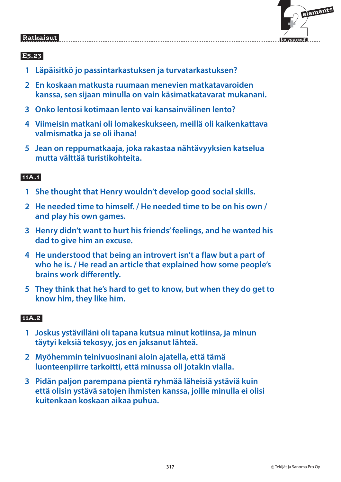

# **E5.23**

- **1 Läpäisitkö jo passintarkastuksen ja turvatarkastuksen?**
- **2 En koskaan matkusta ruumaan menevien matkatavaroiden kanssa, sen sijaan minulla on vain käsimatkatavarat mukanani.**
- **3 Onko lentosi kotimaan lento vai kansainvälinen lento?**
- **4 Viimeisin matkani oli lomakeskukseen, meillä oli kaikenkattava valmismatka ja se oli ihana!**
- **5 Jean on reppumatkaaja, joka rakastaa nähtävyyksien katselua mutta välttää turistikohteita.**

### **11A.1**

- **1 She thought that Henry wouldn't develop good social skills.**
- **2 He needed time to himself. / He needed time to be on his own / and play his own games.**
- **3 Henry didn't want to hurt his friends' feelings, and he wanted his dad to give him an excuse.**
- **4 He understood that being an introvert isn't a flaw but a part of who he is. / He read an article that explained how some people's brains work differently.**
- **5 They think that he's hard to get to know, but when they do get to know him, they like him.**

### **11A.2**

- **1 Joskus ystävilläni oli tapana kutsua minut kotiinsa, ja minun täytyi keksiä tekosyy, jos en jaksanut lähteä.**
- **2 Myöhemmin teinivuosinani aloin ajatella, että tämä luonteenpiirre tarkoitti, että minussa oli jotakin vialla.**
- **3 Pidän paljon parempana pientä ryhmää läheisiä ystäviä kuin että olisin ystävä satojen ihmisten kanssa, joille minulla ei olisi kuitenkaan koskaan aikaa puhua.**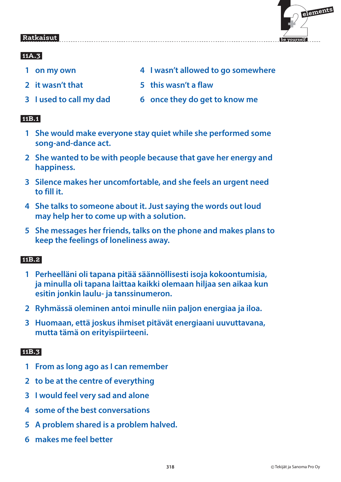

### **11**

- 
- 
- 
- 1 on my own **4 I wasn't allowed to go somewhere**
- **2 it wasn't that 5 this wasn't a flaw**
- **3 I used to call my dad 6 once they do get to know me**

### **11B.1**

- **1 She would make everyone stay quiet while she performed some song-and-dance act.**
- **2 She wanted to be with people because that gave her energy and happiness.**
- **3 Silence makes her uncomfortable, and she feels an urgent need to fill it.**
- **4 She talks to someone about it. Just saying the words out loud may help her to come up with a solution.**
- **5 She messages her friends, talks on the phone and makes plans to keep the feelings of loneliness away.**

# **11B.2**

- **1 Perheelläni oli tapana pitää säännöllisesti isoja kokoontumisia, ja minulla oli tapana laittaa kaikki olemaan hiljaa sen aikaa kun esitin jonkin laulu- ja tanssinumeron.**
- **2 Ryhmässä oleminen antoi minulle niin paljon energiaa ja iloa.**
- **3 Huomaan, että joskus ihmiset pitävät energiaani uuvuttavana, mutta tämä on erityispiirteeni.**

### **11B.3**

- **1 From as long ago as I can remember**
- **2 to be at the centre of everything**
- **3 I would feel very sad and alone**
- **4 some of the best conversations**
- **5 A problem shared is a problem halved.**
- **6 makes me feel better**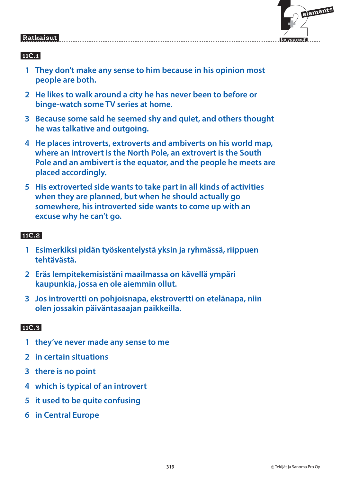# $\mathbf{F}$  **elements**

 **be yourself**

#### Ratkaisut  **Ratkaisut**

# **11C.1**

- **1 They don't make any sense to him because in his opinion most people are both.**
- **2 He likes to walk around a city he has never been to before or binge-watch some TV series at home.**
- **3 Because some said he seemed shy and quiet, and others thought he was talkative and outgoing.**
- **4 He places introverts, extroverts and ambiverts on his world map, where an introvert is the North Pole, an extrovert is the South Pole and an ambivert is the equator, and the people he meets are placed accordingly.**
- **5 His extroverted side wants to take part in all kinds of activities when they are planned, but when he should actually go somewhere, his introverted side wants to come up with an excuse why he can't go.**

# **11C.2**

- **1 Esimerkiksi pidän työskentelystä yksin ja ryhmässä, riippuen tehtävästä.**
- **2 Eräs lempitekemisistäni maailmassa on kävellä ympäri kaupunkia, jossa en ole aiemmin ollut.**
- **3 Jos introvertti on pohjoisnapa, ekstrovertti on etelänapa, niin olen jossakin päiväntasaajan paikkeilla.**

### **11C.3**

- **1 they've never made any sense to me**
- **2 in certain situations**
- **3 there is no point**
- **4 which is typical of an introvert**
- **5 it used to be quite confusing**
- **6 in Central Europe**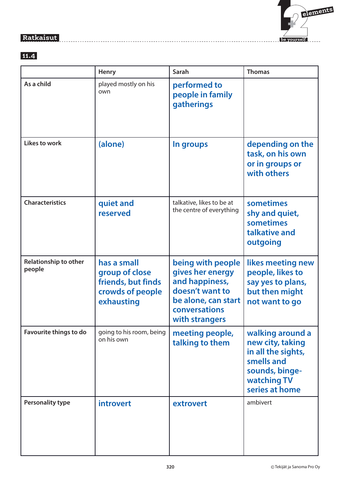

### **11.4**

|                                 | <b>Henry</b>                                                                          | Sarah                                                                                                                                | <b>Thomas</b>                                                                                                               |
|---------------------------------|---------------------------------------------------------------------------------------|--------------------------------------------------------------------------------------------------------------------------------------|-----------------------------------------------------------------------------------------------------------------------------|
| As a child                      | played mostly on his<br>own                                                           | performed to<br>people in family<br>gatherings                                                                                       |                                                                                                                             |
| <b>Likes to work</b>            | (alone)                                                                               | In groups                                                                                                                            | depending on the<br>task, on his own<br>or in groups or<br>with others                                                      |
| <b>Characteristics</b>          | quiet and<br>reserved                                                                 | talkative, likes to be at<br>the centre of everything                                                                                | sometimes<br>shy and quiet,<br>sometimes<br>talkative and<br>outgoing                                                       |
| Relationship to other<br>people | has a small<br>group of close<br>friends, but finds<br>crowds of people<br>exhausting | being with people<br>gives her energy<br>and happiness,<br>doesn't want to<br>be alone, can start<br>conversations<br>with strangers | likes meeting new<br>people, likes to<br>say yes to plans,<br>but then might<br>not want to go                              |
| Favourite things to do          | going to his room, being<br>on his own                                                | meeting people,<br>talking to them                                                                                                   | walking around a<br>new city, taking<br>in all the sights,<br>smells and<br>sounds, binge-<br>watching TV<br>series at home |
| <b>Personality type</b>         | introvert                                                                             | extrovert                                                                                                                            | ambivert                                                                                                                    |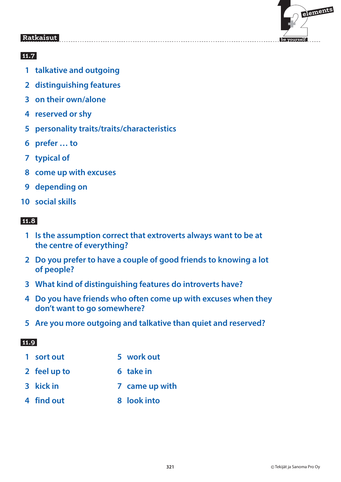

# **11.7**

- **1 talkative and outgoing**
- **2 distinguishing features**
- **3 on their own/alone**
- **4 reserved or shy**
- **5 personality traits/traits/characteristics**
- **6 prefer … to**
- **7 typical of**
- **8 come up with excuses**
- **9 depending on**
- **10 social skills**

# **11.8**

- **1 Is the assumption correct that extroverts always want to be at the centre of everything?**
- **2 Do you prefer to have a couple of good friends to knowing a lot of people?**
- **3 What kind of distinguishing features do introverts have?**
- **4 Do you have friends who often come up with excuses when they don't want to go somewhere?**
- **5 Are you more outgoing and talkative than quiet and reserved?**

- 1 sort out 5 work out
- **2** feel up to 6 take in
- **3 kick in Transform 7 came up with**
- **4 find out 8 look into**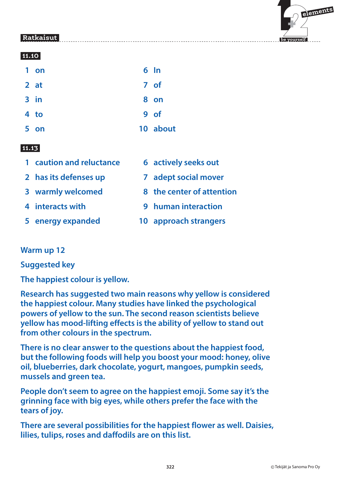

### **11.10**

| 1 on   | $6 \; \mathsf{In}$ |
|--------|--------------------|
| 2 at   | 7 of               |
| $3$ in | 8 on               |
| 4 to   | 9 of               |
| 5 on   | 10 about           |

#### 11.13  **11.13**

- **1 caution and reluctance 6 actively seeks out**
- 
- 
- 
- 
- 
- **2 has its defenses up 7 adept social mover**
- **3 warmly welcomed 8 the center of attention**
- **4 interacts with 9 human interaction**
- **5 energy expanded 10 approach strangers**

### **Warm up 12**

**Suggested key**

**The happiest colour is yellow.**

**Research has suggested two main reasons why yellow is considered the happiest colour. Many studies have linked the psychological powers of yellow to the sun. The second reason scientists believe yellow has mood-lifting effects is the ability of yellow to stand out from other colours in the spectrum.**

**There is no clear answer to the questions about the happiest food, but the following foods will help you boost your mood: honey, olive oil, blueberries, dark chocolate, yogurt, mangoes, pumpkin seeds, mussels and green tea.**

**People don't seem to agree on the happiest emoji. Some say it's the grinning face with big eyes, while others prefer the face with the tears of joy.**

**There are several possibilities for the happiest flower as well. Daisies, lilies, tulips, roses and daffodils are on this list.**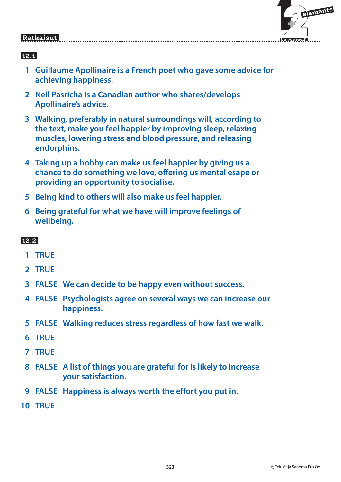

# **12.1**

- **1 Guillaume Apollinaire is a French poet who gave some advice for achieving happiness.**
- **2 Neil Pasricha is a Canadian author who shares/develops Apollinaire's advice.**
- **3 Walking, preferably in natural surroundings will, according to the text, make you feel happier by improving sleep, relaxing muscles, lowering stress and blood pressure, and releasing endorphins.**
- **4 Taking up a hobby can make us feel happier by giving us a chance to do something we love, offering us mental esape or providing an opportunity to socialise.**
- **5 Being kind to others will also make us feel happier.**
- **6 Being grateful for what we have will improve feelings of wellbeing.**

- **1 TRUE**
- **2 TRUE**
- **3 FALSE We can decide to be happy even without success.**
- **4 FALSE Psychologists agree on several ways we can increase our happiness.**
- **5 FALSE Walking reduces stress regardless of how fast we walk.**
- **6 TRUE**
- **7 TRUE**
- **8 FALSE A list of things you are grateful for is likely to increase your satisfaction.**
- **9 FALSE Happiness is always worth the effort you put in.**
- **10 TRUE**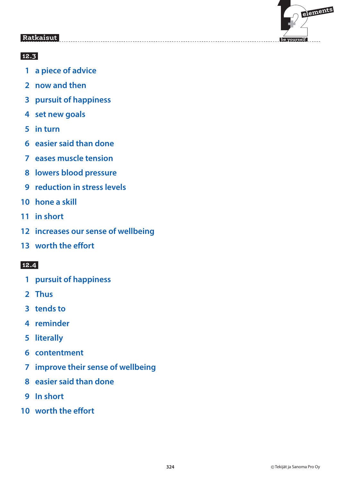

## **12.3**

- **1 a piece of advice**
- **2 now and then**
- **3 pursuit of happiness**
- **4 set new goals**
- **5 in turn**
- **6 easier said than done**
- **7 eases muscle tension**
- **8 lowers blood pressure**
- **9 reduction in stress levels**
- **10 hone a skill**
- **11 in short**
- **12 increases our sense of wellbeing**
- **13 worth the effort**

- **1 pursuit of happiness**
- **2 Thus**
- **3 tends to**
- **4 reminder**
- **5 literally**
- **6 contentment**
- **7 improve their sense of wellbeing**
- **8 easier said than done**
- **9 In short**
- **10 worth the effort**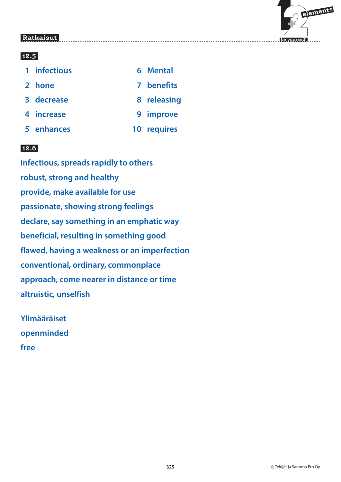

### **12.5**

| 1 infectious | 6 Mental    |
|--------------|-------------|
| 2 hone       | 7 benefits  |
| 3 decrease   | 8 releasing |
| 4 increase   | 9 improve   |
| 5 enhances   | 10 requires |

### **12.6**

**infectious, spreads rapidly to others robust, strong and healthy provide, make available for use passionate, showing strong feelings declare, say something in an emphatic way beneficial, resulting in something good flawed, having a weakness or an imperfection conventional, ordinary, commonplace approach, come nearer in distance or time altruistic, unselfish**

**Ylimääräiset openminded free**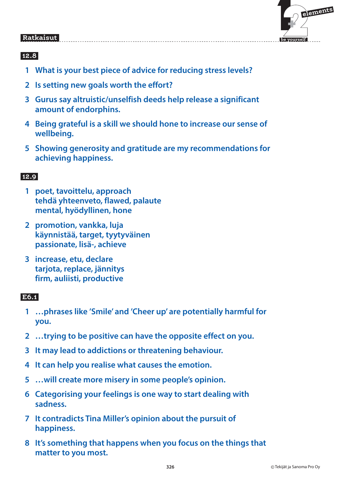

### **12.8**

- **1 What is your best piece of advice for reducing stress levels?**
- **2 Is setting new goals worth the effort?**
- **3 Gurus say altruistic/unselfish deeds help release a significant amount of endorphins.**
- **4 Being grateful is a skill we should hone to increase our sense of wellbeing.**
- **5 Showing generosity and gratitude are my recommendations for achieving happiness.**

### **12.9**

- **1 poet, tavoittelu, approach tehdä yhteenveto, flawed, palaute mental, hyödyllinen, hone**
- **2 promotion, vankka, luja käynnistää, target, tyytyväinen passionate, lisä-, achieve**
- **3 increase, etu, declare tarjota, replace, jännitys firm, auliisti, productive**

### **E6.1**

- **1 …phrases like 'Smile' and 'Cheer up' are potentially harmful for you.**
- **2 …trying to be positive can have the opposite effect on you.**
- **3 It may lead to addictions or threatening behaviour.**
- **4 It can help you realise what causes the emotion.**
- **5 …will create more misery in some people's opinion.**
- **6 Categorising your feelings is one way to start dealing with sadness.**
- **7 It contradicts Tina Miller's opinion about the pursuit of happiness.**
- **8 It's something that happens when you focus on the things that matter to you most.**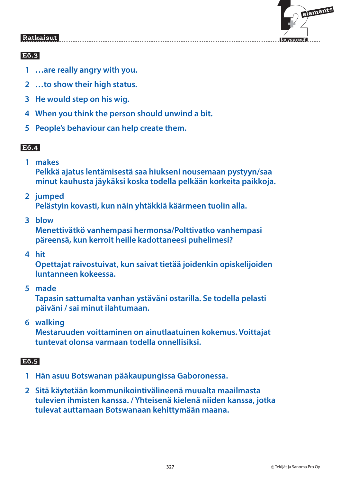

# **E6.3**

- **1 …are really angry with you.**
- **2 …to show their high status.**
- **3 He would step on his wig.**
- **4 When you think the person should unwind a bit.**
- **5 People's behaviour can help create them.**

### **E6.4**

 **1 makes** 

**Pelkkä ajatus lentämisestä saa hiukseni nousemaan pystyyn/saa minut kauhusta jäykäksi koska todella pelkään korkeita paikkoja.**

### **2 jumped**

**Pelästyin kovasti, kun näin yhtäkkiä käärmeen tuolin alla.**

 **3 blow** 

**Menettivätkö vanhempasi hermonsa/Polttivatko vanhempasi päreensä, kun kerroit heille kadottaneesi puhelimesi?**

 **4 hit** 

**Opettajat raivostuivat, kun saivat tietää joidenkin opiskelijoiden luntanneen kokeessa.**

 **5 made** 

**Tapasin sattumalta vanhan ystäväni ostarilla. Se todella pelasti päiväni / sai minut ilahtumaan.**

 **6 walking** 

**Mestaruuden voittaminen on ainutlaatuinen kokemus. Voittajat tuntevat olonsa varmaan todella onnellisiksi.**

#### $E6.5$  **E6.5**

- **1 Hän asuu Botswanan pääkaupungissa Gaboronessa.**
- **2 Sitä käytetään kommunikointivälineenä muualta maailmasta tulevien ihmisten kanssa. / Yhteisenä kielenä niiden kanssa, jotka tulevat auttamaan Botswanaan kehittymään maana.**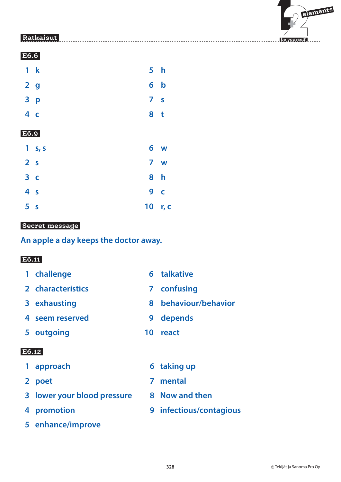

| E6.6           |                |                         |                         |
|----------------|----------------|-------------------------|-------------------------|
|                | 1 k            | 5 <sub>h</sub>          |                         |
| 2 <sub>g</sub> |                |                         | 6 <sub>b</sub>          |
|                | 3 p            | $\overline{\mathbf{z}}$ | $\mathsf{S}$            |
| 4 <sub>c</sub> |                | 8 <sub>t</sub>          |                         |
| E6.9           |                |                         |                         |
|                | 1 s, s         |                         | 6 w                     |
| 2 <sub>s</sub> |                |                         | 7 w                     |
|                | 3 <sup>c</sup> | 8                       | h                       |
| 4 <sub>s</sub> |                | 9                       | $\overline{\mathsf{C}}$ |
| 5 <sub>s</sub> |                | 10                      | r, c                    |
|                |                |                         |                         |

### **Secret message**

**An apple a day keeps the doctor away.**

### **E6.11**

- 1 challenge 6 talkative
- **2 characteristics 7 confusing**
- 
- **4 seem reserved 9 depends**
- **5 outgoing 10 react**
- **E6.12** 
	-
	-
	- **3 lower your blood pressure 8 Now and then**
	-
	- **5 enhance/improve**
- 
- 
- **3 exhausting 8 behaviour/behavior**
	-
	-
- **1 approach 6 taking up**
- **2 poet 7 mental**
	-
- **4 promotion 9 infectious/contagious**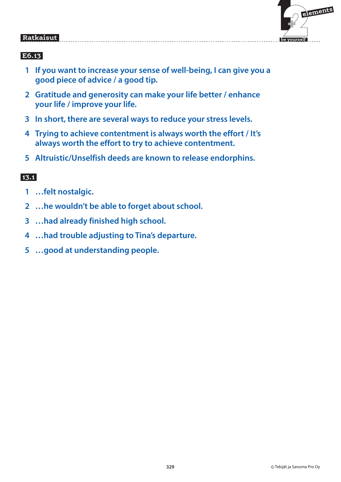

### **E6.13**

- **1 If you want to increase your sense of well-being, I can give you a good piece of advice / a good tip.**
- **2 Gratitude and generosity can make your life better / enhance your life / improve your life.**
- **3 In short, there are several ways to reduce your stress levels.**
- **4 Trying to achieve contentment is always worth the effort / It's always worth the effort to try to achieve contentment.**
- **5 Altruistic/Unselfish deeds are known to release endorphins.**

- **1 …felt nostalgic.**
- **2 …he wouldn't be able to forget about school.**
- **3 …had already finished high school.**
- **4 …had trouble adjusting to Tina's departure.**
- **5 …good at understanding people.**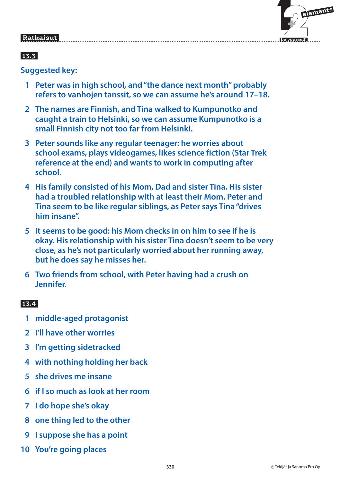# $\mathbf{F}$  **elements**

 **be yourself**

#### Ratkaisut  **Ratkaisut**

# **13.3**

**Suggested key:**

- **1 Peter was in high school, and "the dance next month" probably refers to vanhojen tanssit, so we can assume he's around 17–18.**
- **2 The names are Finnish, and Tina walked to Kumpunotko and caught a train to Helsinki, so we can assume Kumpunotko is a small Finnish city not too far from Helsinki.**
- **3 Peter sounds like any regular teenager: he worries about school exams, plays videogames, likes science fiction (Star Trek reference at the end) and wants to work in computing after school.**
- **4 His family consisted of his Mom, Dad and sister Tina. His sister had a troubled relationship with at least their Mom. Peter and Tina seem to be like regular siblings, as Peter says Tina "drives him insane".**
- **5 It seems to be good: his Mom checks in on him to see if he is okay. His relationship with his sister Tina doesn't seem to be very close, as he's not particularly worried about her running away, but he does say he misses her.**
- **6 Two friends from school, with Peter having had a crush on Jennifer.**

- **1 middle-aged protagonist**
- **2 I'll have other worries**
- **3 I'm getting sidetracked**
- **4 with nothing holding her back**
- **5 she drives me insane**
- **6 if I so much as look at her room**
- **7 I do hope she's okay**
- **8 one thing led to the other**
- **9 I suppose she has a point**
- **10 You're going places**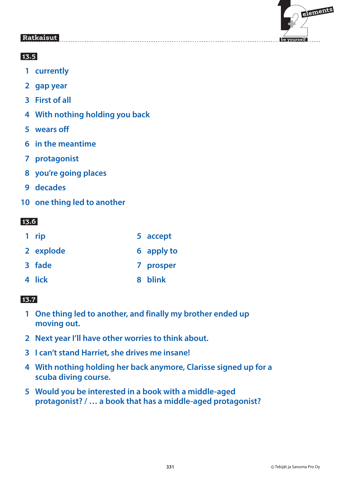

### **13.5**

- **1 currently**
- **2 gap year**
- **3 First of all**
- **4 With nothing holding you back**
- **5 wears off**
- **6 in the meantime**
- **7 protagonist**
- **8 you're going places**
- **9 decades**
- **10 one thing led to another**

# **13.6**

| 1 rip     | 5 accept   |
|-----------|------------|
| 2 explode | 6 apply to |
| 3 fade    | 7 prosper  |
| 4 lick    | 8 blink    |

- **1 One thing led to another, and finally my brother ended up moving out.**
- **2 Next year I'll have other worries to think about.**
- **3 I can't stand Harriet, she drives me insane!**
- **4 With nothing holding her back anymore, Clarisse signed up for a scuba diving course.**
- **5 Would you be interested in a book with a middle-aged protagonist? / … a book that has a middle-aged protagonist?**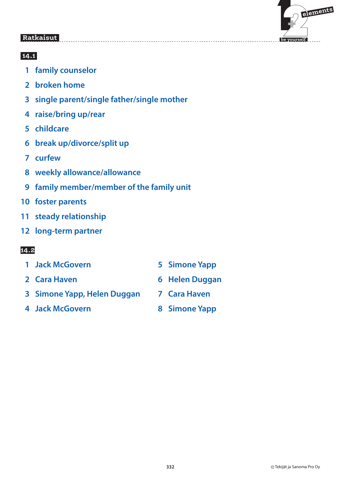

#### **14.1**

- **1 family counselor**
- **2 broken home**
- **3 single parent/single father/single mother**
- **4 raise/bring up/rear**
- **5 childcare**
- **6 break up/divorce/split up**
- **7 curfew**
- **8 weekly allowance/allowance**
- **9 family member/member of the family unit**
- **10 foster parents**
- **11 steady relationship**
- **12 long-term partner**

- **1 Jack McGovern 5 Simone Yapp**
- 
- **2 Cara Haven 6 Helen Duggan**
- **3 Simone Yapp, Helen Duggan 7 Cara Haven**
- **4 Jack McGovern 8 Simone Yapp**
- 
- -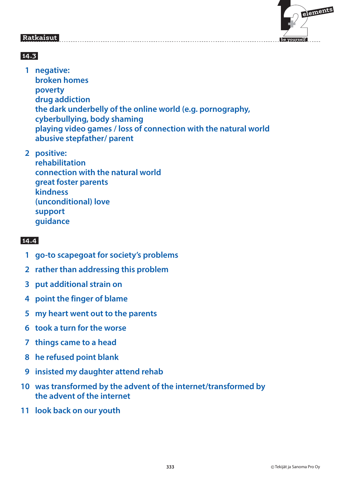

# **14.3**

 **1 negative: broken homes poverty drug addiction the dark underbelly of the online world (e.g. pornography, cyberbullying, body shaming playing video games / loss of connection with the natural world abusive stepfather/ parent**

 **2 positive: rehabilitation connection with the natural world great foster parents kindness (unconditional) love support guidance**

- **1 go-to scapegoat for society's problems**
- **2 rather than addressing this problem**
- **3 put additional strain on**
- **4 point the finger of blame**
- **5 my heart went out to the parents**
- **6 took a turn for the worse**
- **7 things came to a head**
- **8 he refused point blank**
- **9 insisted my daughter attend rehab**
- **10 was transformed by the advent of the internet/transformed by the advent of the internet**
- **11 look back on our youth**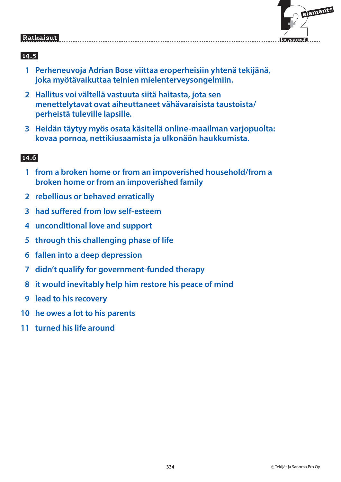

#### **14.5**

- **1 Perheneuvoja Adrian Bose viittaa eroperheisiin yhtenä tekijänä, joka myötävaikuttaa teinien mielenterveysongelmiin.**
- **2 Hallitus voi vältellä vastuuta siitä haitasta, jota sen menettelytavat ovat aiheuttaneet vähävaraisista taustoista/ perheistä tuleville lapsille.**
- **3 Heidän täytyy myös osata käsitellä online-maailman varjopuolta: kovaa pornoa, nettikiusaamista ja ulkonäön haukkumista.**

- **1 from a broken home or from an impoverished household/from a broken home or from an impoverished family**
- **2 rebellious or behaved erratically**
- **3 had suffered from low self-esteem**
- **4 unconditional love and support**
- **5 through this challenging phase of life**
- **6 fallen into a deep depression**
- **7 didn't qualify for government-funded therapy**
- **8 it would inevitably help him restore his peace of mind**
- **9 lead to his recovery**
- **10 he owes a lot to his parents**
- **11 turned his life around**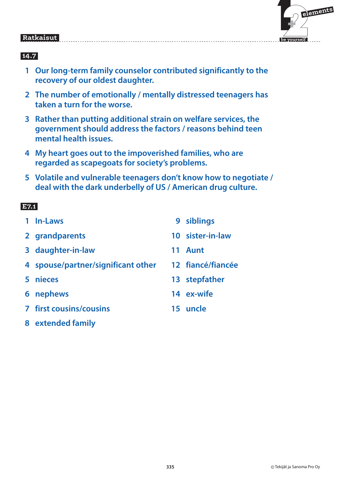

#### **14.7**

- **1 Our long-term family counselor contributed significantly to the recovery of our oldest daughter.**
- **2 The number of emotionally / mentally distressed teenagers has taken a turn for the worse.**
- **3 Rather than putting additional strain on welfare services, the government should address the factors / reasons behind teen mental health issues.**
- **4 My heart goes out to the impoverished families, who are regarded as scapegoats for society's problems.**
- **5 Volatile and vulnerable teenagers don't know how to negotiate / deal with the dark underbelly of US / American drug culture.**

#### **E7.1**

| 1 In-Laws                          | 9  | siblings          |
|------------------------------------|----|-------------------|
| 2 grandparents                     |    | 10 sister-in-law  |
| 3 daughter-in-law                  | 11 | <b>Aunt</b>       |
| 4 spouse/partner/significant other |    | 12 fiancé/fiancée |
| 5 nieces                           |    | 13 stepfather     |
| 6 nephews                          |    | 14 ex-wife        |
| <b>7 first cousins/cousins</b>     |    | 15 uncle          |
| extended family                    |    |                   |

 **8 extended family**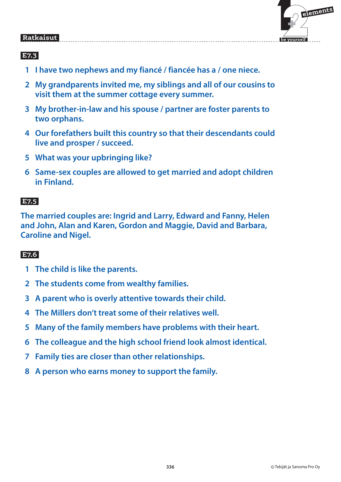

# **E7.3**

- **1 I have two nephews and my fiancé / fiancée has a / one niece.**
- **2 My grandparents invited me, my siblings and all of our cousins to visit them at the summer cottage every summer.**
- **3 My brother-in-law and his spouse / partner are foster parents to two orphans.**
- **4 Our forefathers built this country so that their descendants could live and prosper / succeed.**
- **5 What was your upbringing like?**
- **6 Same-sex couples are allowed to get married and adopt children in Finland.**

#### E7.5  **E7.5**

**The married couples are: Ingrid and Larry, Edward and Fanny, Helen and John, Alan and Karen, Gordon and Maggie, David and Barbara, Caroline and Nigel.**

#### E7.6  **E7.6**

- **1 The child is like the parents.**
- **2 The students come from wealthy families.**
- **3 A parent who is overly attentive towards their child.**
- **4 The Millers don't treat some of their relatives well.**
- **5 Many of the family members have problems with their heart.**
- **6 The colleague and the high school friend look almost identical.**
- **7 Family ties are closer than other relationships.**
- **8 A person who earns money to support the family.**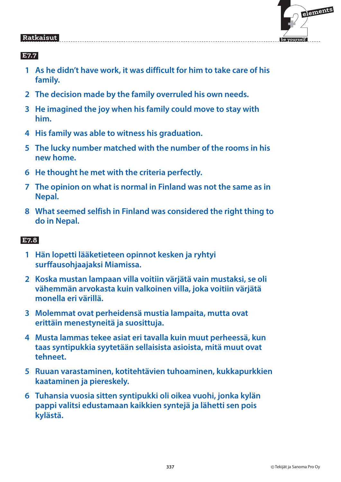

#### **E7.7**

- **1 As he didn't have work, it was difficult for him to take care of his family.**
- **2 The decision made by the family overruled his own needs.**
- **3 He imagined the joy when his family could move to stay with him.**
- **4 His family was able to witness his graduation.**
- **5 The lucky number matched with the number of the rooms in his new home.**
- **6 He thought he met with the criteria perfectly.**
- **7 The opinion on what is normal in Finland was not the same as in Nepal.**
- **8 What seemed selfish in Finland was considered the right thing to do in Nepal.**

#### **E7.8**

- **1 Hän lopetti lääketieteen opinnot kesken ja ryhtyi surffausohjaajaksi Miamissa.**
- **2 Koska mustan lampaan villa voitiin värjätä vain mustaksi, se oli vähemmän arvokasta kuin valkoinen villa, joka voitiin värjätä monella eri värillä.**
- **3 Molemmat ovat perheidensä mustia lampaita, mutta ovat erittäin menestyneitä ja suosittuja.**
- **4 Musta lammas tekee asiat eri tavalla kuin muut perheessä, kun taas syntipukkia syytetään sellaisista asioista, mitä muut ovat tehneet.**
- **5 Ruuan varastaminen, kotitehtävien tuhoaminen, kukkapurkkien kaataminen ja piereskely.**
- **6 Tuhansia vuosia sitten syntipukki oli oikea vuohi, jonka kylän pappi valitsi edustamaan kaikkien syntejä ja lähetti sen pois kylästä.**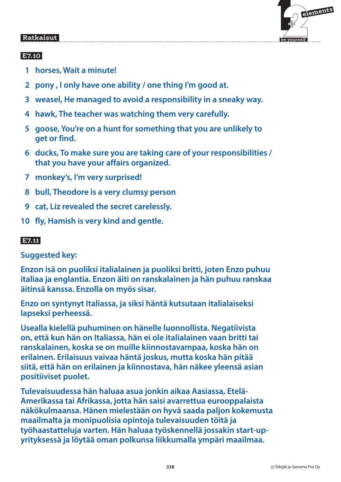

### **E7.10**

- **1 horses, Wait a minute!**
- **2 pony , I only have one ability / one thing I'm good at.**
- **3 weasel, He managed to avoid a responsibility in a sneaky way.**
- **4 hawk, The teacher was watching them very carefully.**
- **5 goose, You're on a hunt for something that you are unlikely to get or find.**
- **6 ducks, To make sure you are taking care of your responsibilities / that you have your affairs organized.**
- **7 monkey's, I'm very surprised!**
- **8 bull, Theodore is a very clumsy person**
- **9 cat, Liz revealed the secret carelessly.**
- **10 fly, Hamish is very kind and gentle.**

### **E7.11**

**Suggested key:**

**Enzon isä on puoliksi italialainen ja puoliksi britti, joten Enzo puhuu italiaa ja englantia. Enzon äiti on ranskalainen ja hän puhuu ranskaa äitinsä kanssa. Enzolla on myös sisar.**

**Enzo on syntynyt Italiassa, ja siksi häntä kutsutaan italialaiseksi lapseksi perheessä.**

**Usealla kielellä puhuminen on hänelle luonnollista. Negatiivista on, että kun hän on Italiassa, hän ei ole italialainen vaan britti tai ranskalainen, koska se on muille kiinnostavampaa, koska hän on erilainen. Erilaisuus vaivaa häntä joskus, mutta koska hän pitää siitä, että hän on erilainen ja kiinnostava, hän näkee yleensä asian positiiviset puolet.**

**Tulevaisuudessa hän haluaa asua jonkin aikaa Aasiassa, Etelä-Amerikassa tai Afrikassa, jotta hän saisi avarrettua eurooppalaista näkökulmaansa. Hänen mielestään on hyvä saada paljon kokemusta maailmalta ja monipuolisia opintoja tulevaisuuden töitä ja työhaastatteluja varten. Hän haluaa työskennellä jossakin start-upyrityksessä ja löytää oman polkunsa liikkumalla ympäri maailmaa.**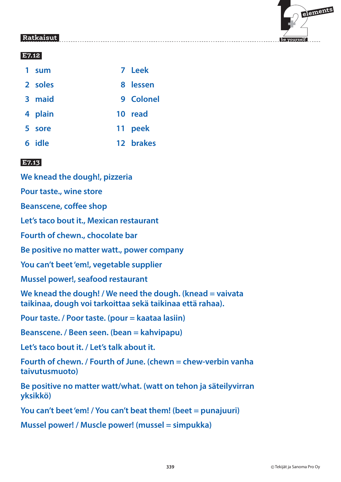

#### **E7.12**

| ı | <b>sum</b> | 7 Leek    |
|---|------------|-----------|
|   | 2 soles    | 8 lessen  |
|   | 3 maid     | 9 Colonel |
|   | 4 plain    | 10 read   |
|   | 5 sore     | 11 peek   |
|   | 6 idle     | 12 brakes |

### **E7.13**

**We knead the dough!, pizzeria**

**Pour taste., wine store**

**Beanscene, coffee shop**

**Let's taco bout it., Mexican restaurant**

**Fourth of chewn., chocolate bar**

**Be positive no matter watt., power company**

**You can't beet 'em!, vegetable supplier**

**Mussel power!, seafood restaurant**

**We knead the dough! / We need the dough. (knead = vaivata taikinaa, dough voi tarkoittaa sekä taikinaa että rahaa).**

**Pour taste. / Poor taste. (pour = kaataa lasiin)**

**Beanscene. / Been seen. (bean = kahvipapu)**

**Let's taco bout it. / Let's talk about it.**

**Fourth of chewn. / Fourth of June. (chewn = chew-verbin vanha taivutusmuoto)**

**Be positive no matter watt/what. (watt on tehon ja säteilyvirran yksikkö)**

**You can't beet 'em! / You can't beat them! (beet = punajuuri)**

**Mussel power! / Muscle power! (mussel = simpukka)**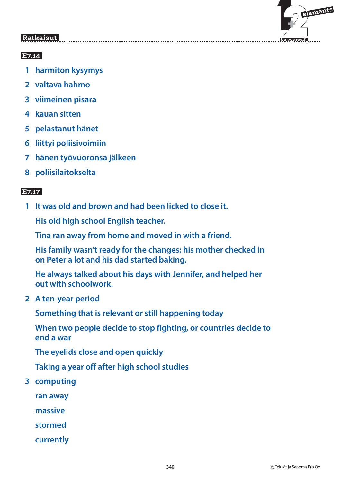

### **E7.14**

- **1 harmiton kysymys**
- **2 valtava hahmo**
- **3 viimeinen pisara**
- **4 kauan sitten**
- **5 pelastanut hänet**
- **6 liittyi poliisivoimiin**
- **7 hänen työvuoronsa jälkeen**
- **8 poliisilaitokselta**

### **E7.17**

 **1 It was old and brown and had been licked to close it.**

 **His old high school English teacher.**

 **Tina ran away from home and moved in with a friend.**

 **His family wasn't ready for the changes: his mother checked in on Peter a lot and his dad started baking.**

 **He always talked about his days with Jennifer, and helped her out with schoolwork.**

 **2 A ten-year period**

 **Something that is relevant or still happening today**

 **When two people decide to stop fighting, or countries decide to end a war**

 **The eyelids close and open quickly**

 **Taking a year off after high school studies**

 **3 computing**

 **ran away**

 **massive**

 **stormed**

 **currently**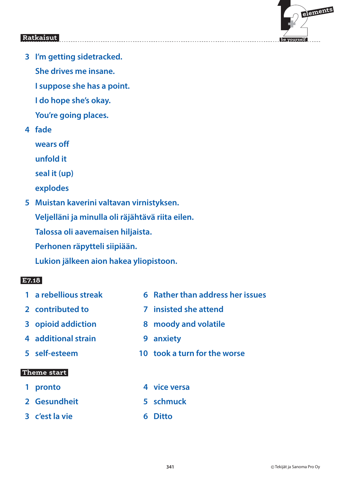

 **3 I'm getting sidetracked.**

 **She drives me insane.**

 **I suppose she has a point.**

 **I do hope she's okay.**

 **You're going places.**

 **4 fade**

 **wears off**

 **unfold it**

 **seal it (up)**

- **explodes**
- **5 Muistan kaverini valtavan virnistyksen.**

 **Veljelläni ja minulla oli räjähtävä riita eilen.**

 **Talossa oli aavemaisen hiljaista.**

 **Perhonen räpytteli siipiään.**

 **Lukion jälkeen aion hakea yliopistoon.**

# **E7.18**

- 
- 
- 
- **4 additional strain 9 anxiety**
- 

#### **Theme start**

- 
- **2 Gesundheit 5 schmuck**
- **3 c'est la vie 6 Ditto**
- **1 a rebellious streak 6 Rather than address her issues**
- **2 contributed to 7 insisted she attend**
- **3 opioid addiction 8 moody and volatile**
	-
- **5 self-esteem 10 took a turn for the worse**
- **1 pronto 4 vice versa** 
	-
	-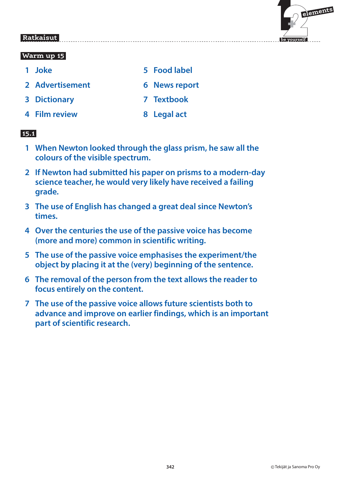

#### **Warm up 15**

- 
- **2 Advertisement 6 News report**
- **3 Dictionary 7 Textbook**
- **4 Film review 8 Legal act**
- **1 Joke 5 Food label**
	-
	-
	-

- **1 When Newton looked through the glass prism, he saw all the colours of the visible spectrum.**
- **2 If Newton had submitted his paper on prisms to a modern-day science teacher, he would very likely have received a failing grade.**
- **3 The use of English has changed a great deal since Newton's times.**
- **4 Over the centuries the use of the passive voice has become (more and more) common in scientific writing.**
- **5 The use of the passive voice emphasises the experiment/the object by placing it at the (very) beginning of the sentence.**
- **6 The removal of the person from the text allows the reader to focus entirely on the content.**
- **7 The use of the passive voice allows future scientists both to advance and improve on earlier findings, which is an important part of scientific research.**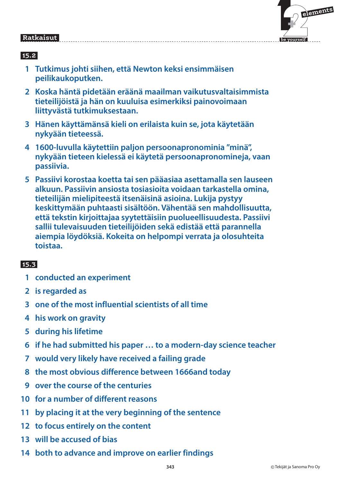

#### **15.2**

- **1 Tutkimus johti siihen, että Newton keksi ensimmäisen peilikaukoputken.**
- **2 Koska häntä pidetään eräänä maailman vaikutusvaltaisimmista tieteilijöistä ja hän on kuuluisa esimerkiksi painovoimaan liittyvästä tutkimuksestaan.**
- **3 Hänen käyttämänsä kieli on erilaista kuin se, jota käytetään nykyään tieteessä.**
- **4 1600-luvulla käytettiin paljon persoonapronominia "minä", nykyään tieteen kielessä ei käytetä persoonapronomineja, vaan passiivia.**
- **5 Passiivi korostaa koetta tai sen pääasiaa asettamalla sen lauseen alkuun. Passiivin ansiosta tosiasioita voidaan tarkastella omina, tieteilijän mielipiteestä itsenäisinä asioina. Lukija pystyy keskittymään puhtaasti sisältöön. Vähentää sen mahdollisuutta, että tekstin kirjoittajaa syytettäisiin puolueellisuudesta. Passiivi sallii tulevaisuuden tieteilijöiden sekä edistää että parannella aiempia löydöksiä. Kokeita on helpompi verrata ja olosuhteita toistaa.**

- **1 conducted an experiment**
- **2 is regarded as**
- **3 one of the most influential scientists of all time**
- **4 his work on gravity**
- **5 during his lifetime**
- **6 if he had submitted his paper … to a modern-day science teacher**
- **7 would very likely have received a failing grade**
- **8 the most obvious difference between 1666and today**
- **9 over the course of the centuries**
- **10 for a number of different reasons**
- **11 by placing it at the very beginning of the sentence**
- **12 to focus entirely on the content**
- **13 will be accused of bias**
- **14 both to advance and improve on earlier findings**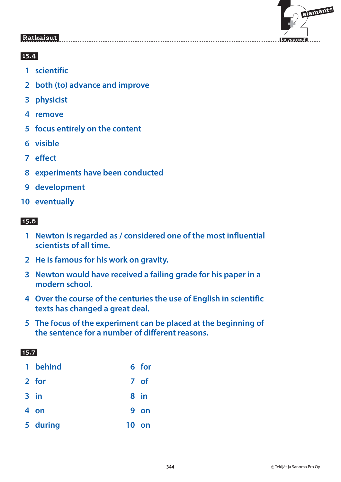

#### **15.4**

- **1 scientific**
- **2 both (to) advance and improve**
- **3 physicist**
- **4 remove**
- **5 focus entirely on the content**
- **6 visible**
- **7 effect**
- **8 experiments have been conducted**
- **9 development**
- **10 eventually**

# **15.6**

- **1 Newton is regarded as / considered one of the most influential scientists of all time.**
- **2 He is famous for his work on gravity.**
- **3 Newton would have received a failing grade for his paper in a modern school.**
- **4 Over the course of the centuries the use of English in scientific texts has changed a great deal.**
- **5 The focus of the experiment can be placed at the beginning of the sentence for a number of different reasons.**

| 1 behind | 6 for |
|----------|-------|
| 2 for    | 7 of  |
| $3$ in   | 8 in  |
| 4 on     | 9 on  |
| 5 during | 10 on |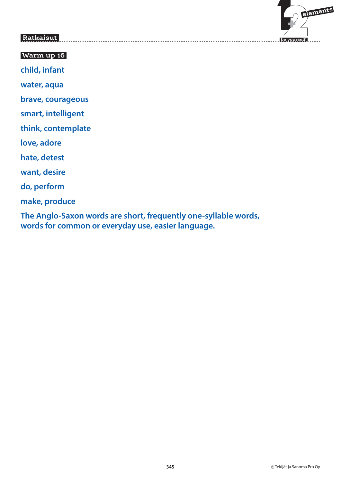

#### **Warm up 16**

**child, infant**

**water, aqua**

**brave, courageous**

**smart, intelligent**

**think, contemplate**

**love, adore**

**hate, detest**

**want, desire**

**do, perform**

**make, produce**

**The Anglo-Saxon words are short, frequently one-syllable words, words for common or everyday use, easier language.**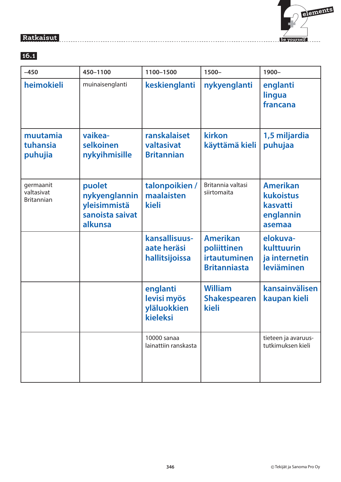# $\mathbf{F}$  **elements be yourself**

#### **Ratkaisut**

#### **16.1**

| $-450$                                       | 450-1100                                                              | 1100-1500                                          | 1500-                                                                 | 1900-                                                           |
|----------------------------------------------|-----------------------------------------------------------------------|----------------------------------------------------|-----------------------------------------------------------------------|-----------------------------------------------------------------|
| heimokieli                                   | muinaisenglanti                                                       | keskienglanti                                      | nykyenglanti                                                          | englanti<br>lingua<br>francana                                  |
| muutamia<br>tuhansia<br>puhujia              | vaikea-<br>selkoinen<br>nykyihmisille                                 | ranskalaiset<br>valtasivat<br><b>Britannian</b>    | kirkon<br>käyttämä kieli                                              | 1,5 miljardia<br>puhujaa                                        |
| germaanit<br>valtasivat<br><b>Britannian</b> | puolet<br>nykyenglannin<br>yleisimmistä<br>sanoista saivat<br>alkunsa | talonpoikien /<br>maalaisten<br>kieli              | Britannia valtasi<br>siirtomaita                                      | <b>Amerikan</b><br>kukoistus<br>kasvatti<br>englannin<br>asemaa |
|                                              |                                                                       | kansallisuus-<br>aate heräsi<br>hallitsijoissa     | <b>Amerikan</b><br>poliittinen<br>irtautuminen<br><b>Britanniasta</b> | elokuva-<br>kulttuurin<br>ja internetin<br>leviäminen           |
|                                              |                                                                       | englanti<br>levisi myös<br>yläluokkien<br>kieleksi | <b>William</b><br><b>Shakespearen</b><br>kieli                        | kansainvälisen<br>kaupan kieli                                  |
|                                              |                                                                       | 10000 sanaa<br>lainattiin ranskasta                |                                                                       | tieteen ja avaruus-<br>tutkimuksen kieli                        |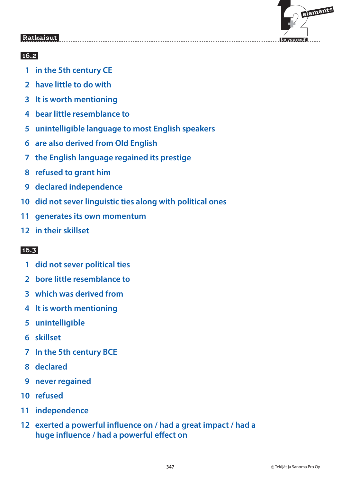

### **16.2**

- **1 in the 5th century CE**
- **2 have little to do with**
- **3 It is worth mentioning**
- **4 bear little resemblance to**
- **5 unintelligible language to most English speakers**
- **6 are also derived from Old English**
- **7 the English language regained its prestige**
- **8 refused to grant him**
- **9 declared independence**
- **10 did not sever linguistic ties along with political ones**
- **11 generates its own momentum**
- **12 in their skillset**

- **1 did not sever political ties**
- **2 bore little resemblance to**
- **3 which was derived from**
- **4 It is worth mentioning**
- **5 unintelligible**
- **6 skillset**
- **7 In the 5th century BCE**
- **8 declared**
- **9 never regained**
- **10 refused**
- **11 independence**
- **12 exerted a powerful influence on / had a great impact / had a huge influence / had a powerful effect on**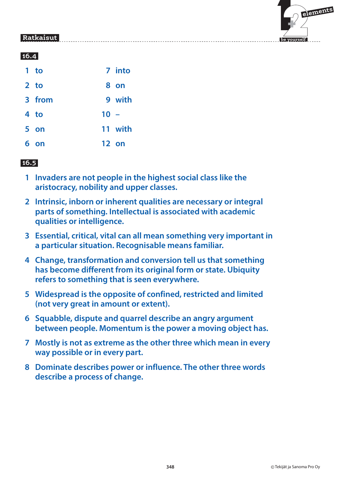

|   | $1$ to          |        | 7 into  |
|---|-----------------|--------|---------|
|   | 2 <sub>to</sub> |        | 8 on    |
|   | 3 from          |        | 9 with  |
|   | 4 to            | $10 -$ |         |
|   | 5 on            |        | 11 with |
| 6 | on              |        | 12 on   |

- **1 Invaders are not people in the highest social class like the aristocracy, nobility and upper classes.**
- **2 Intrinsic, inborn or inherent qualities are necessary or integral parts of something. Intellectual is associated with academic qualities or intelligence.**
- **3 Essential, critical, vital can all mean something very important in a particular situation. Recognisable means familiar.**
- **4 Change, transformation and conversion tell us that something has become different from its original form or state. Ubiquity refers to something that is seen everywhere.**
- **5 Widespread is the opposite of confined, restricted and limited (not very great in amount or extent).**
- **6 Squabble, dispute and quarrel describe an angry argument between people. Momentum is the power a moving object has.**
- **7 Mostly is not as extreme as the other three which mean in every way possible or in every part.**
- **8 Dominate describes power or influence. The other three words describe a process of change.**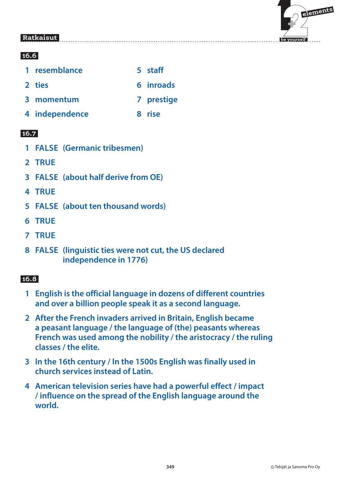

### **16.6**

| 1 resemblance  | 5 staff    |
|----------------|------------|
| 2 ties         | 6 inroads  |
| 3 momentum     | 7 prestige |
| 4 independence | 8 rise     |

#### **16.7**

- **1 FALSE (Germanic tribesmen)**
- **2 TRUE**
- **3 FALSE (about half derive from OE)**
- **4 TRUE**
- **5 FALSE (about ten thousand words)**
- **6 TRUE**
- **7 TRUE**
- **8 FALSE (linguistic ties were not cut, the US declared independence in 1776)**

- **1 English is the official language in dozens of different countries and over a billion people speak it as a second language.**
- **2 After the French invaders arrived in Britain, English became a peasant language / the language of (the) peasants whereas French was used among the nobility / the aristocracy / the ruling classes / the elite.**
- **3 In the 16th century / In the 1500s English was finally used in church services instead of Latin.**
- **4 American television series have had a powerful effect / impact / influence on the spread of the English language around the world.**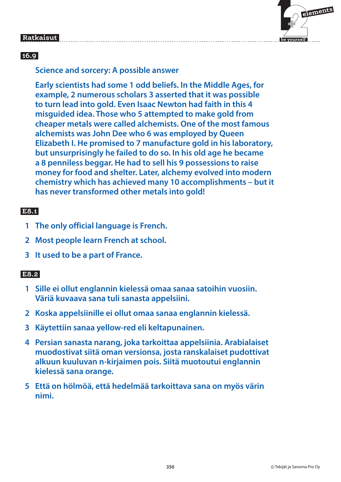

#### **16.9**

#### **Science and sorcery: A possible answer**

**Early scientists had some 1 odd beliefs. In the Middle Ages, for example, 2 numerous scholars 3 asserted that it was possible to turn lead into gold. Even Isaac Newton had faith in this 4 misguided idea. Those who 5 attempted to make gold from cheaper metals were called alchemists. One of the most famous alchemists was John Dee who 6 was employed by Queen Elizabeth I. He promised to 7 manufacture gold in his laboratory, but unsurprisingly he failed to do so. In his old age he became a 8 penniless beggar. He had to sell his 9 possessions to raise money for food and shelter. Later, alchemy evolved into modern chemistry which has achieved many 10 accomplishments – but it has never transformed other metals into gold!**

#### E8.1  **E8.1**

- **1 The only official language is French.**
- **2 Most people learn French at school.**
- **3 It used to be a part of France.**

### **E8.2**

- **1 Sille ei ollut englannin kielessä omaa sanaa satoihin vuosiin. Väriä kuvaava sana tuli sanasta appelsiini.**
- **2 Koska appelsiinille ei ollut omaa sanaa englannin kielessä.**
- **3 Käytettiin sanaa yellow-red eli keltapunainen.**
- **4 Persian sanasta narang, joka tarkoittaa appelsiinia. Arabialaiset muodostivat siitä oman versionsa, josta ranskalaiset pudottivat alkuun kuuluvan n-kirjaimen pois. Siitä muotoutui englannin kielessä sana orange.**
- **5 Että on hölmöä, että hedelmää tarkoittava sana on myös värin nimi.**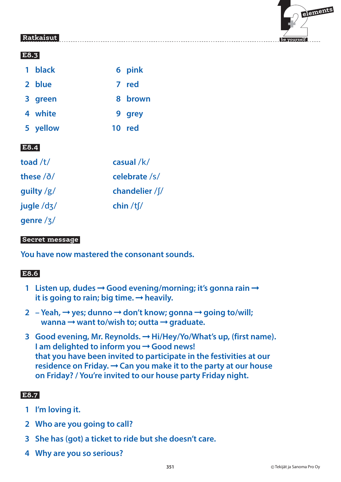# $\mathbf{F}$  **elements**

 **be yourself**

# **Ratkaisut**

#### **E8.3**

|              | 1 black   | 6 pink          |
|--------------|-----------|-----------------|
|              | 2 blue    | 7 red           |
|              | 3 green   | 8 brown         |
|              | 4 white   | 9 grey          |
|              | 5 yellow  | 10 red          |
| E8.4         |           |                 |
| toad /t/     |           | casual /k/      |
|              | these /ð/ | celebrate /s/   |
| guilty $/g/$ |           | chandelier / f/ |

jugle /dz/ **chin** /t $\frac{1}{\pi}$ 

genre /3/

#### **Secret message**

**You have now mastered the consonant sounds.**

# **E8.6**

- **1 Listen up, dudes → Good evening/morning; it's gonna rain →** it is going to rain; big time.  $\rightarrow$  heavily.
- 2 Yeah, → yes; dunno → don't know; gonna → going to/will; **wanna**  $\rightarrow$  **want to/wish to; outta**  $\rightarrow$  **graduate.**
- **3** Good evening, Mr. Reynolds. → Hi/Hey/Yo/What's up, (first name). **I am delighted to inform you → Good news! that you have been invited to participate in the festivities at our**  residence on Friday.  $\rightarrow$  Can you make it to the party at our house **on Friday? / You're invited to our house party Friday night.**

# **E8.7**

- **1 I'm loving it.**
- **2 Who are you going to call?**
- **3 She has (got) a ticket to ride but she doesn't care.**
- **4 Why are you so serious?**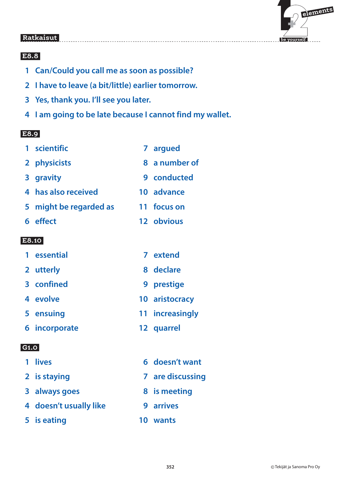

# **E8.8**

- **1 Can/Could you call me as soon as possible?**
- **2 I have to leave (a bit/little) earlier tomorrow.**
- **3 Yes, thank you. I'll see you later.**
- **4 I am going to be late because I cannot find my wallet.**

#### **E8.9**

- **1 scientific 7 argued**
- **2 physicists 8 a number of**
- 
- **3 gravity 9 conducted**
- **4 has also received 10 advance**
- **5 might be regarded as 11 focus on**
- **6 effect 12 obvious**

#### **E8.10**

- **1 essential 7 extend**
- **2 utterly 8 declare**
- **3 confined 9 prestige**
- **4 evolve 10 aristocracy**
- **5 ensuing 11 increasingly**
- **6 incorporate 12 quarrel**

# **G1.0**

**1 lives** 6 doesn't want **2** is staying **7** are discussing **3 always goes** 8 is meeting  **4 doesn't usually like 9 arrives 5 is eating 10 wants**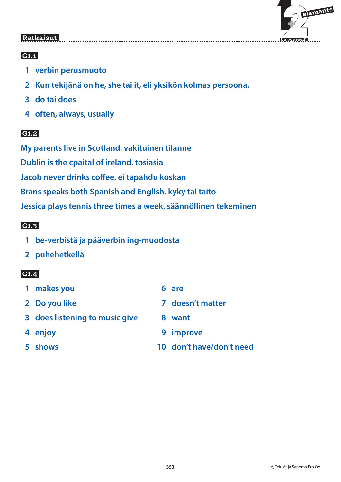

# **G1.1**

- **1 verbin perusmuoto**
- **2 Kun tekijänä on he, she tai it, eli yksikön kolmas persoona.**
- **3 do tai does**
- **4 often, always, usually**

# **G1.2**

**My parents live in Scotland. vakituinen tilanne Dublin is the cpaital of ireland. tosiasia Jacob never drinks coffee. ei tapahdu koskan Brans speaks both Spanish and English. kyky tai taito Jessica plays tennis three times a week. säännöllinen tekeminen**

### **G1.3**

- **1 be-verbistä ja pääverbin ing-muodosta**
- **2 puhehetkellä**

# **G1.4**

- **1 makes you 6 are**
- 
- **3 does listening to music give 8 want**
- 
- 
- 
- **2 Do you like 7 doesn't matter** 
	-
- **4 enjoy 9 improve**
- **5 shows 10 don't have/don't need**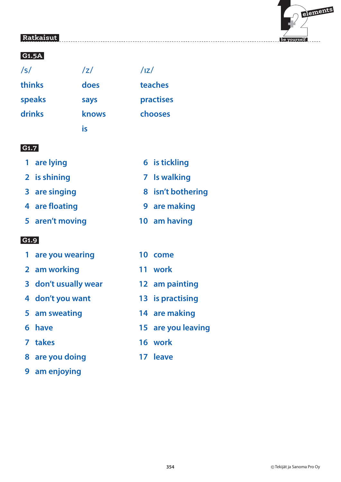

#### **G1.5A**

**is** is a set of  $\mathbf{i}$  s

 $171$ 

**thinks does teaches** speaks says practises **drinks knows chooses**

 $171$ 

#### **G1.7**

- 
- **2** is shining **7** Is walking
- 
- **4 are floating 19 are making**
- **5 aren't moving 10 am having**

#### **G1.9**

- **1 are you wearing 10 come**
- **2 am working 11 work**
- **3 don't usually wear 12 am painting**
- **4 don't you want 13 is practising**
- 
- 
- 
- **8 are you doing 17 leave**
- **9 am enjoying**
- **1 are lying 6 is tickling** 
	-
- **8 are singing 8 isn't bothering** 
	-
	-
	-
	-
	-
	-
- **5 am sweating 14 are making**
- **6 have 15 are you leaving**
- **7 takes 16 work**
	-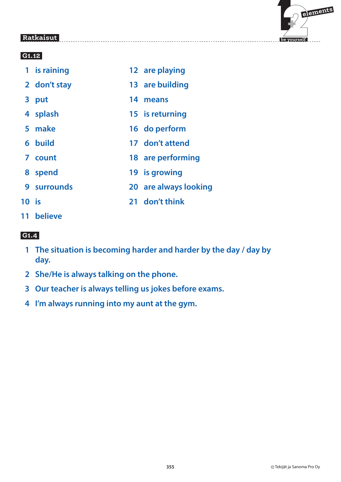

#### **G1.12**

- **1 is raining 12 are playing**
- **2 don't stay 13 are building**
- **3 put 14 means**
- **4 splash 15 is returning**
- **5 make 16 do perform**
- **6 build 17 don't attend**
- **7 count 18 are performing**
- **8 spend 19 is growing**
- **9 surrounds 20 are always looking**
- 
- **10 is 21 don't think**
- **11 believe**

# **G1.4**

- **1 The situation is becoming harder and harder by the day / day by day.**
- **2 She/He is always talking on the phone.**
- **3 Our teacher is always telling us jokes before exams.**
- **4 I'm always running into my aunt at the gym.**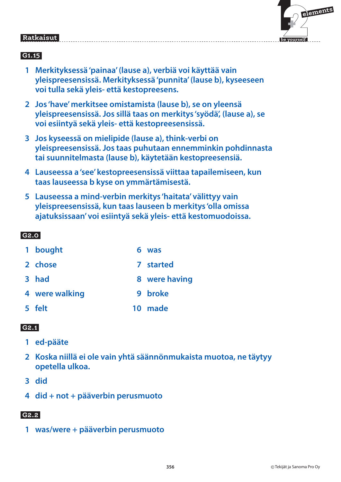

### **G1.15**

- **1 Merkityksessä 'painaa' (lause a), verbiä voi käyttää vain yleispreesensissä. Merkityksessä 'punnita' (lause b), kyseeseen voi tulla sekä yleis- että kestopreesens.**
- **2 Jos 'have' merkitsee omistamista (lause b), se on yleensä yleispreesensissä. Jos sillä taas on merkitys 'syödä', (lause a), se voi esiintyä sekä yleis- että kestopreesensissä.**
- **3 Jos kyseessä on mielipide (lause a), think-verbi on yleispreesensissä. Jos taas puhutaan ennemminkin pohdinnasta tai suunnitelmasta (lause b), käytetään kestopreesensiä.**
- **4 Lauseessa a 'see' kestopreesensissä viittaa tapailemiseen, kun taas lauseessa b kyse on ymmärtämisestä.**
- **5 Lauseessa a mind-verbin merkitys 'haitata' välittyy vain yleispreesensissä, kun taas lauseen b merkitys 'olla omissa ajatuksissaan' voi esiintyä sekä yleis- että kestomuodoissa.**

### **G2.0**

- 1 bought 6 was
- **2 chose 7 started**
- **3 had 8 were having**
- **4 were walking 9 broke**
- **5 felt 10 made**

#### **G2.1**

- **1 ed-pääte**
- **2 Koska niillä ei ole vain yhtä säännönmukaista muotoa, ne täytyy opetella ulkoa.**
- **3 did**
- **4 did + not + pääverbin perusmuoto**

#### **G2.2**

 **1 was/were + pääverbin perusmuoto**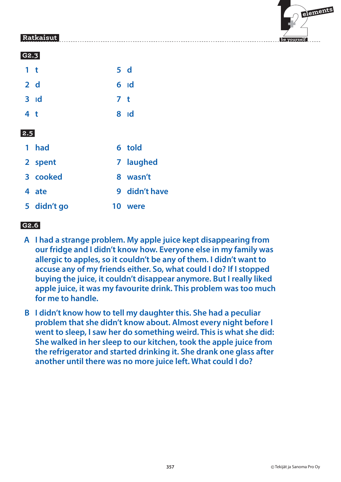

|--|

| 1 <sub>t</sub> |                   |                | 5d                           |
|----------------|-------------------|----------------|------------------------------|
|                | 2 d               |                | $6$ $\overline{\phantom{0}}$ |
|                | $3$ $\mathsf{Id}$ | 7 <sub>t</sub> |                              |
| 4 <sub>t</sub> |                   |                | $8$ $\overline{\phantom{1}}$ |
| 2.5            |                   |                |                              |
|                | 1 had             |                | 6 told                       |
|                | 2 spent           |                | 7 laughed                    |
|                | 3 cooked          |                | 8 wasn't                     |
|                | 4 ate             |                | 9 didn't have                |
|                | 5 didn't go       | 10             | were                         |

# **G2.6**

- **A I had a strange problem. My apple juice kept disappearing from our fridge and I didn't know how. Everyone else in my family was allergic to apples, so it couldn't be any of them. I didn't want to accuse any of my friends either. So, what could I do? If I stopped buying the juice, it couldn't disappear anymore. But I really liked apple juice, it was my favourite drink. This problem was too much for me to handle.**
- **B I didn't know how to tell my daughter this. She had a peculiar problem that she didn't know about. Almost every night before I went to sleep, I saw her do something weird. This is what she did: She walked in her sleep to our kitchen, took the apple juice from the refrigerator and started drinking it. She drank one glass after another until there was no more juice left. What could I do?**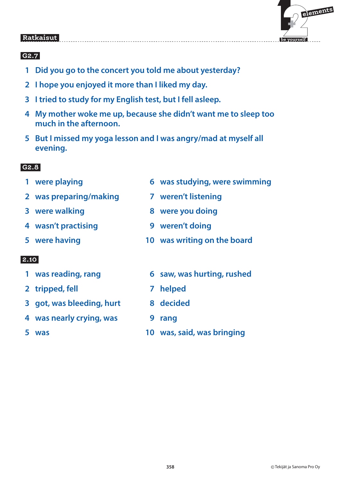

### **G2.7**

- **1 Did you go to the concert you told me about yesterday?**
- **2 I hope you enjoyed it more than I liked my day.**
- **3 I tried to study for my English test, but I fell asleep.**
- **4 My mother woke me up, because she didn't want me to sleep too much in the afternoon.**
- **5 But I missed my yoga lesson and I was angry/mad at myself all evening.**

#### $G2.8$  **G2.8**

- 
- **2 was preparing/making 7 weren't listening**
- 
- **4 wasn't practising 9 weren't doing**
- 

- 
- **2 tripped, fell 7 helped**
- **3 got, was bleeding, hurt 8 decided**
- **4 was nearly crying, was 9 rang**
- 
- **1 were playing 1 and 1 and 1 and 1 and 1 and 1 and 1 and 1 and 1 and 1 and 1 and 1 and 1 and 1 and 1 and 1 and 1 and 1 and 1 and 1 and 1 and 1 and 1 and 1 and 1 and 1 and 1 and 1 and 1 and 1 and 1 and 1 and 1 and 1 and 1** 
	-
- **3** were walking **8** were you doing
	-
- **5 were having 10 was writing on the board**
- 1 was reading, rang b aw, was hurting, rushed
	-
	-
	-
- **5 was 10 was, said, was bringing**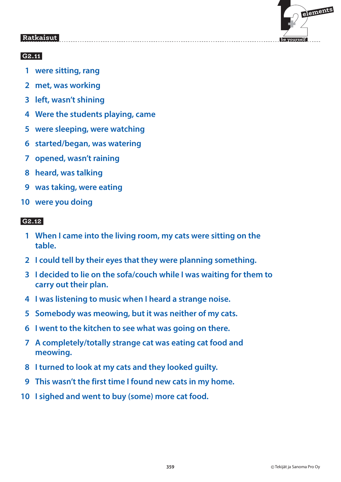

# **G2.11**

- **1 were sitting, rang**
- **2 met, was working**
- **3 left, wasn't shining**
- **4 Were the students playing, came**
- **5 were sleeping, were watching**
- **6 started/began, was watering**
- **7 opened, wasn't raining**
- **8 heard, was talking**
- **9 was taking, were eating**
- **10 were you doing**

# **G2.12**

- **1 When I came into the living room, my cats were sitting on the table.**
- **2 I could tell by their eyes that they were planning something.**
- **3 I decided to lie on the sofa/couch while I was waiting for them to carry out their plan.**
- **4 I was listening to music when I heard a strange noise.**
- **5 Somebody was meowing, but it was neither of my cats.**
- **6 I went to the kitchen to see what was going on there.**
- **7 A completely/totally strange cat was eating cat food and meowing.**
- **8 I turned to look at my cats and they looked guilty.**
- **9 This wasn't the first time I found new cats in my home.**
- **10 I sighed and went to buy (some) more cat food.**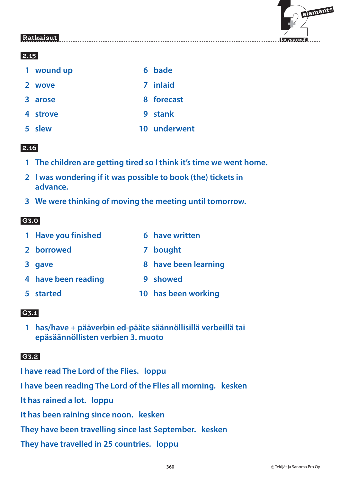

#### **2.15**

| 1 wound up | 6 bade     |
|------------|------------|
| 2 wove     | 7 inlaid   |
| 3 arose    | 8 forecast |
| 4 strove   | 9 stank    |
|            |            |

 **5 slew 10 underwent**

#### **2.16**

- **1 The children are getting tired so I think it's time we went home.**
- **2 I was wondering if it was possible to book (the) tickets in advance.**
- **3 We were thinking of moving the meeting until tomorrow.**

### **G3.0**

|  | 1 Have you finished |  | 6 have written |
|--|---------------------|--|----------------|
|--|---------------------|--|----------------|

- **2 borrowed 7 bought**
- **8 days are seen learning 8 have been learning**
- **4 have been reading by 9 showed**
- 
- 
- **5 started 10 has been working**

# **G3.1**

 **1 has/have + pääverbin ed-pääte säännöllisillä verbeillä tai epäsäännöllisten verbien 3. muoto**

#### **G3.2**

**I have read The Lord of the Flies. loppu**

**I have been reading The Lord of the Flies all morning. kesken**

**It has rained a lot. loppu**

**It has been raining since noon. kesken**

**They have been travelling since last September. kesken**

**They have travelled in 25 countries. loppu**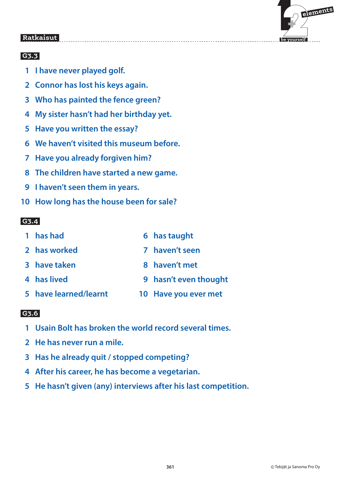

# **G3.3**

- **1 I have never played golf.**
- **2 Connor has lost his keys again.**
- **3 Who has painted the fence green?**
- **4 My sister hasn't had her birthday yet.**
- **5 Have you written the essay?**
- **6 We haven't visited this museum before.**
- **7 Have you already forgiven him?**
- **8 The children have started a new game.**
- **9 I haven't seen them in years.**
- **10 How long has the house been for sale?**

#### **G3.4**

| 1 has had             | 6 has taught          |
|-----------------------|-----------------------|
| 2 has worked          | 7 haven't seen        |
| 3 have taken          | 8 haven't met         |
| 4 has lived           | 9 hasn't even thought |
| 5 have learned/learnt | 10 Have you ever met  |

### **G3.6**

- **1 Usain Bolt has broken the world record several times.**
- **2 He has never run a mile.**
- **3 Has he already quit / stopped competing?**
- **4 After his career, he has become a vegetarian.**
- **5 He hasn't given (any) interviews after his last competition.**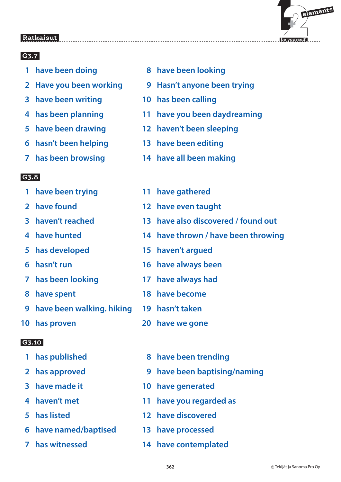

# **G3.7**

- 
- 
- **3 have been writing 10 has been calling**
- 
- 
- **6 hasn't been helping 13 have been editing**
- 

#### **G3.8**

- 
- 
- 
- 
- 
- 
- 
- 
- **9 have been walking. hiking 19 hasn't taken**
- 

#### $G3.10$  **G3.10**

- 
- 
- 
- 
- 
- **6 have named/baptised 13 have processed**
- 
- **1 have been doing 1 assume 8 have been looking**
- **2 Have you been working 9 Hasn't anyone been trying**
	-
- **4 has been planning 11 have you been daydreaming**
- **5 have been drawing 12 haven't been sleeping**
	-
- **7 has been browsing 14 have all been making**
- **1 have been trying 11 have gathered**
- **2 have found 12 have even taught**
- **3 haven't reached 13 have also discovered / found out**
- **4 have hunted 14 have thrown / have been throwing**
- **5 has developed 15 haven't argued**
- **6 hasn't run 16 have always been**
- **7 has been looking 17 have always had**
- **8 have spent 18 have become**
	-
- **10 has proven 20 have we gone**
	- **1 has published 8 have been trending**
	- **2 has approved 9 have been baptising/naming**
	- **3 have made it 10 have generated**
	- **4 haven't met 11 have you regarded as**
	- **5 has listed 12 have discovered**
		-
	- **7 has witnessed 14 have contemplated**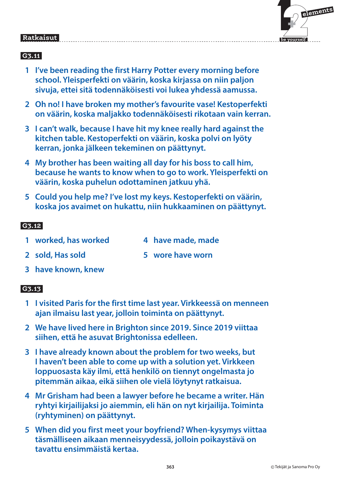| elements |
|----------|
|          |

 **be yourself**

#### Ratkaisut  **Ratkaisut**

# **G3.11**

- **1 I've been reading the first Harry Potter every morning before school. Yleisperfekti on väärin, koska kirjassa on niin paljon sivuja, ettei sitä todennäköisesti voi lukea yhdessä aamussa.**
- **2 Oh no! I have broken my mother's favourite vase! Kestoperfekti on väärin, koska maljakko todennäköisesti rikotaan vain kerran.**
- **3 I can't walk, because I have hit my knee really hard against the kitchen table. Kestoperfekti on väärin, koska polvi on lyöty kerran, jonka jälkeen tekeminen on päättynyt.**
- **4 My brother has been waiting all day for his boss to call him, because he wants to know when to go to work. Yleisperfekti on väärin, koska puhelun odottaminen jatkuu yhä.**
- **5 Could you help me? I've lost my keys. Kestoperfekti on väärin, koska jos avaimet on hukattu, niin hukkaaminen on päättynyt.**

### **G3.12**

- 1 worked, has worked and a 4 have made, made
	-
- **2 sold, Has sold 5 wore have worn**
- **3 have known, knew**

# **G3.13**

- **1 I visited Paris for the first time last year. Virkkeessä on menneen ajan ilmaisu last year, jolloin toiminta on päättynyt.**
- **2 We have lived here in Brighton since 2019. Since 2019 viittaa siihen, että he asuvat Brightonissa edelleen.**
- **3 I have already known about the problem for two weeks, but I haven't been able to come up with a solution yet. Virkkeen loppuosasta käy ilmi, että henkilö on tiennyt ongelmasta jo pitemmän aikaa, eikä siihen ole vielä löytynyt ratkaisua.**
- **4 Mr Grisham had been a lawyer before he became a writer. Hän ryhtyi kirjailijaksi jo aiemmin, eli hän on nyt kirjailija. Toiminta (ryhtyminen) on päättynyt.**
- **5 When did you first meet your boyfriend? When-kysymys viittaa täsmälliseen aikaan menneisyydessä, jolloin poikaystävä on tavattu ensimmäistä kertaa.**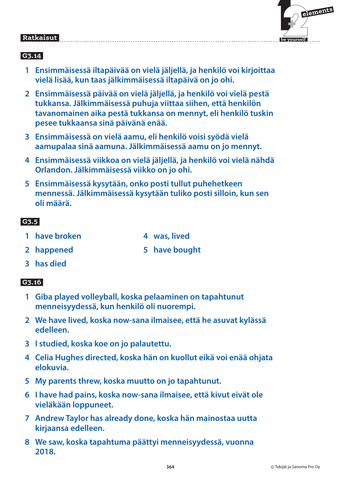

#### **G3.14**

- **1 Ensimmäisessä iltapäivää on vielä jäljellä, ja henkilö voi kirjoittaa vielä lisää, kun taas jälkimmäisessä iltapäivä on jo ohi.**
- **2 Ensimmäisessä päivää on vielä jäljellä, ja henkilö voi vielä pestä tukkansa. Jälkimmäisessä puhuja viittaa siihen, että henkilön tavanomainen aika pestä tukkansa on mennyt, eli henkilö tuskin pesee tukkaansa sinä päivänä enää.**
- **3 Ensimmäisessä on vielä aamu, eli henkilö voisi syödä vielä aamupalaa sinä aamuna. Jälkimmäisessä aamu on jo mennyt.**
- **4 Ensimmäisessä viikkoa on vielä jäljellä, ja henkilö voi vielä nähdä Orlandon. Jälkimmäisessä viikko on jo ohi.**
- **5 Ensimmäisessä kysytään, onko posti tullut puhehetkeen mennessä. Jälkimmäisessä kysytään tuliko posti silloin, kun sen oli määrä.**

#### **G3.5**

- **1 have broken 1 and 1 and 4 was, lived**
- 
- **2 happened 5 have bought**
	-

 **3 has died**

#### **G3.16**

- **1 Giba played volleyball, koska pelaaminen on tapahtunut menneisyydessä, kun henkilö oli nuorempi.**
- **2 We have lived, koska now-sana ilmaisee, että he asuvat kylässä edelleen.**
- **3 I studied, koska koe on jo palautettu.**
- **4 Celia Hughes directed, koska hän on kuollut eikä voi enää ohjata elokuvia.**
- **5 My parents threw, koska muutto on jo tapahtunut.**
- **6 I have had pains, koska now-sana ilmaisee, että kivut eivät ole vieläkään loppuneet.**
- **7 Andrew Taylor has already done, koska hän mainostaa uutta kirjaansa edelleen.**
- **8 We saw, koska tapahtuma päättyi menneisyydessä, vuonna 2018.**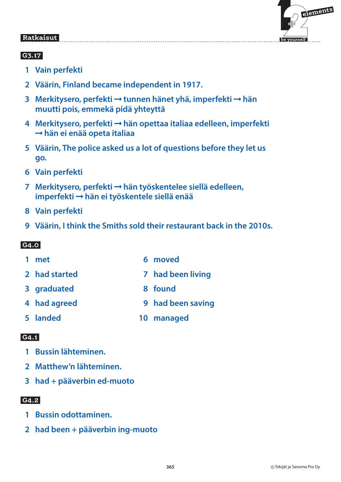

### **G3.17**

- **1 Vain perfekti**
- **2 Väärin, Finland became independent in 1917.**
- **3 Merkitysero, perfekti → tunnen hänet yhä, imperfekti → hän muutti pois, emmekä pidä yhteyttä**
- **4 Merkitysero, perfekti hän opettaa italiaa edelleen, imperfekti hän ei enää opeta italiaa**
- **5 Väärin, The police asked us a lot of questions before they let us go.**
- **6 Vain perfekti**
- **7 Merkitysero, perfekti hän työskentelee siellä edelleen, imperfekti hän ei työskentele siellä enää**
- **8 Vain perfekti**
- **9 Väärin, I think the Smiths sold their restaurant back in the 2010s.**

#### **G4.0**

- 1 met 6 moved
- **2 had started 7 had been living**
- **8 graduated 8 found**
- **4 had agreed 9 had been saving**
- **5 landed 10 managed**

### **G4.1**

- **1 Bussin lähteminen.**
- **2 Matthew'n lähteminen.**
- **3 had + pääverbin ed-muoto**

#### **G4.2**

- **1 Bussin odottaminen.**
- **2 had been + pääverbin ing-muoto**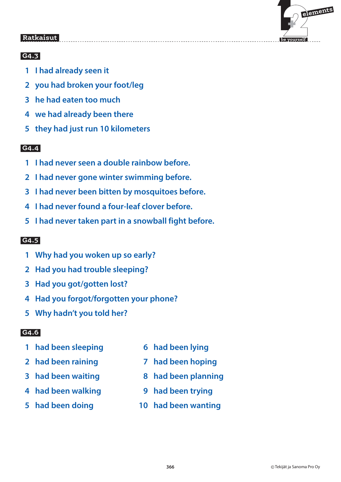

### **G4.3**

- **1 I had already seen it**
- **2 you had broken your foot/leg**
- **3 he had eaten too much**
- **4 we had already been there**
- **5 they had just run 10 kilometers**

#### $GA.4$  **G4.4**

- **1 I had never seen a double rainbow before.**
- **2 I had never gone winter swimming before.**
- **3 I had never been bitten by mosquitoes before.**
- **4 I had never found a four-leaf clover before.**
- **5 I had never taken part in a snowball fight before.**

### **G4.5**

- **1 Why had you woken up so early?**
- **2 Had you had trouble sleeping?**
- **3 Had you got/gotten lost?**
- **4 Had you forgot/forgotten your phone?**
- **5 Why hadn't you told her?**

# **G4.6**

- **1 had been sleeping 6 had been lying**
- **2 had been raining 7 had been hoping**
- 
- **4 had been walking 9 had been trying**
- 
- 
- 
- **3 had been waiting 8 had been planning**
	-
- **5 had been doing 10 had been wanting**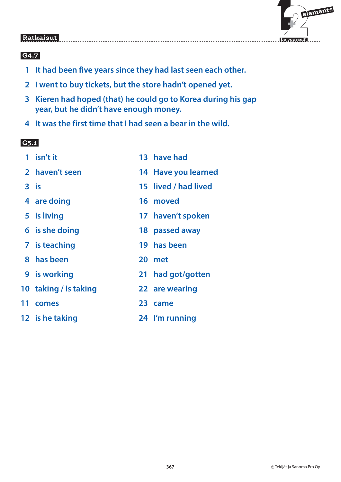

#### **G4.7**

- **1 It had been five years since they had last seen each other.**
- **2 I went to buy tickets, but the store hadn't opened yet.**
- **3 Kieren had hoped (that) he could go to Korea during his gap year, but he didn't have enough money.**
- **4 It was the first time that I had seen a bear in the wild.**

#### **G5.1**

| 1   | isn't it              | 13 have had          |
|-----|-----------------------|----------------------|
|     | 2 haven't seen        | 14 Have you learned  |
|     | $3$ is                | 15 lived / had lived |
|     | 4 are doing           | 16 moved             |
|     | 5 is living           | 17 haven't spoken    |
|     | 6 is she doing        | 18 passed away       |
|     | 7 is teaching         | 19 has been          |
|     | 8 has been            | 20 met               |
|     | <b>9</b> is working   | 21 had got/gotten    |
|     | 10 taking / is taking | 22 are wearing       |
| 11. | comes                 | 23 came              |
|     | 12 is he taking       | 24 I'm running       |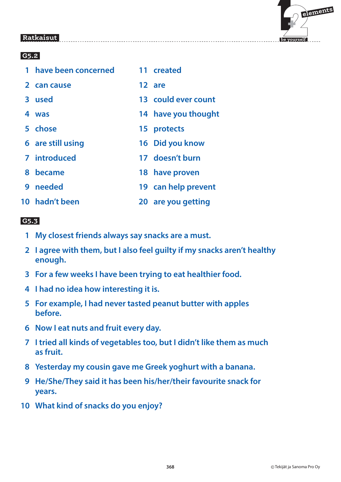



### **G5.2**

| 1 have been concerned | 11 created          |
|-----------------------|---------------------|
| 2 can cause           | 12 are              |
| 3 used                | 13 could ever count |
| 4 was                 | 14 have you thought |
| 5 chose               | 15 protects         |
| 6 are still using     | 16 Did you know     |
| 7 introduced          | 17 doesn't burn     |
| 8 became              | 18 have proven      |
| 9 needed              | 19 can help prevent |
| 10 hadn't been        | 20 are you getting  |

#### **G5.3**

- **1 My closest friends always say snacks are a must.**
- **2 I agree with them, but I also feel guilty if my snacks aren't healthy enough.**
- **3 For a few weeks I have been trying to eat healthier food.**
- **4 I had no idea how interesting it is.**
- **5 For example, I had never tasted peanut butter with apples before.**
- **6 Now I eat nuts and fruit every day.**
- **7 I tried all kinds of vegetables too, but I didn't like them as much as fruit.**
- **8 Yesterday my cousin gave me Greek yoghurt with a banana.**
- **9 He/She/They said it has been his/her/their favourite snack for years.**
- **10 What kind of snacks do you enjoy?**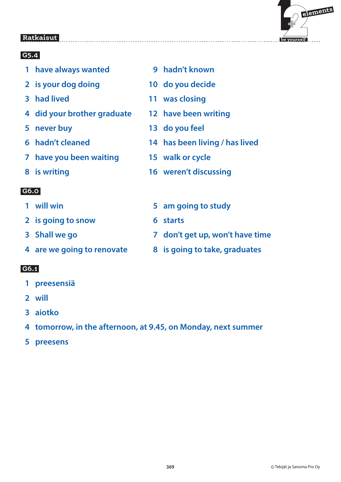

### **G5.4**

- **1 have always wanted 5 and 1 have always wanted 5 and 1 matures 9 hadn't known**
- **2 is your dog doing 10 do you decide**
- 
- **4 did your brother graduate 12 have been writing**
- 
- 
- **7 have you been waiting 15 walk or cycle**
- 

### **G6.0**

- 
- **2** is going to snow 6 starts
- 
- 

- **1 preesensiä**
- **2 will**
- **3 aiotko**
- **4 tomorrow, in the afternoon, at 9.45, on Monday, next summer**
- **5 preesens**
- 
- 
- **3 had lived 11 was closing**
	-
- **5 never buy 13 do you feel**
- **6 hadn't cleaned 14 has been living / has lived**
	-
- **8 is writing 16 weren't discussing**
- **1 will win 5 am going to study**
	-
- **3 Shall we go 7 don't get up, won't have time**
- **4 are we going to renovate 8 is going to take, graduates**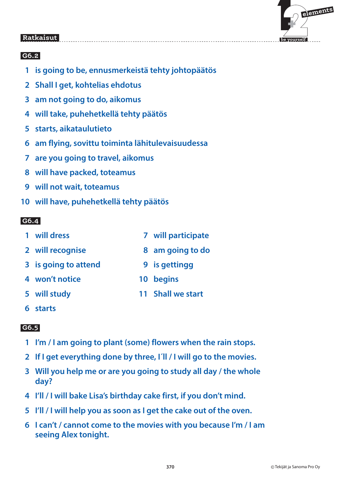

#### **G6.2**

- **1 is going to be, ennusmerkeistä tehty johtopäätös**
- **2 Shall I get, kohtelias ehdotus**
- **3 am not going to do, aikomus**
- **4 will take, puhehetkellä tehty päätös**
- **5 starts, aikataulutieto**
- **6 am flying, sovittu toiminta lähitulevaisuudessa**
- **7 are you going to travel, aikomus**
- **8 will have packed, toteamus**
- **9 will not wait, toteamus**
- **10 will have, puhehetkellä tehty päätös**

#### **G6.4**

- **1 will dress 7 will participate**
- 
- **3** is going to attend **9** is gettingg
- **4 won't notice 10 begins**
- 
- **6 starts**

- **1 I'm / I am going to plant (some) flowers when the rain stops.**
- **2 If I get everything done by three, I´ll / I will go to the movies.**
- **3 Will you help me or are you going to study all day / the whole day?**
- **4 I'll / I will bake Lisa's birthday cake first, if you don't mind.**
- **5 I'll / I will help you as soon as I get the cake out of the oven.**
- **6 I can't / cannot come to the movies with you because I'm / I am seeing Alex tonight.**
- 
- **2 will recognise 8 am going to do**
	-
	-
- **5 will study 11 Shall we start**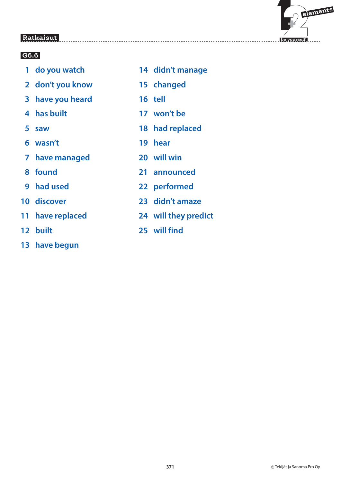

- 
- **2 don't you know 15 changed**
- **3 have you heard 16 tell**
- 
- 
- **6 wasn't 19 hear**
- **7 have managed 20 will win**
- 
- 
- 
- 
- 
- **13 have begun**
- **1 do you watch 14 didn't manage**
	-
	-
- **4 has built 17 won't be**
- **5 saw 18 had replaced**
	-
	-
- **8 found 21 announced**
- **9 had used 22 performed**
- **10 discover 23 didn't amaze**
- **11 have replaced 24 will they predict**
- **12 built 25 will find**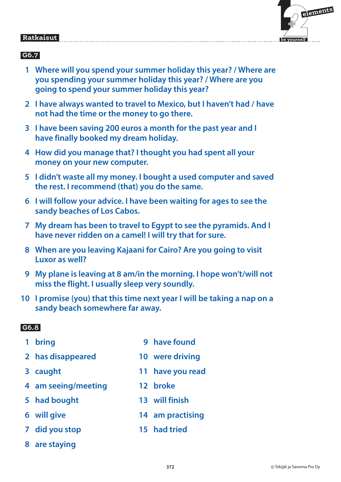### **G6.7**

- **1 Where will you spend your summer holiday this year? / Where are you spending your summer holiday this year? / Where are you going to spend your summer holiday this year?**
- **2 I have always wanted to travel to Mexico, but I haven't had / have not had the time or the money to go there.**
- **3 I have been saving 200 euros a month for the past year and I have finally booked my dream holiday.**
- **4 How did you manage that? I thought you had spent all your money on your new computer.**
- **5 I didn't waste all my money. I bought a used computer and saved the rest. I recommend (that) you do the same.**
- **6 I will follow your advice. I have been waiting for ages to see the sandy beaches of Los Cabos.**
- **7 My dream has been to travel to Egypt to see the pyramids. And I have never ridden on a camel! I will try that for sure.**
- **8 When are you leaving Kajaani for Cairo? Are you going to visit Luxor as well?**
- **9 My plane is leaving at 8 am/in the morning. I hope won't/will not miss the flight. I usually sleep very soundly.**
- **10 I promise (you) that this time next year I will be taking a nap on a sandy beach somewhere far away.**

- 
- **2 has disappeared 10 were driving**
- 
- **4 am seeing/meeting 12 broke**
- 
- 
- **7 did you stop 15 had tried**
- **8 are staying**
- **1 bring 1 bring 1 bring 1 bring 1 bring 1 bring 1 bring 1 bring 1 bring 1 bring 1 bring 1 bring 1 bring 1 bring 1 bring 1 bring 1 bring 1 bring 1 bring 1 bring 1 bring 1 bring 1 bring 1 bring 1 bring 1 bring 1 bring 1 bri** 
	-
- **3 caught 11 have you read**
	-
- **5 had bought 13 will finish**
- **6 will give 14 am practising**
	-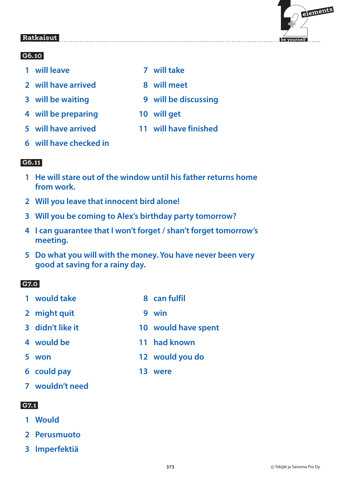#### **G6.10**

- **1 will leave 7 will take**
- **2** will have arrived **8** will meet
- 
- **4 will be preparing 10 will get**
- 
- **6 will have checked in**

### **G6.11**

- **1 He will stare out of the window until his father returns home from work.**
- **2 Will you leave that innocent bird alone!**
- **3 Will you be coming to Alex's birthday party tomorrow?**
- **4 I can guarantee that I won't forget / shan't forget tomorrow's meeting.**
- **5 Do what you will with the money. You have never been very good at saving for a rainy day.**

### **G7.0**

- **1** would take **8** can fulfil
- **2 might quit 9 win**
- **3 didn't like it 10 would have spent**
- **4 would be 11 had known**
- **5 won 12 would you do**
- **6 could pay 13 were**
- **7 wouldn't need**

#### **G7.1**

- **1 Would**
- **2 Perusmuoto**
- **3 Imperfektiä**
- 
- **3 will be waiting 9 will be discussing**
	-
- **5 will have arrived 11 will have finished**

**373** © Tekijät ja Sanoma Pro Oy

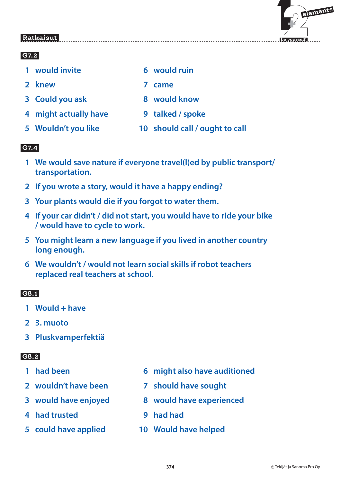### **G7.2**

- **1** would invite **6** would ruin
- **2 knew 7 came**
- **3 Could you ask 6 8 would know**
- **4 might actually have 9 talked / spoke**
- 
- -
- 
- 
- **5 Wouldn't you like 10 should call / ought to call**

### **G7.4**

- **1 We would save nature if everyone travel(l)ed by public transport/ transportation.**
- **2 If you wrote a story, would it have a happy ending?**
- **3 Your plants would die if you forgot to water them.**
- **4 If your car didn't / did not start, you would have to ride your bike / would have to cycle to work.**
- **5 You might learn a new language if you lived in another country long enough.**
- **6 We wouldn't / would not learn social skills if robot teachers replaced real teachers at school.**

### **G8.1**

- **1 Would + have**
- **2 3. muoto**
- **3 Pluskvamperfektiä**

- 
- **2 wouldn't have been 7 should have sought**
- 
- **4 had trusted 9 had had**
- 
- **1 had been 6 might also have auditioned** 
	-
- **3 would have enjoyed 8 would have experienced**
	-
- **5 could have applied 10 Would have helped**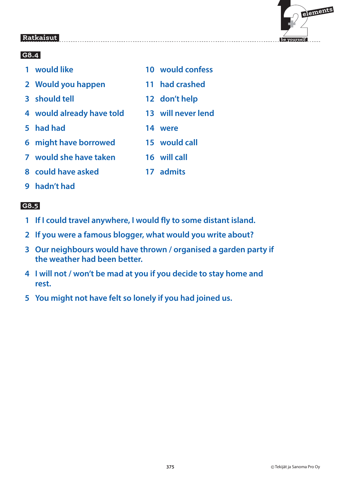

| 1 would like       | 10 would confess |
|--------------------|------------------|
| 2 Would you happen | 11 had crashed   |
| 3 should tell      | 12 don't help    |
|                    |                  |

 **7 would she have taken 16 will call**

- **4 would already have told 13 will never lend**
- **5 had had 14 were**
- **6 might have borrowed 15 would call**
- **8 could have asked 17 admits**
- **9 hadn't had**

- **1 If I could travel anywhere, I would fly to some distant island.**
- **2 If you were a famous blogger, what would you write about?**
- **3 Our neighbours would have thrown / organised a garden party if the weather had been better.**
- **4 I will not / won't be mad at you if you decide to stay home and rest.**
- **5 You might not have felt so lonely if you had joined us.**
- -
	-
	-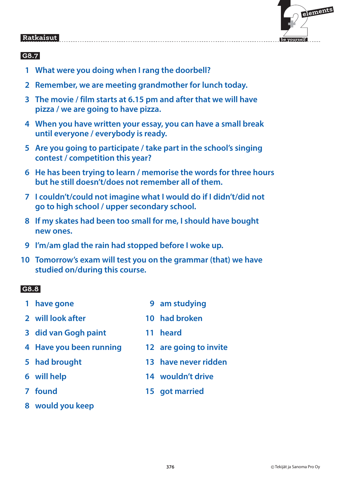

### **G8.7**

- **1 What were you doing when I rang the doorbell?**
- **2 Remember, we are meeting grandmother for lunch today.**
- **3 The movie / film starts at 6.15 pm and after that we will have pizza / we are going to have pizza.**
- **4 When you have written your essay, you can have a small break until everyone / everybody is ready.**
- **5 Are you going to participate / take part in the school's singing contest / competition this year?**
- **6 He has been trying to learn / memorise the words for three hours but he still doesn't/does not remember all of them.**
- **7 I couldn't/could not imagine what I would do if I didn't/did not go to high school / upper secondary school.**
- **8 If my skates had been too small for me, I should have bought new ones.**
- **9 I'm/am glad the rain had stopped before I woke up.**
- **10 Tomorrow's exam will test you on the grammar (that) we have studied on/during this course.**

- **1 have gone 5 am studying 2 will look after 10 had broken 3 did van Gogh paint 11 heard 4 Have you been running 12 are going to invite**
- 
- 
- 
- **8 would you keep**
- 
- -
- **5 had brought 13 have never ridden**
- **6 will help 14 wouldn't drive**
- **7 found 15 got married**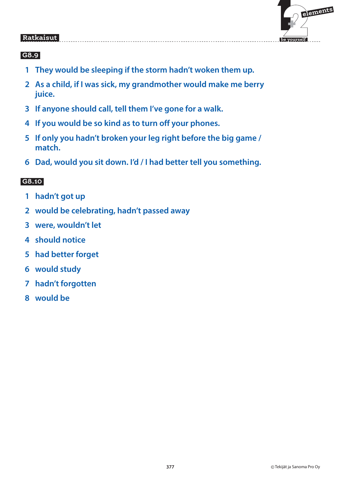

#### **G8.9**

- **1 They would be sleeping if the storm hadn't woken them up.**
- **2 As a child, if I was sick, my grandmother would make me berry juice.**
- **3 If anyone should call, tell them I've gone for a walk.**
- **4 If you would be so kind as to turn off your phones.**
- **5 If only you hadn't broken your leg right before the big game / match.**
- **6 Dad, would you sit down. I'd / I had better tell you something.**

- **1 hadn't got up**
- **2 would be celebrating, hadn't passed away**
- **3 were, wouldn't let**
- **4 should notice**
- **5 had better forget**
- **6 would study**
- **7 hadn't forgotten**
- **8 would be**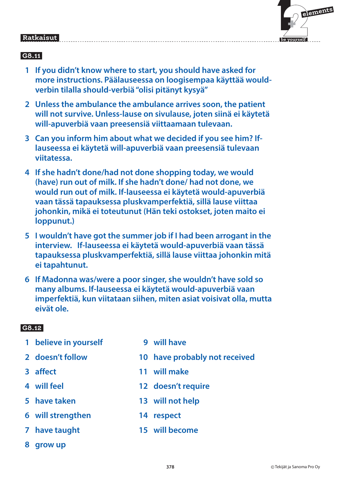## $\mathbf{F}$  **elements**

 **be yourself**

#### Ratkaisut  **Ratkaisut**

### **G8.11**

- **1 If you didn't know where to start, you should have asked for more instructions. Päälauseessa on loogisempaa käyttää wouldverbin tilalla should-verbiä "olisi pitänyt kysyä"**
- **2 Unless the ambulance the ambulance arrives soon, the patient will not survive. Unless-lause on sivulause, joten siinä ei käytetä will-apuverbiä vaan preesensiä viittaamaan tulevaan.**
- **3 Can you inform him about what we decided if you see him? Iflauseessa ei käytetä will-apuverbiä vaan preesensiä tulevaan viitatessa.**
- **4 If she hadn't done/had not done shopping today, we would (have) run out of milk. If she hadn't done/ had not done, we would run out of milk. If-lauseessa ei käytetä would-apuverbiä vaan tässä tapauksessa pluskvamperfektiä, sillä lause viittaa johonkin, mikä ei toteutunut (Hän teki ostokset, joten maito ei loppunut.)**
- **5 I wouldn't have got the summer job if I had been arrogant in the interview. If-lauseessa ei käytetä would-apuverbiä vaan tässä tapauksessa pluskvamperfektiä, sillä lause viittaa johonkin mitä ei tapahtunut.**
- **6 If Madonna was/were a poor singer, she wouldn't have sold so many albums. If-lauseessa ei käytetä would-apuverbiä vaan imperfektiä, kun viitataan siihen, miten asiat voisivat olla, mutta eivät ole.**

- **1 believe in yourself** 5 and 9 will have
- 
- 
- 
- 
- 
- 
- **8 grow up**
- 
- **2 doesn't follow 10 have probably not received**
- **3 affect 11 will make**
- **4 will feel 12 doesn't require**
- **5 have taken 13 will not help**
- **6 will strengthen 14 respect**
- **7 have taught 15 will become**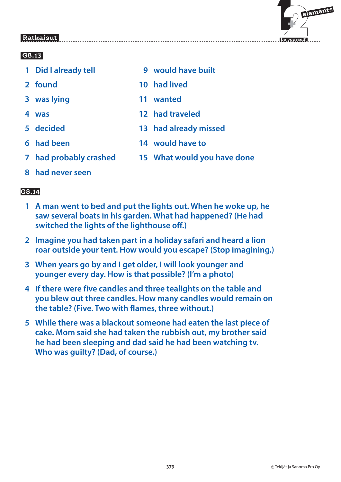

### **G8.13**

- 
- 
- **3 was lying 11 wanted**
- 
- 
- 
- 
- **8 had never seen**

- **1 A man went to bed and put the lights out. When he woke up, he saw several boats in his garden. What had happened? (He had switched the lights of the lighthouse off.)**
- **2 Imagine you had taken part in a holiday safari and heard a lion roar outside your tent. How would you escape? (Stop imagining.)**
- **3 When years go by and I get older, I will look younger and younger every day. How is that possible? (I'm a photo)**
- **4 If there were five candles and three tealights on the table and you blew out three candles. How many candles would remain on the table? (Five. Two with flames, three without.)**
- **5 While there was a blackout someone had eaten the last piece of cake. Mom said she had taken the rubbish out, my brother said he had been sleeping and dad said he had been watching tv. Who was guilty? (Dad, of course.)**
- **1 Did I already tell 9 would have built**
- **2 found 10 had lived**
	-
- **4 was 12 had traveled**
- **5 decided 13 had already missed**
- **6 had been 14 would have to**
- **7 had probably crashed 15 What would you have done**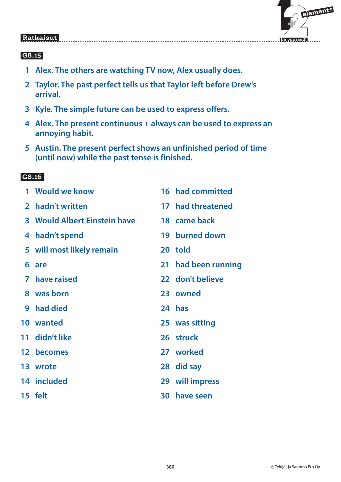

#### **G8.15**

- **1 Alex. The others are watching TV now, Alex usually does.**
- **2 Taylor. The past perfect tells us that Taylor left before Drew's arrival.**
- **3 Kyle. The simple future can be used to express offers.**
- **4 Alex. The present continuous + always can be used to express an annoying habit.**
- **5 Austin. The present perfect shows an unfinished period of time (until now) while the past tense is finished.**

|                | 1 Would we know              |    | 16 had committed    |
|----------------|------------------------------|----|---------------------|
| 2 <sup>1</sup> | hadn't written               |    | 17 had threatened   |
|                | 3 Would Albert Einstein have |    | 18 came back        |
| 4              | hadn't spend                 |    | 19 burned down      |
|                | 5 will most likely remain    |    | 20 told             |
| 6              | are                          |    | 21 had been running |
|                | 7 have raised                |    | 22 don't believe    |
|                | 8 was born                   |    | 23 owned            |
|                | 9 had died                   |    | 24 has              |
|                | 10 wanted                    |    | 25 was sitting      |
|                | 11 didn't like               |    | 26 struck           |
|                | 12 becomes                   |    | 27 worked           |
|                | 13 wrote                     |    | 28 did say          |
|                | 14 included                  |    | 29 will impress     |
|                | 15 felt                      | 30 | have seen           |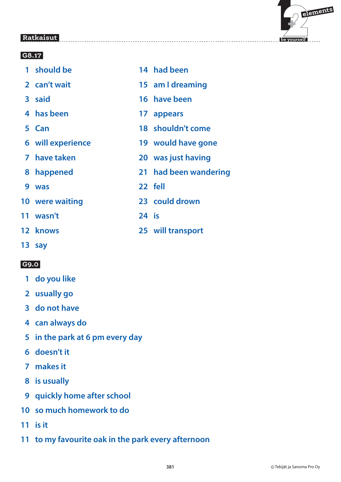

#### **G8.17**

- **1 should be 14 had been 2 can't wait 15 am I dreaming 3 said 16 have been 4 has been 17 appears 5 Can 18 shouldn't come 6 will experience 19 would have gone 7 have taken 20 was just having 8 happened 21 had been wandering 9 was 22 fell 10 were waiting 23 could drown 11 wasn't 24 is 12 knows 25 will transport**
- **13 say**

- **1 do you like**
- **2 usually go**
- **3 do not have**
- **4 can always do**
- **5 in the park at 6 pm every day**
- **6 doesn't it**
- **7 makes it**
- **8 is usually**
- **9 quickly home after school**
- **10 so much homework to do**
- **11 is it**
- **11 to my favourite oak in the park every afternoon**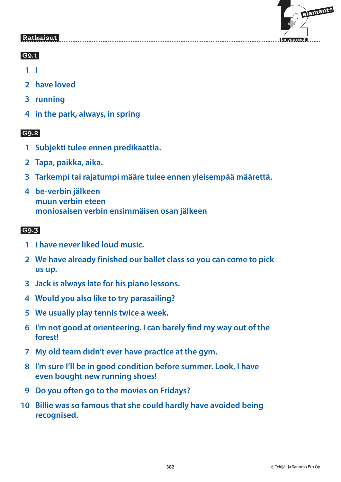

#### **G9.1**

 **1 I**

- **2 have loved**
- **3 running**
- **4 in the park, always, in spring**

### **G9.2**

- **1 Subjekti tulee ennen predikaattia.**
- **2 Tapa, paikka, aika.**
- **3 Tarkempi tai rajatumpi määre tulee ennen yleisempää määrettä.**
- **4 be-verbin jälkeen muun verbin eteen moniosaisen verbin ensimmäisen osan jälkeen**

- **1 I have never liked loud music.**
- **2 We have already finished our ballet class so you can come to pick us up.**
- **3 Jack is always late for his piano lessons.**
- **4 Would you also like to try parasailing?**
- **5 We usually play tennis twice a week.**
- **6 I'm not good at orienteering. I can barely find my way out of the forest!**
- **7 My old team didn't ever have practice at the gym.**
- **8 I'm sure I'll be in good condition before summer. Look, I have even bought new running shoes!**
- **9 Do you often go to the movies on Fridays?**
- **10 Billie was so famous that she could hardly have avoided being recognised.**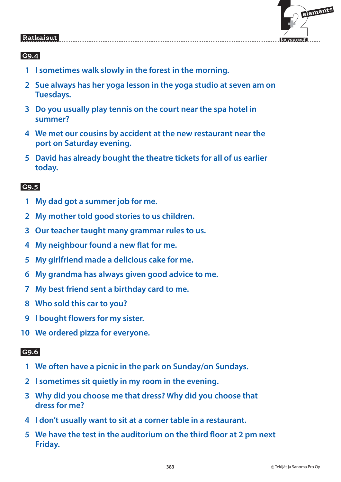

### **G9.4**

- **1 I sometimes walk slowly in the forest in the morning.**
- **2 Sue always has her yoga lesson in the yoga studio at seven am on Tuesdays.**
- **3 Do you usually play tennis on the court near the spa hotel in summer?**
- **4 We met our cousins by accident at the new restaurant near the port on Saturday evening.**
- **5 David has already bought the theatre tickets for all of us earlier today.**

#### **G9.5**

- **1 My dad got a summer job for me.**
- **2 My mother told good stories to us children.**
- **3 Our teacher taught many grammar rules to us.**
- **4 My neighbour found a new flat for me.**
- **5 My girlfriend made a delicious cake for me.**
- **6 My grandma has always given good advice to me.**
- **7 My best friend sent a birthday card to me.**
- **8 Who sold this car to you?**
- **9 I bought flowers for my sister.**
- **10 We ordered pizza for everyone.**

- **1 We often have a picnic in the park on Sunday/on Sundays.**
- **2 I sometimes sit quietly in my room in the evening.**
- **3 Why did you choose me that dress? Why did you choose that dress for me?**
- **4 I don't usually want to sit at a corner table in a restaurant.**
- **5 We have the test in the auditorium on the third floor at 2 pm next Friday.**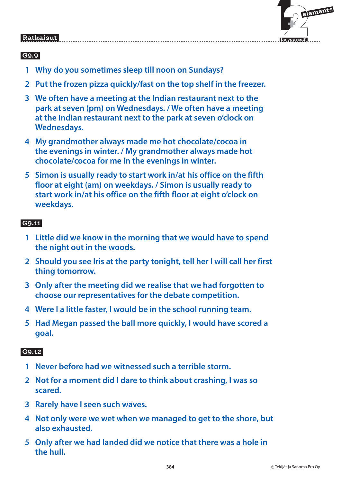

### **G9.9**

- **1 Why do you sometimes sleep till noon on Sundays?**
- **2 Put the frozen pizza quickly/fast on the top shelf in the freezer.**
- **3 We often have a meeting at the Indian restaurant next to the park at seven (pm) on Wednesdays. / We often have a meeting at the Indian restaurant next to the park at seven o'clock on Wednesdays.**
- **4 My grandmother always made me hot chocolate/cocoa in the evenings in winter. / My grandmother always made hot chocolate/cocoa for me in the evenings in winter.**
- **5 Simon is usually ready to start work in/at his office on the fifth floor at eight (am) on weekdays. / Simon is usually ready to start work in/at his office on the fifth floor at eight o'clock on weekdays.**

### **G9.11**

- **1 Little did we know in the morning that we would have to spend the night out in the woods.**
- **2 Should you see Iris at the party tonight, tell her I will call her first thing tomorrow.**
- **3 Only after the meeting did we realise that we had forgotten to choose our representatives for the debate competition.**
- **4 Were I a little faster, I would be in the school running team.**
- **5 Had Megan passed the ball more quickly, I would have scored a goal.**

- **1 Never before had we witnessed such a terrible storm.**
- **2 Not for a moment did I dare to think about crashing, I was so scared.**
- **3 Rarely have I seen such waves.**
- **4 Not only were we wet when we managed to get to the shore, but also exhausted.**
- **5 Only after we had landed did we notice that there was a hole in the hull.**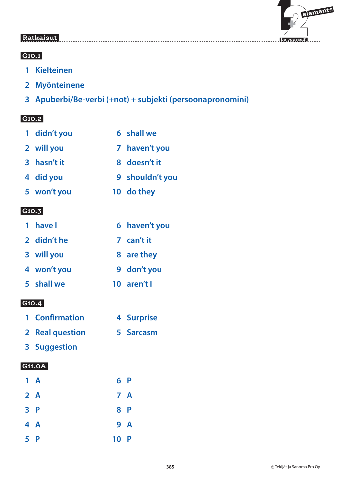

#### **G10.1**

- **1 Kielteinen**
- **2 Myönteinene**
- **3 Apuberbi/Be-verbi (+not) + subjekti (persoonapronomini)**

#### **G10.2**

| 1 didn't you | 6 shall we      |
|--------------|-----------------|
| 2 will you   | 7 haven't you   |
| 3 hasn't it  | 8 doesn't it    |
| 4 did you    | 9 shouldn't you |
| 5 won't you  | 10 do they      |

#### **G10.3**

| 1 have I    | 6 haven't you |
|-------------|---------------|
| 2 didn't he | 7 can't it    |
| 3 will you  | 8 are they    |
| 4 won't you | 9 don't you   |
| 5 shall we  | 10 aren't l   |

#### **G10.4**

| 1 Confirmation | 4 Surprise |
|----------------|------------|
|                |            |

- **2 Real question 5 Sarcasm**
- **3 Suggestion**

| $1 \text{ A}$ |      | 6P  |
|---------------|------|-----|
| 2A            |      | 7 A |
| 3P            |      | 8 P |
| 4 A           |      | 9 A |
| 5 P           | 10 P |     |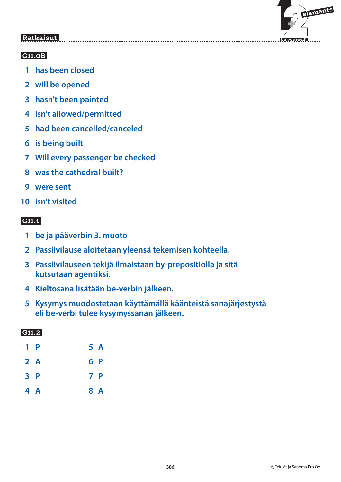

#### **G11.0B**

- **1 has been closed**
- **2 will be opened**
- **3 hasn't been painted**
- **4 isn't allowed/permitted**
- **5 had been cancelled/canceled**
- **6 is being built**
- **7 Will every passenger be checked**
- **8 was the cathedral built?**
- **9 were sent**
- **10 isn't visited**

#### **G11.1**

- **1 be ja pääverbin 3. muoto**
- **2 Passiivilause aloitetaan yleensä tekemisen kohteella.**
- **3 Passiivilauseen tekijä ilmaistaan by-prepositiolla ja sitä kutsutaan agentiksi.**
- **4 Kieltosana lisätään be-verbin jälkeen.**
- **5 Kysymys muodostetaan käyttämällä käänteistä sanajärjestystä eli be-verbi tulee kysymyssanan jälkeen.**

| 1 P | 5 A |
|-----|-----|
| 2A  | 6 P |
| 3P  | 7 P |
| 4 A | 8 A |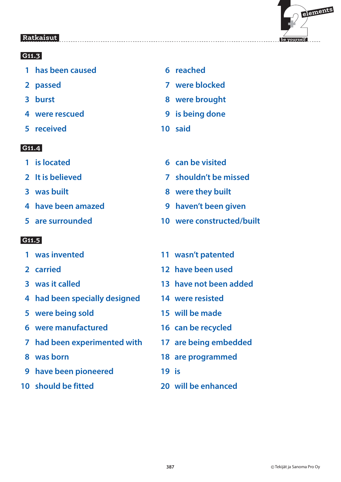

#### **G11.3**

- **1 has been caused 6 reached**
- 
- 
- 
- **5 received 10 said**

#### **G11.4**

- 
- 
- 
- **4 have been amazed 9 haven't been given**
- 

- 
- 
- 
- **4 had been specially designed 14 were resisted**
- **5 were being sold 15 will be made**
- **6 were manufactured 16 can be recycled**
- **7 had been experimented with 17 are being embedded**
- 
- **9 have been pioneered 19 is**
- 
- 
- **2 passed 7 were blocked**
- **8 burst 8 were brought**
- **4 were rescued 12 and 14 and 14 and 14 and 14 and 14 and 14 and 14 and 14 and 14 and 14 and 14 and 14 and 14 and 14 and 14 and 14 and 14 and 14 and 14 and 14 and 14 and 14 and 14 and 14 and 14 and 14 and 14 and 14 and 14** 
	-
- **1 is located 6 can be visited**
- **2 It is believed 7 shouldn't be missed**
- **8 was built 8 were they built** 
	-
- **5 are surrounded 10 were constructed/built**
- **1 was invented 11 wasn't patented**
- **2 carried 12 have been used**
- **3 was it called 13 have not been added**
	-
	-
	-
	-
- **8 was born 18 are programmed**
	-
- **10 should be fitted 20 will be enhanced**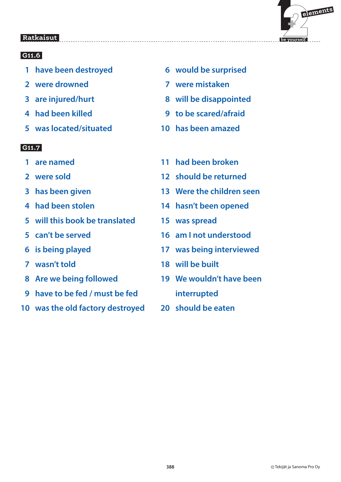

### **G11.6**

- 1 have been destroyed **6** would be surprised
- **2 were drowned 7 were mistaken**
- 
- 
- **5 was located/situated 10 has been amazed**

- 
- 
- 
- 
- **5 will this book be translated 15 was spread**
- 
- 
- 
- 
- **9 have to be fed / must be fed interrupted**
- **10 was the old factory destroyed 20 should be eaten**
- 
- 
- **3 are injured/hurt 8 will be disappointed**
- **4 had been killed 9 to be scared/afraid**
	-
- **1 are named 11 had been broken**
- **2 were sold 12 should be returned**
- **3 has been given 13 Were the children seen**
- **4 had been stolen 14 hasn't been opened**
	-
- **5 can't be served 16 am I not understood**
- **6 is being played 17 was being interviewed**
- **7 wasn't told 18 will be built**
- **8 Are we being followed 19 We wouldn't have been**
	-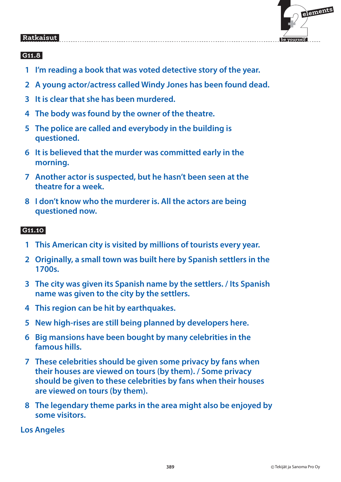

### **G11.8**

- **1 I'm reading a book that was voted detective story of the year.**
- **2 A young actor/actress called Windy Jones has been found dead.**
- **3 It is clear that she has been murdered.**
- **4 The body was found by the owner of the theatre.**
- **5 The police are called and everybody in the building is questioned.**
- **6 It is believed that the murder was committed early in the morning.**
- **7 Another actor is suspected, but he hasn't been seen at the theatre for a week.**
- **8 I don't know who the murderer is. All the actors are being questioned now.**

### **G11.10**

- **1 This American city is visited by millions of tourists every year.**
- **2 Originally, a small town was built here by Spanish settlers in the 1700s.**
- **3 The city was given its Spanish name by the settlers. / Its Spanish name was given to the city by the settlers.**
- **4 This region can be hit by earthquakes.**
- **5 New high-rises are still being planned by developers here.**
- **6 Big mansions have been bought by many celebrities in the famous hills.**
- **7 These celebrities should be given some privacy by fans when their houses are viewed on tours (by them). / Some privacy should be given to these celebrities by fans when their houses are viewed on tours (by them).**
- **8 The legendary theme parks in the area might also be enjoyed by some visitors.**

**Los Angeles**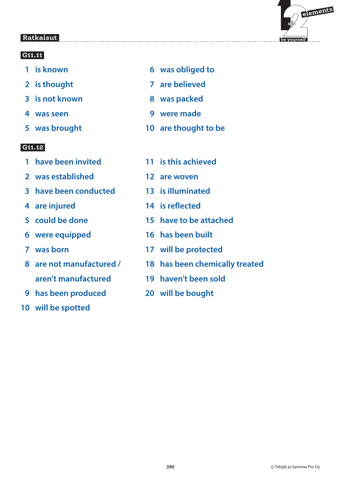

### **G11.11**

- 
- 
- **3** is not known **8** was packed
- 
- 

- **1 have been invited 11 is this achieved**
- **2 was established 12 are woven**
- **3 have been conducted 13 is illuminated**
- 
- 
- 
- 
- **aren't manufactured 19 haven't been sold**
- **9 has been produced 20 will be bought**
- **10 will be spotted**
- **1 is known 6 was obliged to**
- **2** is thought **7** are believed
	-
- **4 was seen 19 manual manual manual manual manual manual manual manual manual manual manual manual manual manual manual manual manual manual manual manual manual manual manual manual manual manual manual manual manual manu**
- **5 was brought 10 are thought to be**
	-
	-
	-
- **4 are injured 14 is reflected**
- **5 could be done 15 have to be attached**
- **6 were equipped 16 has been built**
- **7 was born 17 will be protected**
- **8 are not manufactured / 18 has been chemically treated**
	-
	-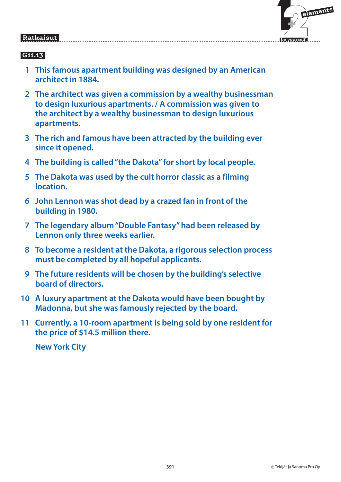

### **G11.13**

- **1 This famous apartment building was designed by an American architect in 1884.**
- **2 The architect was given a commission by a wealthy businessman to design luxurious apartments. / A commission was given to the architect by a wealthy businessman to design luxurious apartments.**
- **3 The rich and famous have been attracted by the building ever since it opened.**
- **4 The building is called "the Dakota" for short by local people.**
- **5 The Dakota was used by the cult horror classic as a filming location.**
- **6 John Lennon was shot dead by a crazed fan in front of the building in 1980.**
- **7 The legendary album "Double Fantasy" had been released by Lennon only three weeks earlier.**
- **8 To become a resident at the Dakota, a rigorous selection process must be completed by all hopeful applicants.**
- **9 The future residents will be chosen by the building's selective board of directors.**
- **10 A luxury apartment at the Dakota would have been bought by Madonna, but she was famously rejected by the board.**
- **11 Currently, a 10-room apartment is being sold by one resident for the price of \$14.5 million there.**

 **New York City**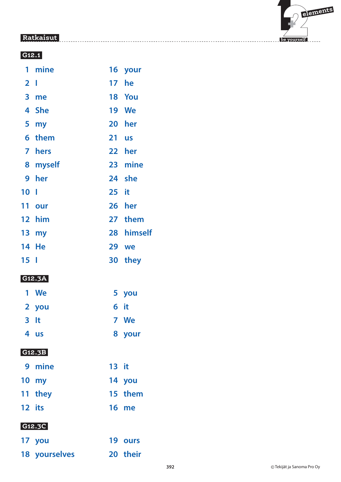

#### **G12.1**

| 1               | mine          | 16              | your         |
|-----------------|---------------|-----------------|--------------|
| $\overline{2}$  | $\mathbf{I}$  | 17              | he           |
| 3 <sup>1</sup>  | me            |                 | 18 You       |
| 4               | <b>She</b>    |                 | <b>19 We</b> |
| 5               | my            | 20 <sub>2</sub> | her          |
| 6               | them          | 21              | <b>us</b>    |
| 7               | hers          |                 | 22 her       |
|                 | 8 myself      |                 | 23 mine      |
| 9               | her           |                 | 24 she       |
| 10 <sub>l</sub> |               | 25 it           |              |
| 11              | our           | 26 <sup>2</sup> | her          |
|                 | 12 him        |                 | 27 them      |
|                 | 13 my         | 28              | himself      |
| 14              | He            | 29              | we           |
| 15 <sub>1</sub> |               | 30              | they         |
|                 | G12.3A        |                 |              |
| 1               | We            |                 | 5 you        |
| $\mathbf{2}$    | you           | 6               | it           |
| 3               | It            | 7               | We           |
|                 | 4 us          |                 | 8 your       |
|                 | G12.3B        |                 |              |
|                 | 9 mine        | 13 it           |              |
|                 | 10 my         |                 | 14 you       |
|                 | 11 they       |                 | 15 them      |
|                 | 12 its        |                 | <b>16 me</b> |
|                 | G12.3C        |                 |              |
|                 | 17 you        |                 | 19 ours      |
|                 | 18 yourselves |                 | 20 their     |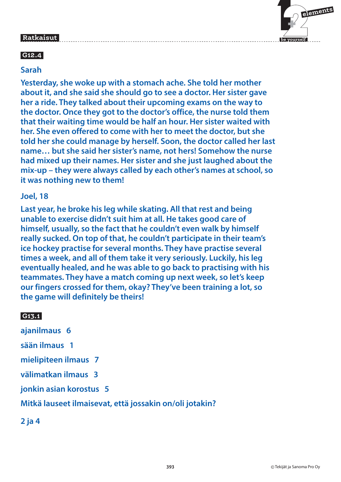

### **G12.4**

#### **Sarah**

**Yesterday, she woke up with a stomach ache. She told her mother about it, and she said she should go to see a doctor. Her sister gave her a ride. They talked about their upcoming exams on the way to the doctor. Once they got to the doctor's office, the nurse told them that their waiting time would be half an hour. Her sister waited with her. She even offered to come with her to meet the doctor, but she told her she could manage by herself. Soon, the doctor called her last name… but she said her sister's name, not hers! Somehow the nurse had mixed up their names. Her sister and she just laughed about the mix-up – they were always called by each other's names at school, so it was nothing new to them!**

#### **Joel, 18**

**Last year, he broke his leg while skating. All that rest and being unable to exercise didn't suit him at all. He takes good care of himself, usually, so the fact that he couldn't even walk by himself really sucked. On top of that, he couldn't participate in their team's ice hockey practise for several months. They have practise several times a week, and all of them take it very seriously. Luckily, his leg eventually healed, and he was able to go back to practising with his teammates. They have a match coming up next week, so let's keep our fingers crossed for them, okay? They've been training a lot, so the game will definitely be theirs!**

#### **G13.1**

**ajanilmaus 6**

**sään ilmaus 1**

**mielipiteen ilmaus 7**

**välimatkan ilmaus 3**

**jonkin asian korostus 5**

#### **Mitkä lauseet ilmaisevat, että jossakin on/oli jotakin?**

**2 ja 4**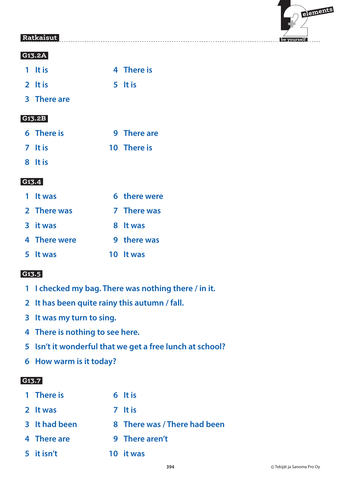

#### **G13.2A**

| 1 It is |  |  | 4 There is |
|---------|--|--|------------|
|         |  |  |            |

- **2** It is 5 It is
- **3 There are**

#### **G13.2B**

| 6 There is | 9 There are |
|------------|-------------|
| 7 It is    | 10 There is |

 **8 It is**

#### **G13.4**

| 1 It was     | 6 there were |
|--------------|--------------|
| 2 There was  | 7 There was  |
| 3 it was     | 8 It was     |
| 4 There were | 9 there was  |
| 5 It was     | 10 It was    |

#### **G13.5**

- **1 I checked my bag. There was nothing there / in it.**
- **2 It has been quite rainy this autumn / fall.**
- **3 It was my turn to sing.**
- **4 There is nothing to see here.**
- **5 Isn't it wonderful that we get a free lunch at school?**
- **6 How warm is it today?**

### **G13.7**

| 1 There is    | 6 It is                      |
|---------------|------------------------------|
| 2 It was      | 7 It is                      |
| 3 It had been | 8 There was / There had been |
| 4 There are   | 9 There aren't               |
| 5 it isn't    | 10 it was                    |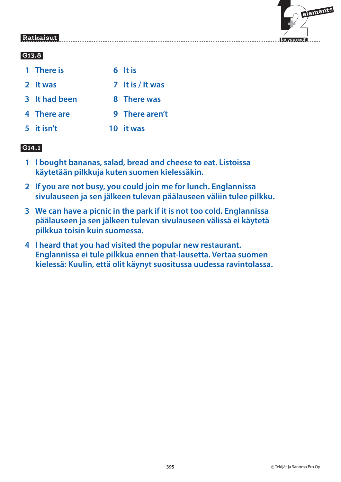# $\mathbf{F}$  **elements**

 **be yourself**

### **Ratkaisut**

#### **G13.8**

- **1 There is** 6 It is
- **2 It was 7 It is / It was**
- **3** It had been 8 There was
- **4 There are 9 There aren't**
- **5 it isn't 10 it was**

### **G14.1**

- **1 I bought bananas, salad, bread and cheese to eat. Listoissa käytetään pilkkuja kuten suomen kielessäkin.**
- **2 If you are not busy, you could join me for lunch. Englannissa sivulauseen ja sen jälkeen tulevan päälauseen väliin tulee pilkku.**
- **3 We can have a picnic in the park if it is not too cold. Englannissa päälauseen ja sen jälkeen tulevan sivulauseen välissä ei käytetä pilkkua toisin kuin suomessa.**
- **4 I heard that you had visited the popular new restaurant. Englannissa ei tule pilkkua ennen that-lausetta. Vertaa suomen kielessä: Kuulin, että olit käynyt suositussa uudessa ravintolassa.**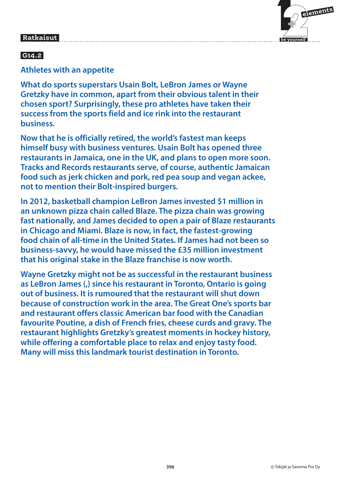

### **G14.2**

#### **Athletes with an appetite**

**What do sports superstars Usain Bolt, LeBron James or Wayne Gretzky have in common, apart from their obvious talent in their chosen sport? Surprisingly, these pro athletes have taken their success from the sports field and ice rink into the restaurant business.**

**Now that he is officially retired, the world's fastest man keeps himself busy with business ventures. Usain Bolt has opened three restaurants in Jamaica, one in the UK, and plans to open more soon. Tracks and Records restaurants serve, of course, authentic Jamaican food such as jerk chicken and pork, red pea soup and vegan ackee, not to mention their Bolt-inspired burgers.**

**In 2012, basketball champion LeBron James invested \$1 million in an unknown pizza chain called Blaze. The pizza chain was growing fast nationally, and James decided to open a pair of Blaze restaurants in Chicago and Miami. Blaze is now, in fact, the fastest-growing food chain of all-time in the United States. If James had not been so business-savvy, he would have missed the £35 million investment that his original stake in the Blaze franchise is now worth.**

**Wayne Gretzky might not be as successful in the restaurant business as LeBron James (,) since his restaurant in Toronto, Ontario is going out of business. It is rumoured that the restaurant will shut down because of construction work in the area. The Great One's sports bar and restaurant offers classic American bar food with the Canadian favourite Poutine, a dish of French fries, cheese curds and gravy. The restaurant highlights Gretzky's greatest moments in hockey history, while offering a comfortable place to relax and enjoy tasty food. Many will miss this landmark tourist destination in Toronto.**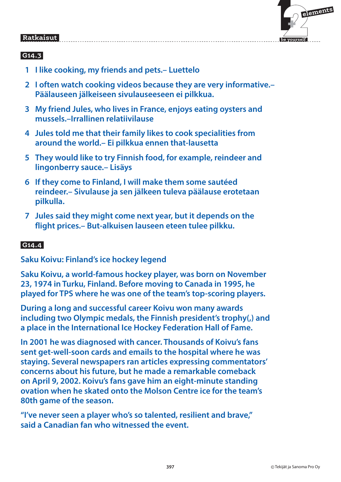

### **G14.3**

- **1 I like cooking, my friends and pets.– Luettelo**
- **2 I often watch cooking videos because they are very informative.– Päälauseen jälkeiseen sivulauseeseen ei pilkkua.**
- **3 My friend Jules, who lives in France, enjoys eating oysters and mussels.–Irrallinen relatiivilause**
- **4 Jules told me that their family likes to cook specialities from around the world.– Ei pilkkua ennen that-lausetta**
- **5 They would like to try Finnish food, for example, reindeer and lingonberry sauce.– Lisäys**
- **6 If they come to Finland, I will make them some sautéed reindeer.– Sivulause ja sen jälkeen tuleva päälause erotetaan pilkulla.**
- **7 Jules said they might come next year, but it depends on the flight prices.– But-alkuisen lauseen eteen tulee pilkku.**

### **G14.4**

**Saku Koivu: Finland's ice hockey legend**

**Saku Koivu, a world-famous hockey player, was born on November 23, 1974 in Turku, Finland. Before moving to Canada in 1995, he played for TPS where he was one of the team's top-scoring players.**

**During a long and successful career Koivu won many awards including two Olympic medals, the Finnish president's trophy(,) and a place in the International Ice Hockey Federation Hall of Fame.**

**In 2001 he was diagnosed with cancer. Thousands of Koivu's fans sent get-well-soon cards and emails to the hospital where he was staying. Several newspapers ran articles expressing commentators' concerns about his future, but he made a remarkable comeback on April 9, 2002. Koivu's fans gave him an eight-minute standing ovation when he skated onto the Molson Centre ice for the team's 80th game of the season.**

**"I've never seen a player who's so talented, resilient and brave," said a Canadian fan who witnessed the event.**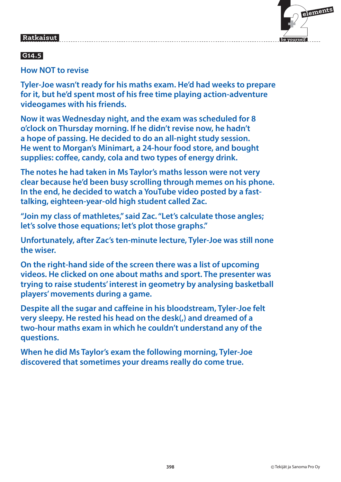## $\mathbf{F}$  **elements**

 **be yourself**

#### Ratkaisut  **Ratkaisut**

### **G14.5**

**How NOT to revise**

**Tyler-Joe wasn't ready for his maths exam. He'd had weeks to prepare for it, but he'd spent most of his free time playing action-adventure videogames with his friends.**

**Now it was Wednesday night, and the exam was scheduled for 8 o'clock on Thursday morning. If he didn't revise now, he hadn't a hope of passing. He decided to do an all-night study session. He went to Morgan's Minimart, a 24-hour food store, and bought supplies: coffee, candy, cola and two types of energy drink.**

**The notes he had taken in Ms Taylor's maths lesson were not very clear because he'd been busy scrolling through memes on his phone. In the end, he decided to watch a YouTube video posted by a fasttalking, eighteen-year-old high student called Zac.**

**"Join my class of mathletes," said Zac. "Let's calculate those angles; let's solve those equations; let's plot those graphs."**

**Unfortunately, after Zac's ten-minute lecture, Tyler-Joe was still none the wiser.**

**On the right-hand side of the screen there was a list of upcoming videos. He clicked on one about maths and sport. The presenter was trying to raise students' interest in geometry by analysing basketball players' movements during a game.**

**Despite all the sugar and caffeine in his bloodstream, Tyler-Joe felt very sleepy. He rested his head on the desk(,) and dreamed of a two-hour maths exam in which he couldn't understand any of the questions.**

**When he did Ms Taylor's exam the following morning, Tyler-Joe discovered that sometimes your dreams really do come true.**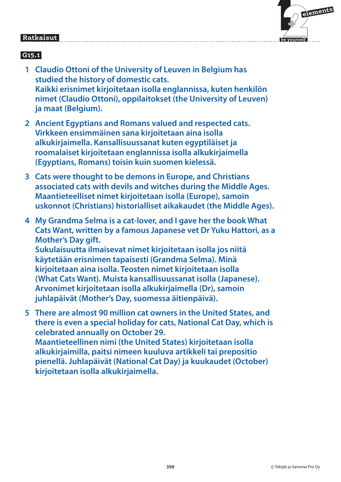

### **G15.1**

- **1 Claudio Ottoni of the University of Leuven in Belgium has studied the history of domestic cats. Kaikki erisnimet kirjoitetaan isolla englannissa, kuten henkilön nimet (Claudio Ottoni), oppilaitokset (the University of Leuven) ja maat (Belgium).**
- **2 Ancient Egyptians and Romans valued and respected cats. Virkkeen ensimmäinen sana kirjoitetaan aina isolla alkukirjaimella. Kansallisuussanat kuten egyptiläiset ja roomalaiset kirjoitetaan englannissa isolla alkukirjaimella (Egyptians, Romans) toisin kuin suomen kielessä.**
- **3 Cats were thought to be demons in Europe, and Christians associated cats with devils and witches during the Middle Ages. Maantieteelliset nimet kirjoitetaan isolla (Europe), samoin uskonnot (Christians) historialliset aikakaudet (the Middle Ages).**
- **4 My Grandma Selma is a cat-lover, and I gave her the book What Cats Want, written by a famous Japanese vet Dr Yuku Hattori, as a Mother's Day gift.**

**Sukulaisuutta ilmaisevat nimet kirjoitetaan isolla jos niitä käytetään erisnimen tapaisesti (Grandma Selma). Minä kirjoitetaan aina isolla. Teosten nimet kirjoitetaan isolla (What Cats Want). Muista kansallisuussanat isolla (Japanese). Arvonimet kirjoitetaan isolla alkukirjaimella (Dr), samoin juhlapäivät (Mother's Day, suomessa äitienpäivä).**

 **5 There are almost 90 million cat owners in the United States, and there is even a special holiday for cats, National Cat Day, which is celebrated annually on October 29.** 

**Maantieteellinen nimi (the United States) kirjoitetaan isolla alkukirjaimilla, paitsi nimeen kuuluva artikkeli tai prepositio pienellä. Juhlapäivät (National Cat Day) ja kuukaudet (October) kirjoitetaan isolla alkukirjaimella.**